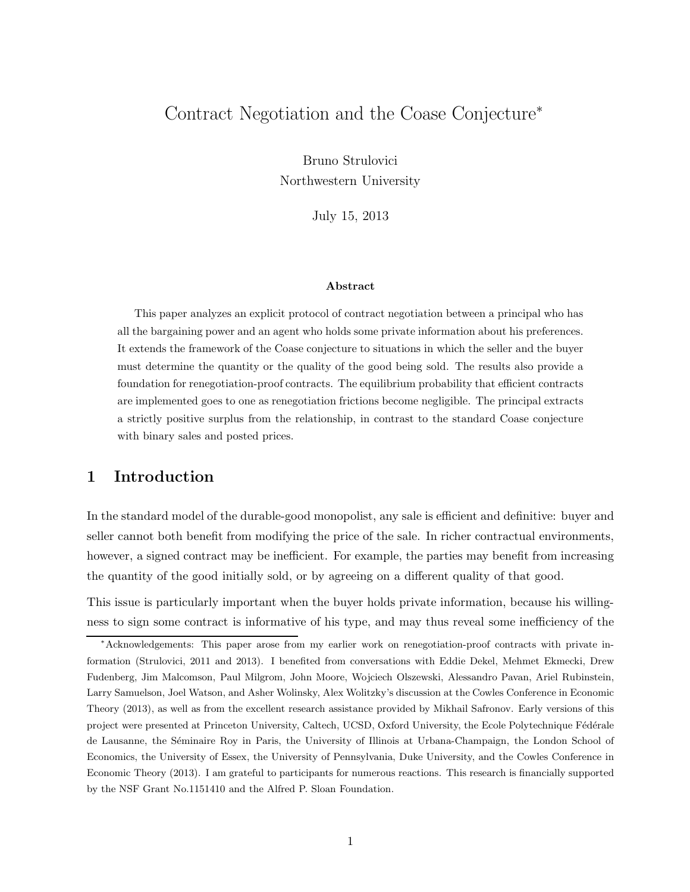# Contract Negotiation and the Coase Conjecture<sup>∗</sup>

Bruno Strulovici Northwestern University

July 15, 2013

### Abstract

This paper analyzes an explicit protocol of contract negotiation between a principal who has all the bargaining power and an agent who holds some private information about his preferences. It extends the framework of the Coase conjecture to situations in which the seller and the buyer must determine the quantity or the quality of the good being sold. The results also provide a foundation for renegotiation-proof contracts. The equilibrium probability that efficient contracts are implemented goes to one as renegotiation frictions become negligible. The principal extracts a strictly positive surplus from the relationship, in contrast to the standard Coase conjecture with binary sales and posted prices.

# 1 Introduction

In the standard model of the durable-good monopolist, any sale is efficient and definitive: buyer and seller cannot both benefit from modifying the price of the sale. In richer contractual environments, however, a signed contract may be inefficient. For example, the parties may benefit from increasing the quantity of the good initially sold, or by agreeing on a different quality of that good.

This issue is particularly important when the buyer holds private information, because his willingness to sign some contract is informative of his type, and may thus reveal some inefficiency of the

<sup>∗</sup>Acknowledgements: This paper arose from my earlier work on renegotiation-proof contracts with private information (Strulovici, 2011 and 2013). I benefited from conversations with Eddie Dekel, Mehmet Ekmecki, Drew Fudenberg, Jim Malcomson, Paul Milgrom, John Moore, Wojciech Olszewski, Alessandro Pavan, Ariel Rubinstein, Larry Samuelson, Joel Watson, and Asher Wolinsky, Alex Wolitzky's discussion at the Cowles Conference in Economic Theory (2013), as well as from the excellent research assistance provided by Mikhail Safronov. Early versions of this project were presented at Princeton University, Caltech, UCSD, Oxford University, the Ecole Polytechnique Fédérale de Lausanne, the Séminaire Roy in Paris, the University of Illinois at Urbana-Champaign, the London School of Economics, the University of Essex, the University of Pennsylvania, Duke University, and the Cowles Conference in Economic Theory (2013). I am grateful to participants for numerous reactions. This research is financially supported by the NSF Grant No.1151410 and the Alfred P. Sloan Foundation.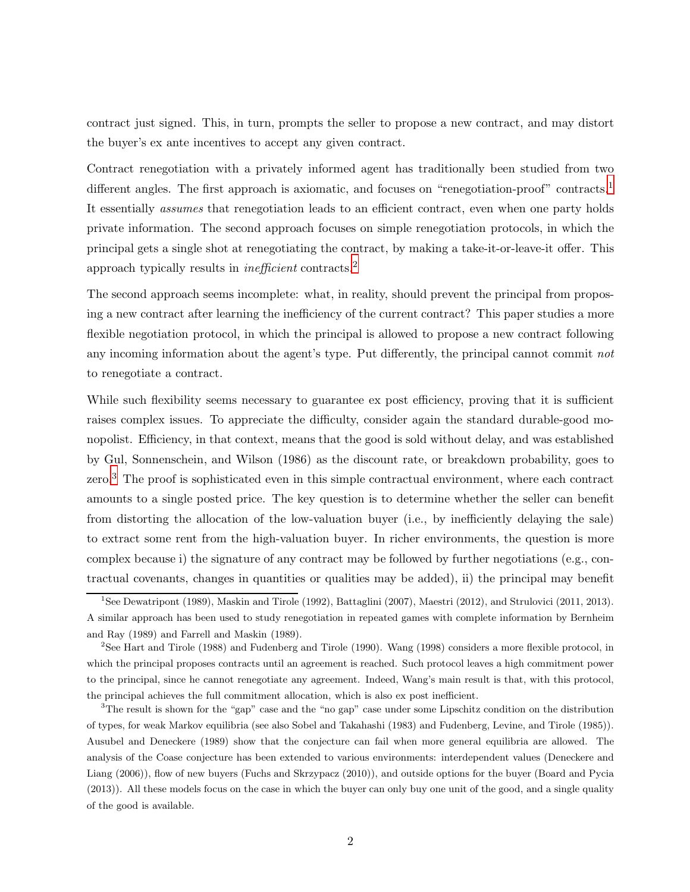contract just signed. This, in turn, prompts the seller to propose a new contract, and may distort the buyer's ex ante incentives to accept any given contract.

Contract renegotiation with a privately informed agent has traditionally been studied from two different angles. The first approach is axiomatic, and focuses on "renegotiation-proof" contracts.<sup>[1](#page-1-0)</sup> It essentially *assumes* that renegotiation leads to an efficient contract, even when one party holds private information. The second approach focuses on simple renegotiation protocols, in which the principal gets a single shot at renegotiating the contract, by making a take-it-or-leave-it offer. This approach typically results in inefficient contracts.[2](#page-1-1)

The second approach seems incomplete: what, in reality, should prevent the principal from proposing a new contract after learning the inefficiency of the current contract? This paper studies a more flexible negotiation protocol, in which the principal is allowed to propose a new contract following any incoming information about the agent's type. Put differently, the principal cannot commit not to renegotiate a contract.

While such flexibility seems necessary to guarantee ex post efficiency, proving that it is sufficient raises complex issues. To appreciate the difficulty, consider again the standard durable-good monopolist. Efficiency, in that context, means that the good is sold without delay, and was established by Gul, Sonnenschein, and Wilson (1986) as the discount rate, or breakdown probability, goes to zero.<sup>[3](#page-1-2)</sup> The proof is sophisticated even in this simple contractual environment, where each contract amounts to a single posted price. The key question is to determine whether the seller can benefit from distorting the allocation of the low-valuation buyer (i.e., by inefficiently delaying the sale) to extract some rent from the high-valuation buyer. In richer environments, the question is more complex because i) the signature of any contract may be followed by further negotiations (e.g., contractual covenants, changes in quantities or qualities may be added), ii) the principal may benefit

<span id="page-1-0"></span><sup>1</sup> See Dewatripont (1989), Maskin and Tirole (1992), Battaglini (2007), Maestri (2012), and Strulovici (2011, 2013). A similar approach has been used to study renegotiation in repeated games with complete information by Bernheim and Ray (1989) and Farrell and Maskin (1989).

<span id="page-1-1"></span><sup>&</sup>lt;sup>2</sup>See Hart and Tirole (1988) and Fudenberg and Tirole (1990). Wang (1998) considers a more flexible protocol, in which the principal proposes contracts until an agreement is reached. Such protocol leaves a high commitment power to the principal, since he cannot renegotiate any agreement. Indeed, Wang's main result is that, with this protocol, the principal achieves the full commitment allocation, which is also ex post inefficient.

<span id="page-1-2"></span><sup>3</sup>The result is shown for the "gap" case and the "no gap" case under some Lipschitz condition on the distribution of types, for weak Markov equilibria (see also Sobel and Takahashi (1983) and Fudenberg, Levine, and Tirole (1985)). Ausubel and Deneckere (1989) show that the conjecture can fail when more general equilibria are allowed. The analysis of the Coase conjecture has been extended to various environments: interdependent values (Deneckere and Liang (2006)), flow of new buyers (Fuchs and Skrzypacz (2010)), and outside options for the buyer (Board and Pycia (2013)). All these models focus on the case in which the buyer can only buy one unit of the good, and a single quality of the good is available.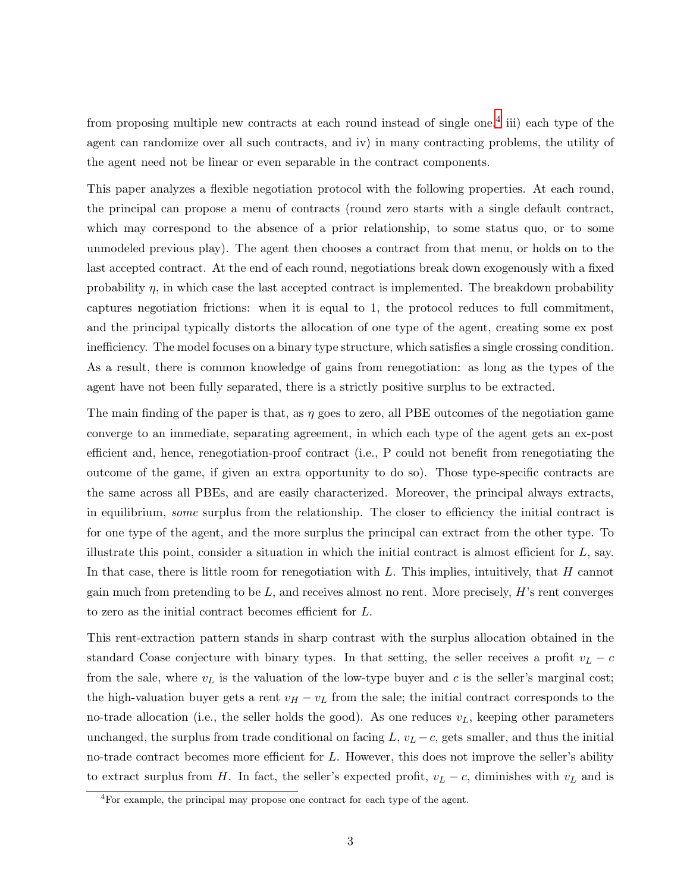from proposing multiple new contracts at each round instead of single one,<sup>[4](#page-2-0)</sup> iii) each type of the agent can randomize over all such contracts, and iv) in many contracting problems, the utility of the agent need not be linear or even separable in the contract components.

This paper analyzes a flexible negotiation protocol with the following properties. At each round, the principal can propose a menu of contracts (round zero starts with a single default contract, which may correspond to the absence of a prior relationship, to some status quo, or to some unmodeled previous play). The agent then chooses a contract from that menu, or holds on to the last accepted contract. At the end of each round, negotiations break down exogenously with a fixed probability  $\eta$ , in which case the last accepted contract is implemented. The breakdown probability captures negotiation frictions: when it is equal to 1, the protocol reduces to full commitment, and the principal typically distorts the allocation of one type of the agent, creating some ex post inefficiency. The model focuses on a binary type structure, which satisfies a single crossing condition. As a result, there is common knowledge of gains from renegotiation: as long as the types of the agent have not been fully separated, there is a strictly positive surplus to be extracted.

The main finding of the paper is that, as  $\eta$  goes to zero, all PBE outcomes of the negotiation game converge to an immediate, separating agreement, in which each type of the agent gets an ex-post efficient and, hence, renegotiation-proof contract (i.e., P could not benefit from renegotiating the outcome of the game, if given an extra opportunity to do so). Those type-specific contracts are the same across all PBEs, and are easily characterized. Moreover, the principal always extracts, in equilibrium, some surplus from the relationship. The closer to efficiency the initial contract is for one type of the agent, and the more surplus the principal can extract from the other type. To illustrate this point, consider a situation in which the initial contract is almost efficient for  $L$ , say. In that case, there is little room for renegotiation with  $L$ . This implies, intuitively, that  $H$  cannot gain much from pretending to be  $L$ , and receives almost no rent. More precisely,  $H$ 's rent converges to zero as the initial contract becomes efficient for L.

This rent-extraction pattern stands in sharp contrast with the surplus allocation obtained in the standard Coase conjecture with binary types. In that setting, the seller receives a profit  $v_L - c$ from the sale, where  $v<sub>L</sub>$  is the valuation of the low-type buyer and c is the seller's marginal cost; the high-valuation buyer gets a rent  $v_H - v_L$  from the sale; the initial contract corresponds to the no-trade allocation (i.e., the seller holds the good). As one reduces  $v<sub>L</sub>$ , keeping other parameters unchanged, the surplus from trade conditional on facing  $L, v_L - c$ , gets smaller, and thus the initial no-trade contract becomes more efficient for L. However, this does not improve the seller's ability to extract surplus from H. In fact, the seller's expected profit,  $v_L - c$ , diminishes with  $v_L$  and is

<span id="page-2-0"></span> ${}^{4}$ For example, the principal may propose one contract for each type of the agent.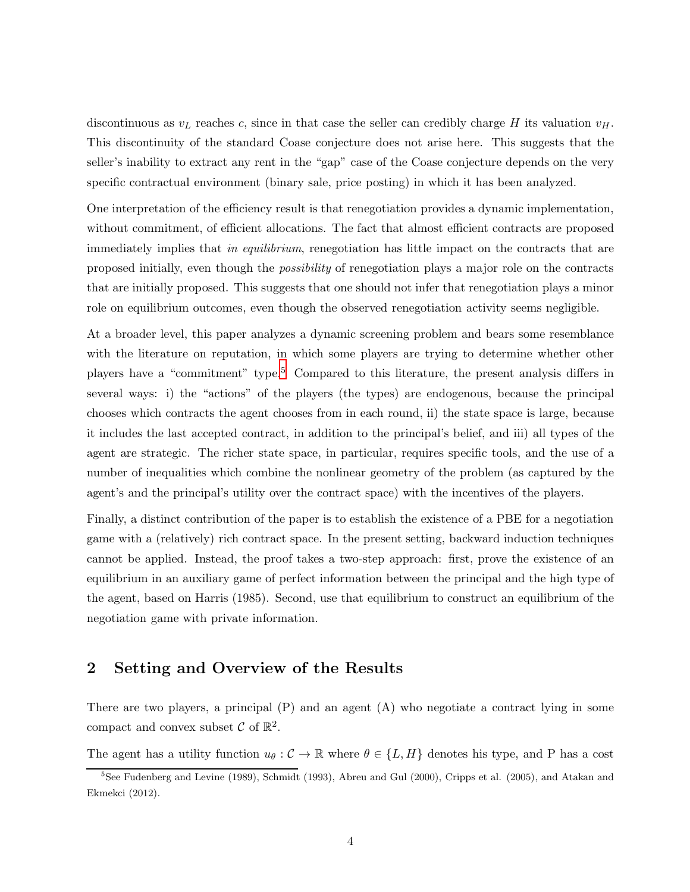discontinuous as  $v<sub>L</sub>$  reaches c, since in that case the seller can credibly charge H its valuation  $v<sub>H</sub>$ . This discontinuity of the standard Coase conjecture does not arise here. This suggests that the seller's inability to extract any rent in the "gap" case of the Coase conjecture depends on the very specific contractual environment (binary sale, price posting) in which it has been analyzed.

One interpretation of the efficiency result is that renegotiation provides a dynamic implementation, without commitment, of efficient allocations. The fact that almost efficient contracts are proposed immediately implies that in equilibrium, renegotiation has little impact on the contracts that are proposed initially, even though the *possibility* of renegotiation plays a major role on the contracts that are initially proposed. This suggests that one should not infer that renegotiation plays a minor role on equilibrium outcomes, even though the observed renegotiation activity seems negligible.

At a broader level, this paper analyzes a dynamic screening problem and bears some resemblance with the literature on reputation, in which some players are trying to determine whether other players have a "commitment" type.[5](#page-3-0) Compared to this literature, the present analysis differs in several ways: i) the "actions" of the players (the types) are endogenous, because the principal chooses which contracts the agent chooses from in each round, ii) the state space is large, because it includes the last accepted contract, in addition to the principal's belief, and iii) all types of the agent are strategic. The richer state space, in particular, requires specific tools, and the use of a number of inequalities which combine the nonlinear geometry of the problem (as captured by the agent's and the principal's utility over the contract space) with the incentives of the players.

Finally, a distinct contribution of the paper is to establish the existence of a PBE for a negotiation game with a (relatively) rich contract space. In the present setting, backward induction techniques cannot be applied. Instead, the proof takes a two-step approach: first, prove the existence of an equilibrium in an auxiliary game of perfect information between the principal and the high type of the agent, based on Harris (1985). Second, use that equilibrium to construct an equilibrium of the negotiation game with private information.

# 2 Setting and Overview of the Results

There are two players, a principal  $(P)$  and an agent  $(A)$  who negotiate a contract lying in some compact and convex subset  $\mathcal{C}$  of  $\mathbb{R}^2$ .

The agent has a utility function  $u_{\theta}: \mathcal{C} \to \mathbb{R}$  where  $\theta \in \{L, H\}$  denotes his type, and P has a cost

<span id="page-3-0"></span><sup>5</sup> See Fudenberg and Levine (1989), Schmidt (1993), Abreu and Gul (2000), Cripps et al. (2005), and Atakan and Ekmekci (2012).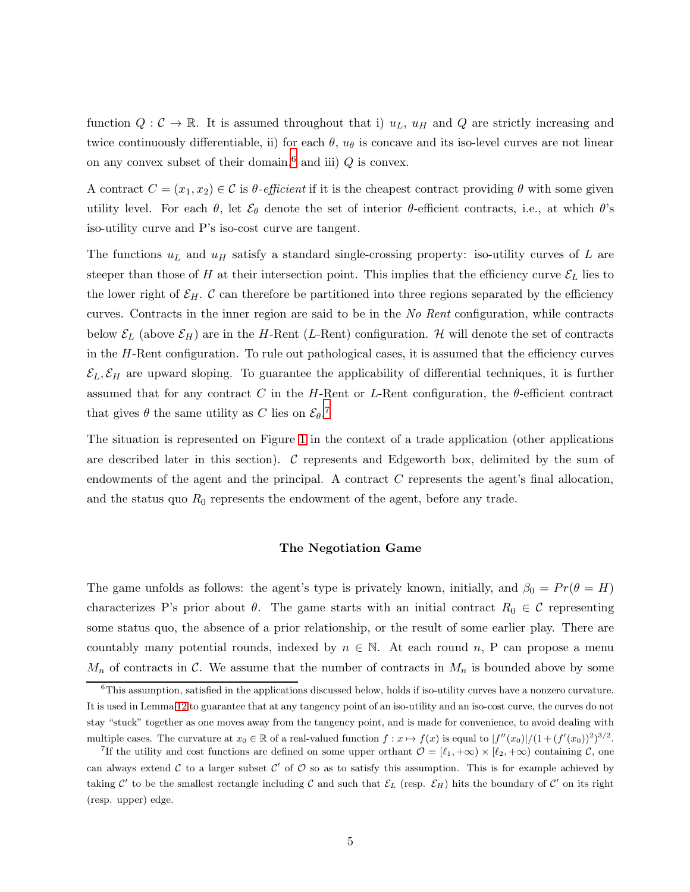function  $Q: \mathcal{C} \to \mathbb{R}$ . It is assumed throughout that i)  $u_L$ ,  $u_H$  and Q are strictly increasing and twice continuously differentiable, ii) for each  $\theta$ ,  $u_{\theta}$  is concave and its iso-level curves are not linear on any convex subset of their domain,<sup>[6](#page-4-0)</sup> and iii)  $Q$  is convex.

A contract  $C = (x_1, x_2) \in \mathcal{C}$  is  $\theta$ -efficient if it is the cheapest contract providing  $\theta$  with some given utility level. For each  $\theta$ , let  $\mathcal{E}_{\theta}$  denote the set of interior  $\theta$ -efficient contracts, i.e., at which  $\theta$ 's iso-utility curve and P's iso-cost curve are tangent.

The functions  $u_L$  and  $u_H$  satisfy a standard single-crossing property: iso-utility curves of L are steeper than those of H at their intersection point. This implies that the efficiency curve  $\mathcal{E}_L$  lies to the lower right of  $\mathcal{E}_H$ . C can therefore be partitioned into three regions separated by the efficiency curves. Contracts in the inner region are said to be in the No Rent configuration, while contracts below  $\mathcal{E}_L$  (above  $\mathcal{E}_H$ ) are in the H-Rent (L-Rent) configuration. H will denote the set of contracts in the  $H$ -Rent configuration. To rule out pathological cases, it is assumed that the efficiency curves  $\mathcal{E}_L, \mathcal{E}_H$  are upward sloping. To guarantee the applicability of differential techniques, it is further assumed that for any contract C in the H-Rent or L-Rent configuration, the  $\theta$ -efficient contract that gives  $\theta$  the same utility as C lies on  $\mathcal{E}_{\theta}$ .<sup>[7](#page-4-1)</sup>

The situation is represented on Figure [1](#page-5-0) in the context of a trade application (other applications are described later in this section). C represents and Edgeworth box, delimited by the sum of endowments of the agent and the principal. A contract C represents the agent's final allocation, and the status quo  $R_0$  represents the endowment of the agent, before any trade.

### The Negotiation Game

The game unfolds as follows: the agent's type is privately known, initially, and  $\beta_0 = Pr(\theta = H)$ characterizes P's prior about  $\theta$ . The game starts with an initial contract  $R_0 \in \mathcal{C}$  representing some status quo, the absence of a prior relationship, or the result of some earlier play. There are countably many potential rounds, indexed by  $n \in \mathbb{N}$ . At each round n, P can propose a menu  $M_n$  of contracts in C. We assume that the number of contracts in  $M_n$  is bounded above by some

<span id="page-4-0"></span><sup>&</sup>lt;sup>6</sup>This assumption, satisfied in the applications discussed below, holds if iso-utility curves have a nonzero curvature. It is used in Lemma [12](#page-39-0) to guarantee that at any tangency point of an iso-utility and an iso-cost curve, the curves do not stay "stuck" together as one moves away from the tangency point, and is made for convenience, to avoid dealing with multiple cases. The curvature at  $x_0 \in \mathbb{R}$  of a real-valued function  $f: x \mapsto f(x)$  is equal to  $|f''(x_0)|/(1+(f'(x_0))^2)^{3/2}$ .

<span id="page-4-1"></span><sup>&</sup>lt;sup>7</sup>If the utility and cost functions are defined on some upper orthant  $\mathcal{O} = [\ell_1, +\infty) \times [\ell_2, +\infty)$  containing  $\mathcal{C}$ , one can always extend C to a larger subset C' of  $\mathcal O$  so as to satisfy this assumption. This is for example achieved by taking C' to be the smallest rectangle including C and such that  $\mathcal{E}_L$  (resp.  $\mathcal{E}_H$ ) hits the boundary of C' on its right (resp. upper) edge.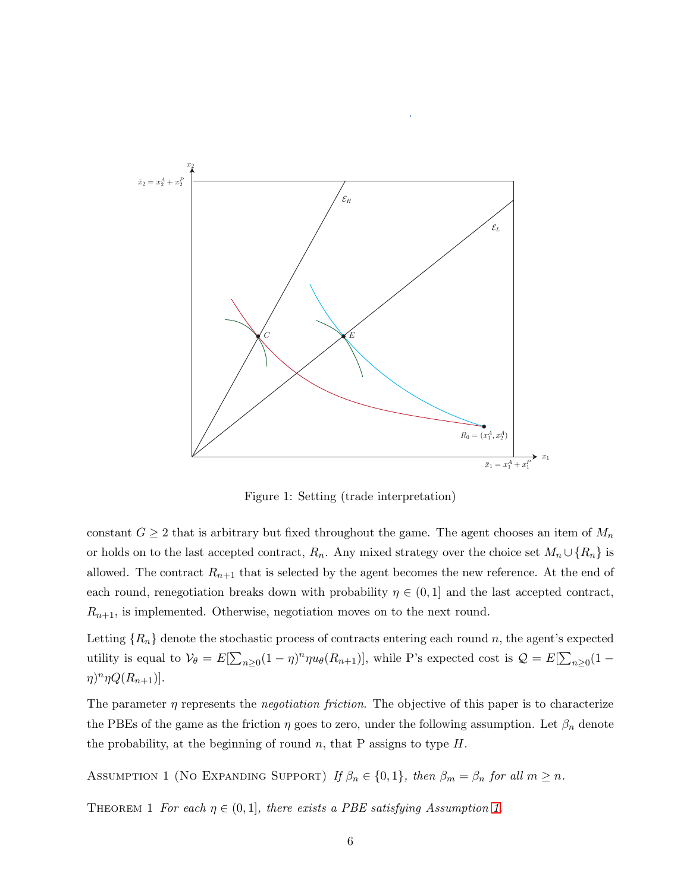

<span id="page-5-0"></span>Figure 1: Setting (trade interpretation)

constant  $G \geq 2$  that is arbitrary but fixed throughout the game. The agent chooses an item of  $M_n$ or holds on to the last accepted contract,  $R_n$ . Any mixed strategy over the choice set  $M_n \cup \{R_n\}$  is allowed. The contract  $R_{n+1}$  that is selected by the agent becomes the new reference. At the end of each round, renegotiation breaks down with probability  $\eta \in (0,1]$  and the last accepted contract,  $R_{n+1}$ , is implemented. Otherwise, negotiation moves on to the next round.

Letting  ${R_n}$  denote the stochastic process of contracts entering each round n, the agent's expected utility is equal to  $V_{\theta} = E[\sum_{n\geq 0} (1-\eta)^n \eta u_{\theta}(R_{n+1})]$ , while P's expected cost is  $\mathcal{Q} = E[\sum_{n\geq 0} (1-\eta)^n \eta u_{\theta}(R_{n+1})]$  $\eta$ )<sup>n</sup> $\eta Q(R_{n+1})$ ].

The parameter  $\eta$  represents the *negotiation friction*. The objective of this paper is to characterize the PBEs of the game as the friction  $\eta$  goes to zero, under the following assumption. Let  $\beta_n$  denote the probability, at the beginning of round n, that P assigns to type  $H$ .

<span id="page-5-2"></span><span id="page-5-1"></span>ASSUMPTION 1 (NO EXPANDING SUPPORT) If  $\beta_n \in \{0, 1\}$ , then  $\beta_m = \beta_n$  for all  $m \geq n$ .

THEOREM 1 For each  $\eta \in (0,1]$ , there exists a PBE satisfying Assumption [1.](#page-5-1)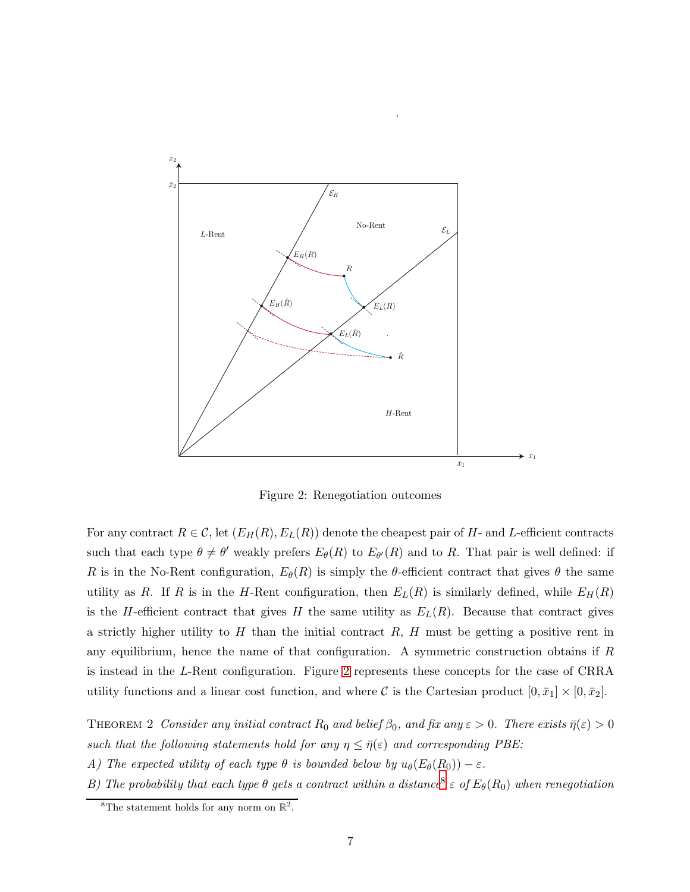

<span id="page-6-0"></span>Figure 2: Renegotiation outcomes

For any contract  $R \in \mathcal{C}$ , let  $(E_H(R), E_L(R))$  denote the cheapest pair of H- and L-efficient contracts such that each type  $\theta \neq \theta'$  weakly prefers  $E_{\theta}(R)$  to  $E_{\theta'}(R)$  and to R. That pair is well defined: if R is in the No-Rent configuration,  $E_{\theta}(R)$  is simply the  $\theta$ -efficient contract that gives  $\theta$  the same utility as R. If R is in the H-Rent configuration, then  $E_L(R)$  is similarly defined, while  $E_H(R)$ is the H-efficient contract that gives H the same utility as  $E_L(R)$ . Because that contract gives a strictly higher utility to  $H$  than the initial contract  $R$ ,  $H$  must be getting a positive rent in any equilibrium, hence the name of that configuration. A symmetric construction obtains if R is instead in the L-Rent configuration. Figure [2](#page-6-0) represents these concepts for the case of CRRA utility functions and a linear cost function, and where C is the Cartesian product  $[0, \bar{x}_1] \times [0, \bar{x}_2]$ .

<span id="page-6-2"></span>THEOREM 2 Consider any initial contract  $R_0$  and belief  $\beta_0$ , and fix any  $\varepsilon > 0$ . There exists  $\bar{\eta}(\varepsilon) > 0$ such that the following statements hold for any  $\eta \leq \bar{\eta}(\varepsilon)$  and corresponding PBE:

A) The expected utility of each type  $\theta$  is bounded below by  $u_{\theta}(E_{\theta}(R_0)) - \varepsilon$ .

B) The probability that each type  $\theta$  gets a contract within a distance<sup>[8](#page-6-1)</sup>  $\varepsilon$  of  $E_{\theta}(R_0)$  when renegotiation

<span id="page-6-1"></span><sup>&</sup>lt;sup>8</sup>The statement holds for any norm on  $\mathbb{R}^2$ .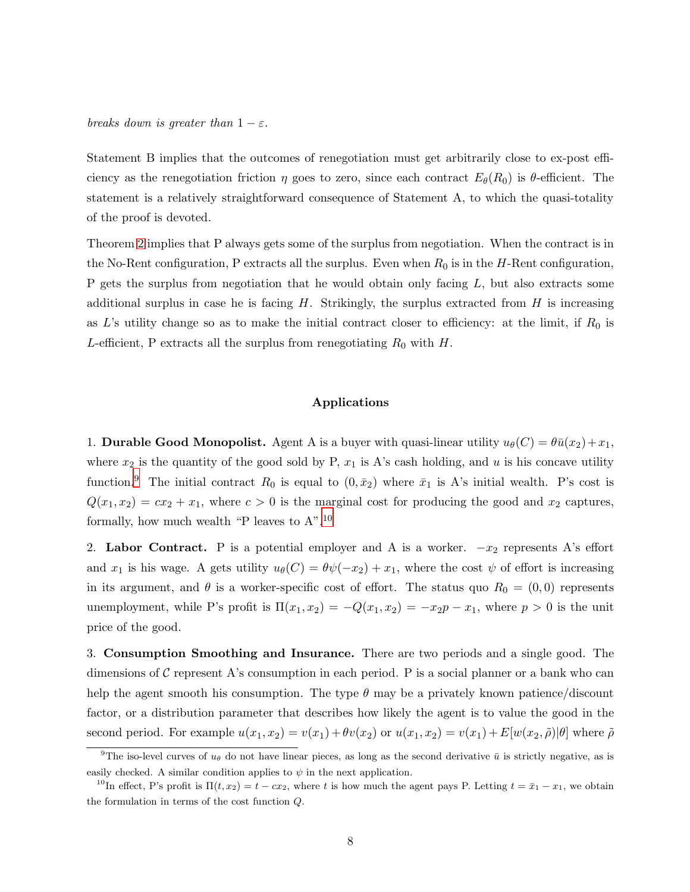breaks down is greater than  $1 - \varepsilon$ .

Statement B implies that the outcomes of renegotiation must get arbitrarily close to ex-post efficiency as the renegotiation friction  $\eta$  goes to zero, since each contract  $E_{\theta}(R_0)$  is  $\theta$ -efficient. The statement is a relatively straightforward consequence of Statement A, to which the quasi-totality of the proof is devoted.

Theorem [2](#page-6-2) implies that P always gets some of the surplus from negotiation. When the contract is in the No-Rent configuration, P extracts all the surplus. Even when  $R_0$  is in the H-Rent configuration, P gets the surplus from negotiation that he would obtain only facing  $L$ , but also extracts some additional surplus in case he is facing  $H$ . Strikingly, the surplus extracted from  $H$  is increasing as L's utility change so as to make the initial contract closer to efficiency: at the limit, if  $R_0$  is L-efficient, P extracts all the surplus from renegotiating  $R_0$  with H.

### Applications

1. **Durable Good Monopolist.** Agent A is a buyer with quasi-linear utility  $u_{\theta}(C) = \theta \bar{u}(x_2) + x_1$ , where  $x_2$  is the quantity of the good sold by P,  $x_1$  is A's cash holding, and u is his concave utility function.<sup>[9](#page-7-0)</sup> The initial contract  $R_0$  is equal to  $(0, \bar{x}_2)$  where  $\bar{x}_1$  is A's initial wealth. P's cost is  $Q(x_1, x_2) = cx_2 + x_1$ , where  $c > 0$  is the marginal cost for producing the good and  $x_2$  captures, formally, how much wealth "P leaves to  $A$ ".<sup>[10](#page-7-1)</sup>

2. Labor Contract. P is a potential employer and A is a worker.  $-x_2$  represents A's effort and  $x_1$  is his wage. A gets utility  $u_\theta(C) = \theta \psi(-x_2) + x_1$ , where the cost  $\psi$  of effort is increasing in its argument, and  $\theta$  is a worker-specific cost of effort. The status quo  $R_0 = (0, 0)$  represents unemployment, while P's profit is  $\Pi(x_1, x_2) = -Q(x_1, x_2) = -x_2p - x_1$ , where  $p > 0$  is the unit price of the good.

3. Consumption Smoothing and Insurance. There are two periods and a single good. The dimensions of C represent A's consumption in each period. P is a social planner or a bank who can help the agent smooth his consumption. The type  $\theta$  may be a privately known patience/discount factor, or a distribution parameter that describes how likely the agent is to value the good in the second period. For example  $u(x_1, x_2) = v(x_1) + \theta v(x_2)$  or  $u(x_1, x_2) = v(x_1) + E[w(x_2, \tilde{\rho})|\theta]$  where  $\tilde{\rho}$ 

<span id="page-7-0"></span><sup>&</sup>lt;sup>9</sup>The iso-level curves of  $u_{\theta}$  do not have linear pieces, as long as the second derivative  $\bar{u}$  is strictly negative, as is easily checked. A similar condition applies to  $\psi$  in the next application.

<span id="page-7-1"></span><sup>&</sup>lt;sup>10</sup>In effect, P's profit is  $\Pi(t, x_2) = t - cx_2$ , where t is how much the agent pays P. Letting  $t = \bar{x}_1 - x_1$ , we obtain the formulation in terms of the cost function Q.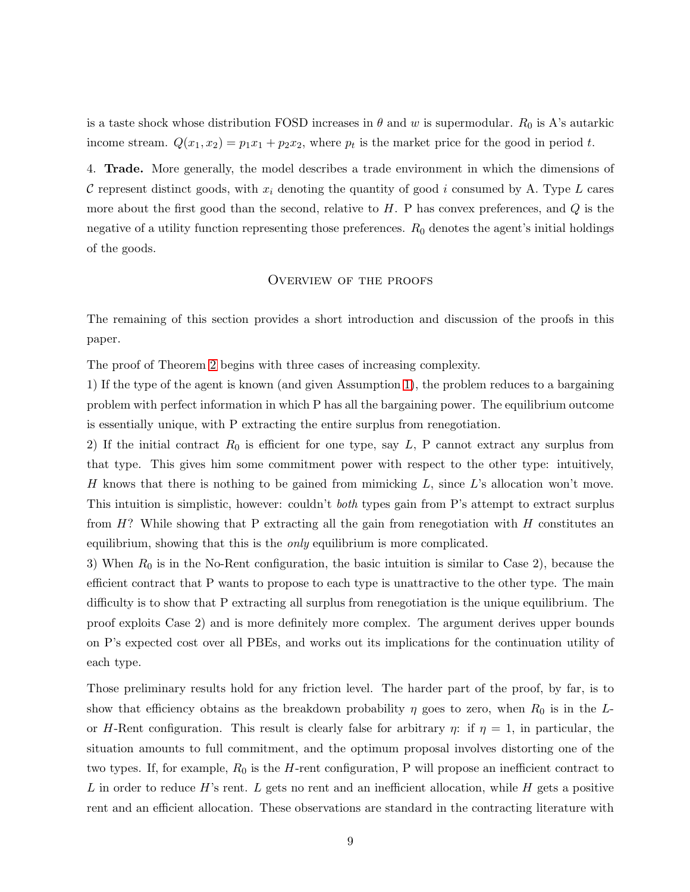is a taste shock whose distribution FOSD increases in  $\theta$  and w is supermodular.  $R_0$  is A's autarkic income stream.  $Q(x_1, x_2) = p_1 x_1 + p_2 x_2$ , where  $p_t$  is the market price for the good in period t.

4. Trade. More generally, the model describes a trade environment in which the dimensions of C represent distinct goods, with  $x_i$  denoting the quantity of good i consumed by A. Type L cares more about the first good than the second, relative to  $H$ . P has convex preferences, and  $Q$  is the negative of a utility function representing those preferences.  $R_0$  denotes the agent's initial holdings of the goods.

### Overview of the proofs

The remaining of this section provides a short introduction and discussion of the proofs in this paper.

The proof of Theorem [2](#page-6-2) begins with three cases of increasing complexity.

1) If the type of the agent is known (and given Assumption [1\)](#page-5-1), the problem reduces to a bargaining problem with perfect information in which P has all the bargaining power. The equilibrium outcome is essentially unique, with P extracting the entire surplus from renegotiation.

2) If the initial contract  $R_0$  is efficient for one type, say  $L$ , P cannot extract any surplus from that type. This gives him some commitment power with respect to the other type: intuitively, H knows that there is nothing to be gained from mimicking  $L$ , since  $L$ 's allocation won't move. This intuition is simplistic, however: couldn't *both* types gain from P's attempt to extract surplus from  $H$ ? While showing that P extracting all the gain from renegotiation with  $H$  constitutes an equilibrium, showing that this is the *only* equilibrium is more complicated.

3) When  $R_0$  is in the No-Rent configuration, the basic intuition is similar to Case 2), because the efficient contract that P wants to propose to each type is unattractive to the other type. The main difficulty is to show that P extracting all surplus from renegotiation is the unique equilibrium. The proof exploits Case 2) and is more definitely more complex. The argument derives upper bounds on P's expected cost over all PBEs, and works out its implications for the continuation utility of each type.

Those preliminary results hold for any friction level. The harder part of the proof, by far, is to show that efficiency obtains as the breakdown probability  $\eta$  goes to zero, when  $R_0$  is in the Lor H-Rent configuration. This result is clearly false for arbitrary  $\eta$ : if  $\eta = 1$ , in particular, the situation amounts to full commitment, and the optimum proposal involves distorting one of the two types. If, for example,  $R_0$  is the H-rent configuration, P will propose an inefficient contract to L in order to reduce  $H$ 's rent. L gets no rent and an inefficient allocation, while  $H$  gets a positive rent and an efficient allocation. These observations are standard in the contracting literature with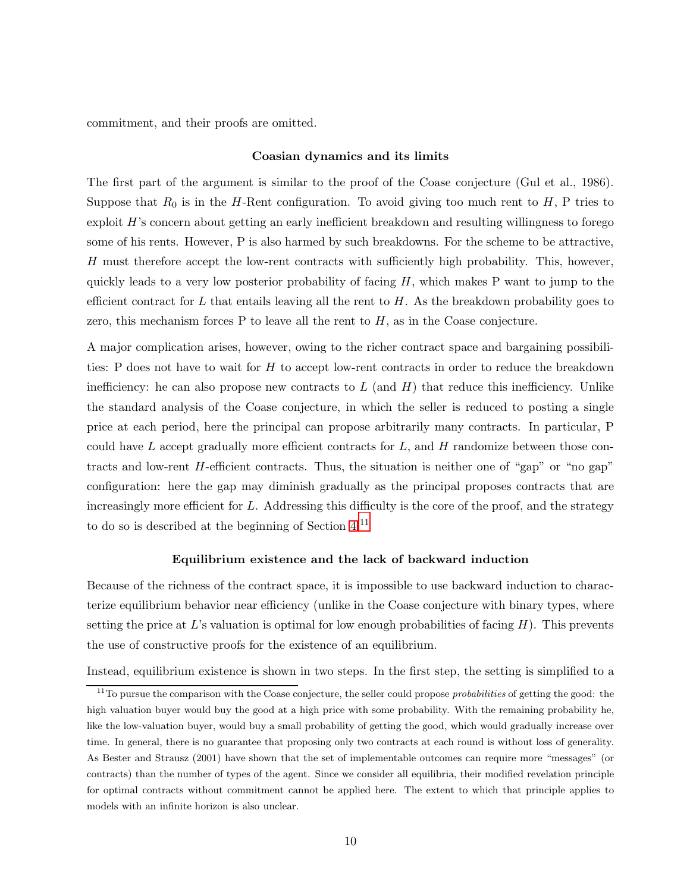commitment, and their proofs are omitted.

#### Coasian dynamics and its limits

The first part of the argument is similar to the proof of the Coase conjecture (Gul et al., 1986). Suppose that  $R_0$  is in the H-Rent configuration. To avoid giving too much rent to H, P tries to exploit H's concern about getting an early inefficient breakdown and resulting willingness to forego some of his rents. However, P is also harmed by such breakdowns. For the scheme to be attractive, H must therefore accept the low-rent contracts with sufficiently high probability. This, however, quickly leads to a very low posterior probability of facing  $H$ , which makes P want to jump to the efficient contract for L that entails leaving all the rent to  $H$ . As the breakdown probability goes to zero, this mechanism forces  $P$  to leave all the rent to  $H$ , as in the Coase conjecture.

A major complication arises, however, owing to the richer contract space and bargaining possibilities: P does not have to wait for H to accept low-rent contracts in order to reduce the breakdown inefficiency: he can also propose new contracts to  $L$  (and  $H$ ) that reduce this inefficiency. Unlike the standard analysis of the Coase conjecture, in which the seller is reduced to posting a single price at each period, here the principal can propose arbitrarily many contracts. In particular, P could have L accept gradually more efficient contracts for  $L$ , and  $H$  randomize between those contracts and low-rent H-efficient contracts. Thus, the situation is neither one of "gap" or "no gap" configuration: here the gap may diminish gradually as the principal proposes contracts that are increasingly more efficient for L. Addressing this difficulty is the core of the proof, and the strategy to do so is described at the beginning of Section [4.](#page-11-0)[11](#page-9-0)

### Equilibrium existence and the lack of backward induction

Because of the richness of the contract space, it is impossible to use backward induction to characterize equilibrium behavior near efficiency (unlike in the Coase conjecture with binary types, where setting the price at  $L$ 's valuation is optimal for low enough probabilities of facing  $H$ ). This prevents the use of constructive proofs for the existence of an equilibrium.

Instead, equilibrium existence is shown in two steps. In the first step, the setting is simplified to a

<span id="page-9-0"></span> $11$ To pursue the comparison with the Coase conjecture, the seller could propose *probabilities* of getting the good: the high valuation buyer would buy the good at a high price with some probability. With the remaining probability he, like the low-valuation buyer, would buy a small probability of getting the good, which would gradually increase over time. In general, there is no guarantee that proposing only two contracts at each round is without loss of generality. As Bester and Strausz (2001) have shown that the set of implementable outcomes can require more "messages" (or contracts) than the number of types of the agent. Since we consider all equilibria, their modified revelation principle for optimal contracts without commitment cannot be applied here. The extent to which that principle applies to models with an infinite horizon is also unclear.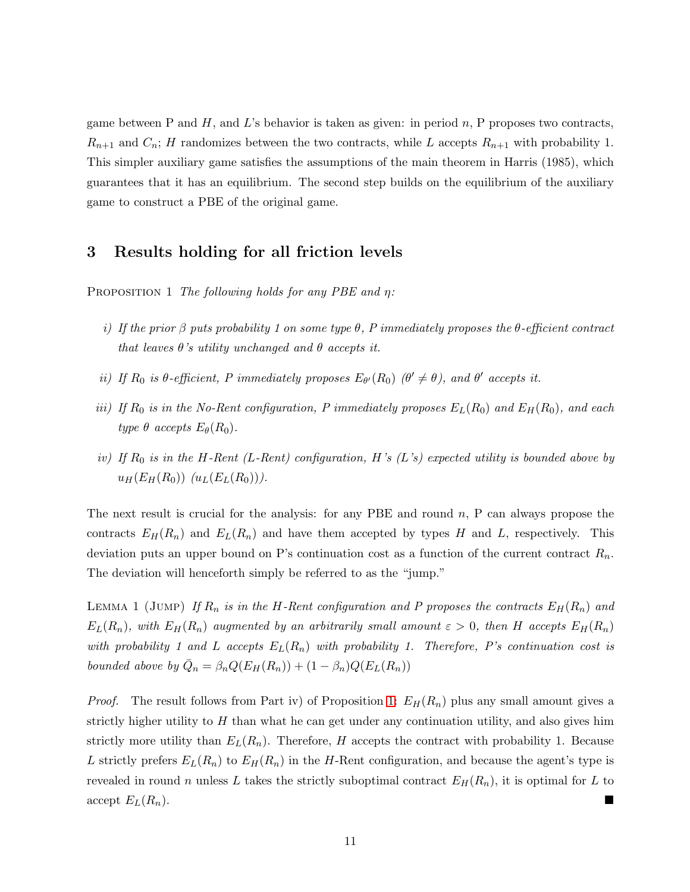game between P and  $H$ , and  $L$ 's behavior is taken as given: in period n, P proposes two contracts,  $R_{n+1}$  and  $C_n$ ; H randomizes between the two contracts, while L accepts  $R_{n+1}$  with probability 1. This simpler auxiliary game satisfies the assumptions of the main theorem in Harris (1985), which guarantees that it has an equilibrium. The second step builds on the equilibrium of the auxiliary game to construct a PBE of the original game.

## <span id="page-10-3"></span><span id="page-10-0"></span>3 Results holding for all friction levels

PROPOSITION 1 The following holds for any PBE and  $\eta$ :

- i) If the prior  $\beta$  puts probability 1 on some type  $\theta$ , P immediately proposes the  $\theta$ -efficient contract that leaves  $\theta$ 's utility unchanged and  $\theta$  accepts it.
- ii) If  $R_0$  is  $\theta$ -efficient, P immediately proposes  $E_{\theta}(R_0)$  ( $\theta' \neq \theta$ ), and  $\theta'$  accepts it.
- iii) If  $R_0$  is in the No-Rent configuration, P immediately proposes  $E_L(R_0)$  and  $E_H(R_0)$ , and each type  $\theta$  accepts  $E_{\theta}(R_0)$ .
- iv) If  $R_0$  is in the H-Rent (L-Rent) configuration, H's (L's) expected utility is bounded above by  $u_H(E_H(R_0))$   $(u_L(E_L(R_0)))$ .

The next result is crucial for the analysis: for any PBE and round  $n$ , P can always propose the contracts  $E_H(R_n)$  and  $E_L(R_n)$  and have them accepted by types H and L, respectively. This deviation puts an upper bound on P's continuation cost as a function of the current contract  $R_n$ . The deviation will henceforth simply be referred to as the "jump."

<span id="page-10-2"></span>LEMMA 1 (JUMP) If  $R_n$  is in the H-Rent configuration and P proposes the contracts  $E_H(R_n)$  and  $E_L(R_n)$ , with  $E_H(R_n)$  augmented by an arbitrarily small amount  $\varepsilon > 0$ , then H accepts  $E_H(R_n)$ with probability 1 and L accepts  $E_L(R_n)$  with probability 1. Therefore, P's continuation cost is bounded above by  $\overline{Q}_n = \beta_n Q(E_H(R_n)) + (1 - \beta_n) Q(E_L(R_n))$ 

<span id="page-10-1"></span>*Proof.* The result follows from Part iv) of Proposition [1:](#page-10-0)  $E_H(R_n)$  plus any small amount gives a strictly higher utility to  $H$  than what he can get under any continuation utility, and also gives him strictly more utility than  $E_L(R_n)$ . Therefore, H accepts the contract with probability 1. Because L strictly prefers  $E_L(R_n)$  to  $E_H(R_n)$  in the H-Rent configuration, and because the agent's type is revealed in round n unless L takes the strictly suboptimal contract  $E_H(R_n)$ , it is optimal for L to  $\mathrm{accept}\; E_L(R_n).$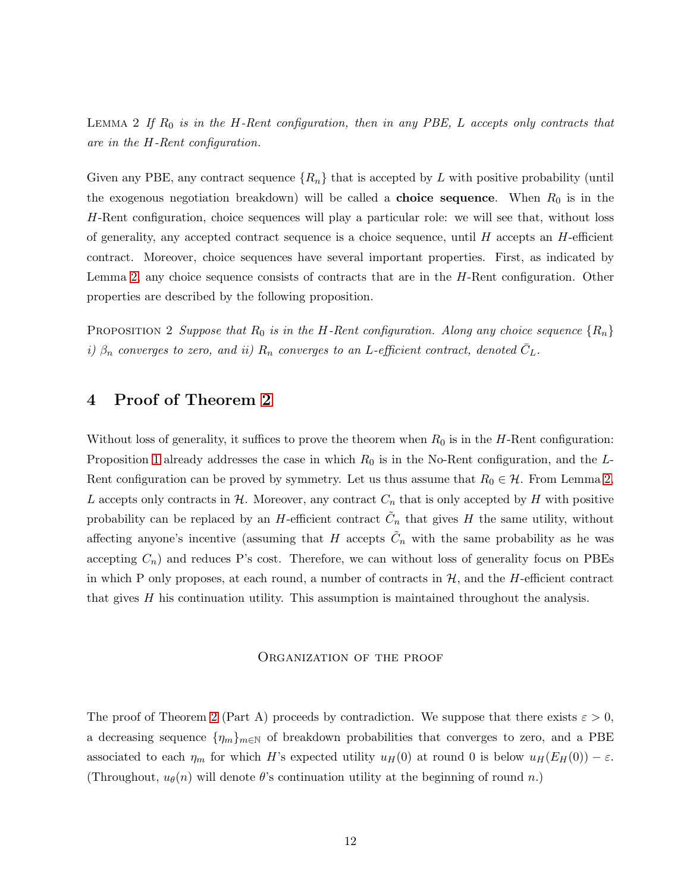LEMMA 2 If  $R_0$  is in the H-Rent configuration, then in any PBE, L accepts only contracts that are in the H-Rent configuration.

Given any PBE, any contract sequence  $\{R_n\}$  that is accepted by L with positive probability (until the exogenous negotiation breakdown) will be called a **choice sequence**. When  $R_0$  is in the H-Rent configuration, choice sequences will play a particular role: we will see that, without loss of generality, any accepted contract sequence is a choice sequence, until  $H$  accepts an  $H$ -efficient contract. Moreover, choice sequences have several important properties. First, as indicated by Lemma [2,](#page-10-1) any choice sequence consists of contracts that are in the H-Rent configuration. Other properties are described by the following proposition.

<span id="page-11-1"></span><span id="page-11-0"></span>PROPOSITION 2 Suppose that  $R_0$  is in the H-Rent configuration. Along any choice sequence  $\{R_n\}$ i)  $\beta_n$  converges to zero, and ii)  $R_n$  converges to an L-efficient contract, denoted  $\bar{C}_L$ .

# 4 Proof of Theorem [2](#page-6-2)

Without loss of generality, it suffices to prove the theorem when  $R_0$  is in the H-Rent configuration: Proposition [1](#page-10-0) already addresses the case in which  $R_0$  is in the No-Rent configuration, and the  $L$ -Rent configuration can be proved by symmetry. Let us thus assume that  $R_0 \in \mathcal{H}$ . From Lemma [2,](#page-10-1) L accepts only contracts in  $\mathcal{H}$ . Moreover, any contract  $C_n$  that is only accepted by H with positive probability can be replaced by an H-efficient contract  $\tilde{C}_n$  that gives H the same utility, without affecting anyone's incentive (assuming that H accepts  $\tilde{C}_n$  with the same probability as he was accepting  $C_n$ ) and reduces P's cost. Therefore, we can without loss of generality focus on PBEs in which P only proposes, at each round, a number of contracts in  $H$ , and the H-efficient contract that gives  $H$  his continuation utility. This assumption is maintained throughout the analysis.

### Organization of the proof

The proof of Theorem [2](#page-6-2) (Part A) proceeds by contradiction. We suppose that there exists  $\varepsilon > 0$ , a decreasing sequence  $\{\eta_m\}_{m\in\mathbb{N}}$  of breakdown probabilities that converges to zero, and a PBE associated to each  $\eta_m$  for which H's expected utility  $u_H(0)$  at round 0 is below  $u_H(E_H(0)) - \varepsilon$ . (Throughout,  $u_{\theta}(n)$  will denote  $\theta$ 's continuation utility at the beginning of round n.)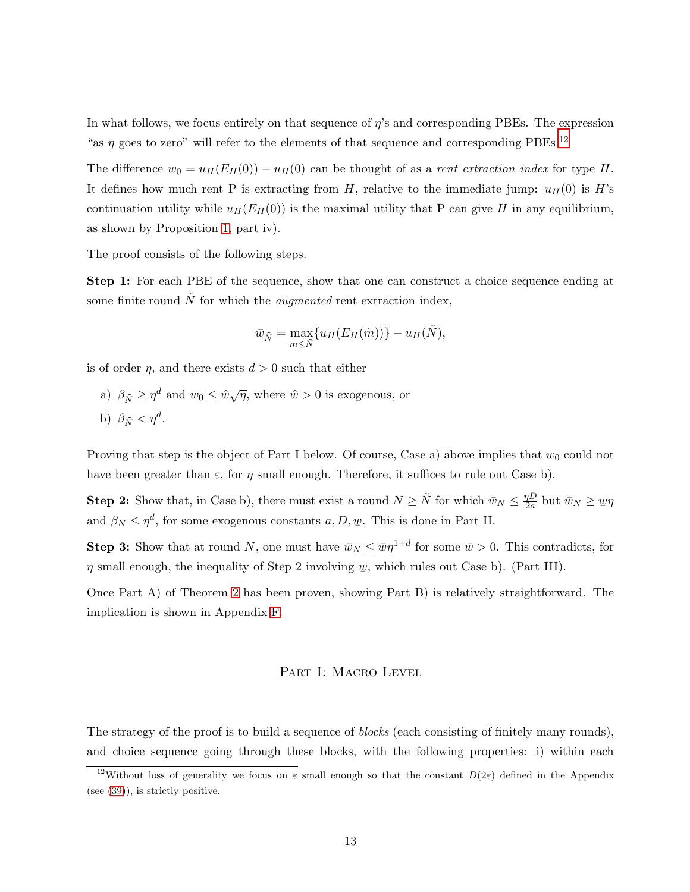In what follows, we focus entirely on that sequence of η's and corresponding PBEs. The expression "as  $\eta$  goes to zero" will refer to the elements of that sequence and corresponding PBEs.<sup>[12](#page-12-0)</sup>

The difference  $w_0 = u_H(E_H(0)) - u_H(0)$  can be thought of as a *rent extraction index* for type H. It defines how much rent P is extracting from H, relative to the immediate jump:  $u_H(0)$  is H's continuation utility while  $u_H(E_H(0))$  is the maximal utility that P can give H in any equilibrium, as shown by Proposition [1,](#page-10-0) part iv).

The proof consists of the following steps.

Step 1: For each PBE of the sequence, show that one can construct a choice sequence ending at some finite round  $\tilde{N}$  for which the *augmented* rent extraction index,

$$
\bar{w}_{\tilde{N}} = \max_{m \leq \tilde{N}} \{ u_H(E_H(\tilde{m})) \} - u_H(\tilde{N}),
$$

is of order *n*, and there exists  $d > 0$  such that either

- a)  $\beta_{\tilde{N}} \geq \eta^d$  and  $w_0 \leq \hat{w}\sqrt{\eta}$ , where  $\hat{w} > 0$  is exogenous, or
- b)  $\beta_{\tilde{N}} < \eta^d$ .

Proving that step is the object of Part I below. Of course, Case a) above implies that  $w_0$  could not have been greater than  $\varepsilon$ , for  $\eta$  small enough. Therefore, it suffices to rule out Case b).

**Step 2:** Show that, in Case b), there must exist a round  $N \geq \tilde{N}$  for which  $\bar{w}_N \leq \frac{\eta D}{2a}$  $\frac{\partial D}{\partial a}$  but  $\bar{w}_N \geq w\eta$ and  $\beta_N \leq \eta^d$ , for some exogenous constants  $a, D, \psi$ . This is done in Part II.

**Step 3:** Show that at round N, one must have  $\bar{w}_N \leq \bar{w}\eta^{1+d}$  for some  $\bar{w} > 0$ . This contradicts, for  $\eta$  small enough, the inequality of Step 2 involving  $w$ , which rules out Case b). (Part III).

Once Part A) of Theorem [2](#page-6-2) has been proven, showing Part B) is relatively straightforward. The implication is shown in Appendix [F.](#page-46-0)

### PART I: MACRO LEVEL

The strategy of the proof is to build a sequence of *blocks* (each consisting of finitely many rounds), and choice sequence going through these blocks, with the following properties: i) within each

<span id="page-12-0"></span><sup>&</sup>lt;sup>12</sup>Without loss of generality we focus on  $\varepsilon$  small enough so that the constant  $D(2\varepsilon)$  defined in the Appendix (see [\(39\)](#page-42-0)), is strictly positive.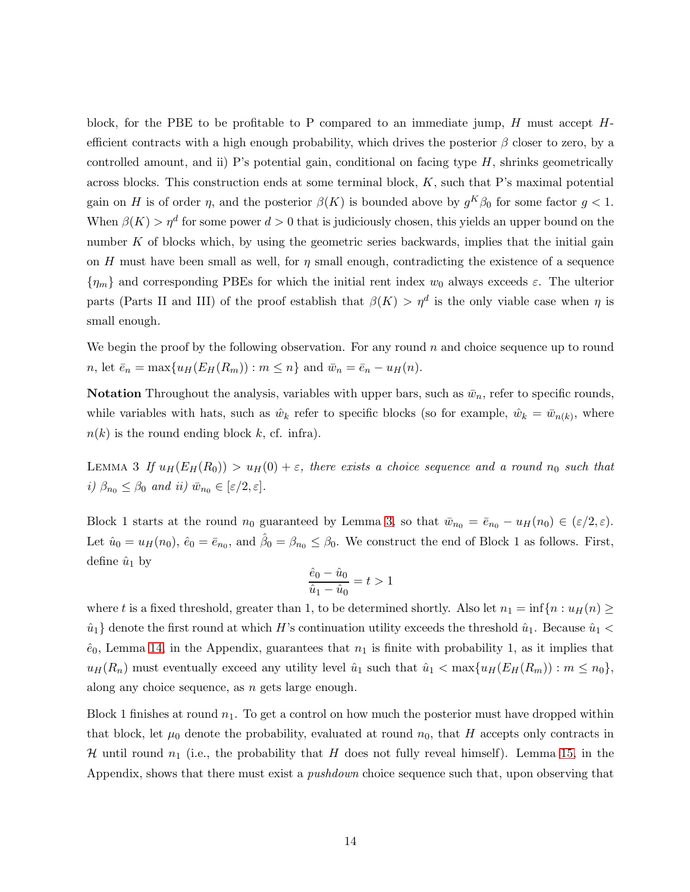block, for the PBE to be profitable to P compared to an immediate jump,  $H$  must accept  $H$ efficient contracts with a high enough probability, which drives the posterior  $\beta$  closer to zero, by a controlled amount, and ii) P's potential gain, conditional on facing type  $H$ , shrinks geometrically across blocks. This construction ends at some terminal block,  $K$ , such that P's maximal potential gain on H is of order  $\eta$ , and the posterior  $\beta(K)$  is bounded above by  $g^K \beta_0$  for some factor  $g < 1$ . When  $\beta(K) > \eta^d$  for some power  $d > 0$  that is judiciously chosen, this yields an upper bound on the number K of blocks which, by using the geometric series backwards, implies that the initial gain on H must have been small as well, for  $\eta$  small enough, contradicting the existence of a sequence  ${\eta_m}$  and corresponding PBEs for which the initial rent index  $w_0$  always exceeds  $\varepsilon$ . The ulterior parts (Parts II and III) of the proof establish that  $\beta(K) > \eta^d$  is the only viable case when  $\eta$  is small enough.

We begin the proof by the following observation. For any round  $n$  and choice sequence up to round n, let  $\bar{e}_n = \max\{u_H(E_H(R_m)) : m \leq n\}$  and  $\bar{w}_n = \bar{e}_n - u_H(n)$ .

<span id="page-13-0"></span>**Notation** Throughout the analysis, variables with upper bars, such as  $\bar{w}_n$ , refer to specific rounds, while variables with hats, such as  $\hat{w}_k$  refer to specific blocks (so for example,  $\hat{w}_k = \bar{w}_{n(k)}$ , where  $n(k)$  is the round ending block k, cf. infra).

LEMMA 3 If  $u_H(E_H(R_0)) > u_H(0) + \varepsilon$ , there exists a choice sequence and a round  $n_0$  such that i)  $\beta_{n_0} \leq \beta_0$  and ii)  $\bar{w}_{n_0} \in [\varepsilon/2, \varepsilon]$ .

Block 1 starts at the round  $n_0$  guaranteed by Lemma [3,](#page-13-0) so that  $\bar{w}_{n_0} = \bar{e}_{n_0} - u_H(n_0) \in (\varepsilon/2, \varepsilon)$ . Let  $\hat{u}_0 = u_H(n_0)$ ,  $\hat{e}_0 = \bar{e}_{n_0}$ , and  $\hat{\beta}_0 = \beta_{n_0} \leq \beta_0$ . We construct the end of Block 1 as follows. First, define  $\hat{u}_1$  by

$$
\frac{\hat{e}_0 - \hat{u}_0}{\hat{u}_1 - \hat{u}_0} = t > 1
$$

where t is a fixed threshold, greater than 1, to be determined shortly. Also let  $n_1 = \inf\{n : u_H(n) \geq 1\}$  $\hat{u}_1$  denote the first round at which H's continuation utility exceeds the threshold  $\hat{u}_1$ . Because  $\hat{u}_1$  <  $\hat{e}_0$ , Lemma [14,](#page-41-0) in the Appendix, guarantees that  $n_1$  is finite with probability 1, as it implies that  $u_H(R_n)$  must eventually exceed any utility level  $\hat{u}_1$  such that  $\hat{u}_1 < \max\{u_H(E_H(R_m)) : m \leq n_0\},$ along any choice sequence, as  $n$  gets large enough.

Block 1 finishes at round  $n_1$ . To get a control on how much the posterior must have dropped within that block, let  $\mu_0$  denote the probability, evaluated at round  $n_0$ , that H accepts only contracts in H until round  $n_1$  (i.e., the probability that H does not fully reveal himself). Lemma [15,](#page-41-1) in the Appendix, shows that there must exist a *pushdown* choice sequence such that, upon observing that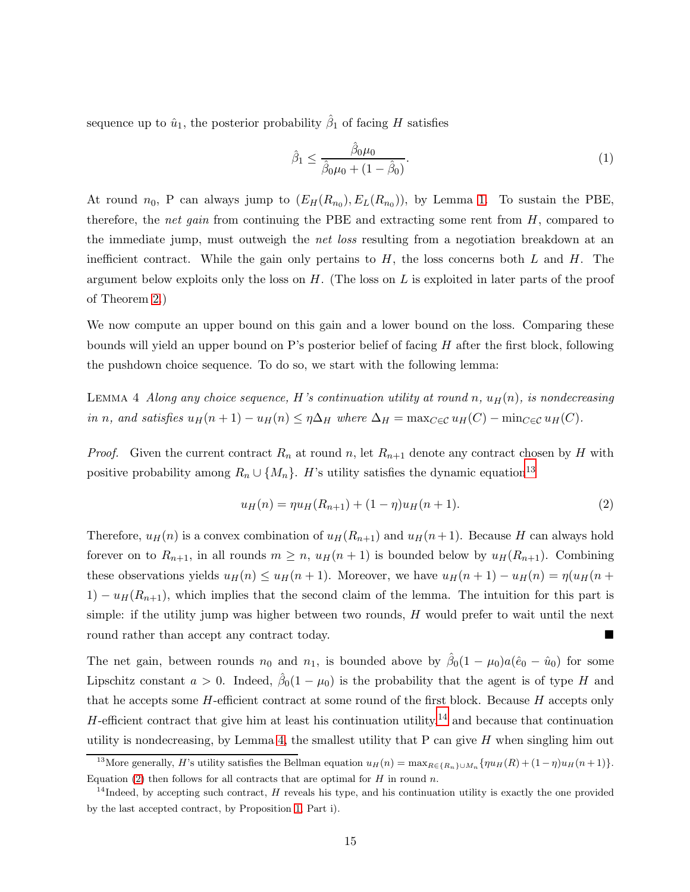sequence up to  $\hat{u}_1$ , the posterior probability  $\hat{\beta}_1$  of facing H satisfies

<span id="page-14-4"></span>
$$
\hat{\beta}_1 \le \frac{\hat{\beta}_0 \mu_0}{\hat{\beta}_0 \mu_0 + (1 - \hat{\beta}_0)}.
$$
\n(1)

At round  $n_0$ , P can always jump to  $(E_H(R_{n_0}), E_L(R_{n_0}))$ , by Lemma [1.](#page-10-2) To sustain the PBE, therefore, the *net gain* from continuing the PBE and extracting some rent from  $H$ , compared to the immediate jump, must outweigh the *net loss* resulting from a negotiation breakdown at an inefficient contract. While the gain only pertains to  $H$ , the loss concerns both  $L$  and  $H$ . The argument below exploits only the loss on  $H$ . (The loss on  $L$  is exploited in later parts of the proof of Theorem [2.](#page-6-2))

<span id="page-14-2"></span>We now compute an upper bound on this gain and a lower bound on the loss. Comparing these bounds will yield an upper bound on P's posterior belief of facing  $H$  after the first block, following the pushdown choice sequence. To do so, we start with the following lemma:

LEMMA 4 Along any choice sequence, H's continuation utility at round n,  $u_H(n)$ , is nondecreasing in n, and satisfies  $u_H(n+1) - u_H(n) \leq \eta \Delta_H$  where  $\Delta_H = \max_{C \in \mathcal{C}} u_H(C) - \min_{C \in \mathcal{C}} u_H(C)$ .

*Proof.* Given the current contract  $R_n$  at round n, let  $R_{n+1}$  denote any contract chosen by H with positive probability among  $R_n \cup \{M_n\}$ . H's utility satisfies the dynamic equation<sup>[13](#page-14-0)</sup>

<span id="page-14-3"></span>
$$
u_H(n) = \eta u_H(R_{n+1}) + (1 - \eta) u_H(n+1). \tag{2}
$$

Therefore,  $u_H(n)$  is a convex combination of  $u_H(R_{n+1})$  and  $u_H(n+1)$ . Because H can always hold forever on to  $R_{n+1}$ , in all rounds  $m \geq n$ ,  $u_H(n+1)$  is bounded below by  $u_H(R_{n+1})$ . Combining these observations yields  $u_H(n) \le u_H(n+1)$ . Moreover, we have  $u_H(n+1) - u_H(n) = \eta(u_H(n+1))$  $1) - u_H(R_{n+1})$ , which implies that the second claim of the lemma. The intuition for this part is simple: if the utility jump was higher between two rounds,  $H$  would prefer to wait until the next round rather than accept any contract today.

The net gain, between rounds  $n_0$  and  $n_1$ , is bounded above by  $\hat{\beta}_0(1-\mu_0)a(\hat{e}_0-\hat{u}_0)$  for some Lipschitz constant  $a > 0$ . Indeed,  $\hat{\beta}_0(1 - \mu_0)$  is the probability that the agent is of type H and that he accepts some  $H$ -efficient contract at some round of the first block. Because  $H$  accepts only H-efficient contract that give him at least his continuation utility,<sup>[14](#page-14-1)</sup> and because that continuation utility is nondecreasing, by Lemma [4,](#page-14-2) the smallest utility that  $P$  can give  $H$  when singling him out

<span id="page-14-0"></span><sup>&</sup>lt;sup>13</sup>More generally, H's utility satisfies the Bellman equation  $u_H(n) = \max_{R \in \{R_n\}\cup M_n} \{ \eta u_H(R) + (1 - \eta) u_H(n+1) \}.$ Equation [\(2\)](#page-14-3) then follows for all contracts that are optimal for  $H$  in round n.

<span id="page-14-1"></span><sup>&</sup>lt;sup>14</sup>Indeed, by accepting such contract, H reveals his type, and his continuation utility is exactly the one provided by the last accepted contract, by Proposition [1,](#page-10-0) Part i).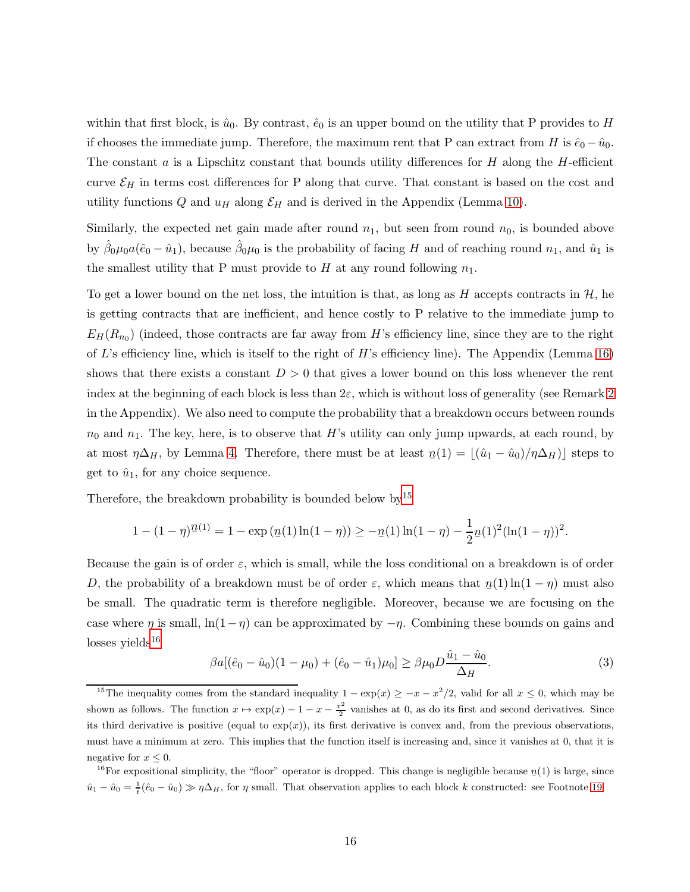within that first block, is  $\hat{u}_0$ . By contrast,  $\hat{e}_0$  is an upper bound on the utility that P provides to H if chooses the immediate jump. Therefore, the maximum rent that P can extract from H is  $\hat{e}_0 - \hat{u}_0$ . The constant  $a$  is a Lipschitz constant that bounds utility differences for  $H$  along the  $H$ -efficient curve  $\mathcal{E}_H$  in terms cost differences for P along that curve. That constant is based on the cost and utility functions Q and  $u_H$  along  $\mathcal{E}_H$  and is derived in the Appendix (Lemma [10\)](#page-37-0).

Similarly, the expected net gain made after round  $n_1$ , but seen from round  $n_0$ , is bounded above by  $\hat{\beta}_0 \mu_0 a(\hat{e}_0 - \hat{u}_1)$ , because  $\hat{\beta}_0 \mu_0$  is the probability of facing H and of reaching round  $n_1$ , and  $\hat{u}_1$  is the smallest utility that P must provide to H at any round following  $n_1$ .

To get a lower bound on the net loss, the intuition is that, as long as H accepts contracts in  $\mathcal{H}$ , he is getting contracts that are inefficient, and hence costly to P relative to the immediate jump to  $E_H(R_{n_0})$  (indeed, those contracts are far away from H's efficiency line, since they are to the right of L's efficiency line, which is itself to the right of H's efficiency line). The Appendix (Lemma [16\)](#page-42-1) shows that there exists a constant  $D > 0$  that gives a lower bound on this loss whenever the rent index at the beginning of each block is less than  $2\varepsilon$ , which is without loss of generality (see Remark [2](#page-42-2)) in the Appendix). We also need to compute the probability that a breakdown occurs between rounds  $n_0$  and  $n_1$ . The key, here, is to observe that H's utility can only jump upwards, at each round, by at most  $\eta \Delta_H$ , by Lemma [4.](#page-14-2) Therefore, there must be at least  $n(1) = \lfloor (\hat{u}_1 - \hat{u}_0)/\eta \Delta_H \rfloor$  steps to get to  $\hat{u}_1$ , for any choice sequence.

Therefore, the breakdown probability is bounded below by  $15$ 

$$
1 - (1 - \eta)^{n+1} = 1 - \exp\left(\frac{n(1)\ln(1 - \eta)}{2}\right) \geq -\frac{n(1)\ln(1 - \eta)}{2} - \frac{1}{2}n(1)^2(\ln(1 - \eta))^2.
$$

Because the gain is of order  $\varepsilon$ , which is small, while the loss conditional on a breakdown is of order D, the probability of a breakdown must be of order  $\varepsilon$ , which means that  $n(1) \ln(1 - \eta)$  must also be small. The quadratic term is therefore negligible. Moreover, because we are focusing on the case where  $\eta$  is small,  $\ln(1-\eta)$  can be approximated by  $-\eta$ . Combining these bounds on gains and losses yields $^{16}$  $^{16}$  $^{16}$ 

$$
\beta a [(\hat{e}_0 - \hat{u}_0)(1 - \mu_0) + (\hat{e}_0 - \hat{u}_1)\mu_0] \ge \beta \mu_0 D \frac{\hat{u}_1 - \hat{u}_0}{\Delta_H}.
$$
 (3)

<span id="page-15-0"></span><sup>&</sup>lt;sup>15</sup>The inequality comes from the standard inequality  $1 - \exp(x) \geq -x - x^2/2$ , valid for all  $x \leq 0$ , which may be shown as follows. The function  $x \mapsto \exp(x) - 1 - x - \frac{x^2}{2}$  $\frac{e^2}{2}$  vanishes at 0, as do its first and second derivatives. Since its third derivative is positive (equal to  $exp(x)$ ), its first derivative is convex and, from the previous observations, must have a minimum at zero. This implies that the function itself is increasing and, since it vanishes at 0, that it is negative for  $x \leq 0$ .

<span id="page-15-1"></span><sup>&</sup>lt;sup>16</sup>For expositional simplicity, the "floor" operator is dropped. This change is negligible because  $n(1)$  is large, since  $\hat{u}_1 - \hat{u}_0 = \frac{1}{t}(\hat{e}_0 - \hat{u}_0) \gg \eta \Delta_H$ , for  $\eta$  small. That observation applies to each block k constructed: see Footnote [19.](#page-17-0)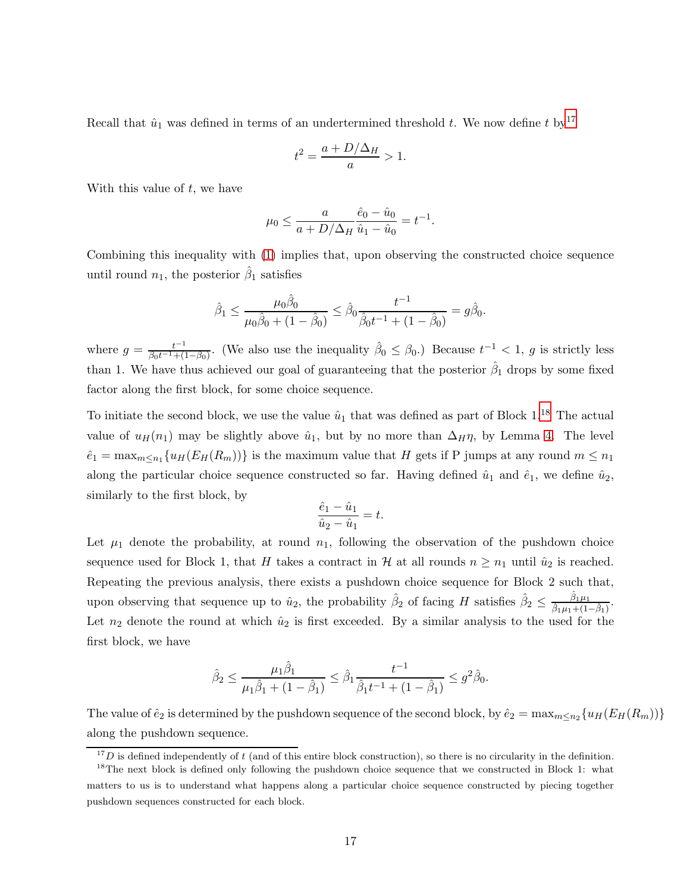Recall that  $\hat{u}_1$  was defined in terms of an undertermined threshold t. We now define t by<sup>[17](#page-16-0)</sup>

$$
t^2 = \frac{a + D/\Delta_H}{a} > 1.
$$

With this value of  $t$ , we have

$$
\mu_0 \le \frac{a}{a + D/\Delta_H} \frac{\hat{e}_0 - \hat{u}_0}{\hat{u}_1 - \hat{u}_0} = t^{-1}.
$$

Combining this inequality with [\(1\)](#page-14-4) implies that, upon observing the constructed choice sequence until round  $n_1$ , the posterior  $\hat{\beta}_1$  satisfies

$$
\hat{\beta}_1 \le \frac{\mu_0 \hat{\beta}_0}{\mu_0 \hat{\beta}_0 + (1 - \hat{\beta}_0)} \le \hat{\beta}_0 \frac{t^{-1}}{\hat{\beta}_0 t^{-1} + (1 - \hat{\beta}_0)} = g \hat{\beta}_0.
$$

where  $g = \frac{t^{-1}}{\beta_0 t^{-1} + t^2}$  $\frac{t^{-1}}{\beta_0 t^{-1} + (1-\beta_0)}$ . (We also use the inequality  $\hat{\beta}_0 \leq \beta_0$ .) Because  $t^{-1} < 1$ , g is strictly less than 1. We have thus achieved our goal of guaranteeing that the posterior  $\hat{\beta}_1$  drops by some fixed factor along the first block, for some choice sequence.

To initiate the second block, we use the value  $\hat{u}_1$  that was defined as part of Block 1.<sup>[18](#page-16-1)</sup> The actual value of  $u_H(n_1)$  may be slightly above  $\hat{u}_1$ , but by no more than  $\Delta_H \eta$ , by Lemma [4.](#page-14-2) The level  $\hat{e}_1 = \max_{m \leq n_1} \{ u_H(E_H(R_m)) \}$  is the maximum value that H gets if P jumps at any round  $m \leq n_1$ along the particular choice sequence constructed so far. Having defined  $\hat{u}_1$  and  $\hat{e}_1$ , we define  $\hat{u}_2$ , similarly to the first block, by

$$
\frac{\hat{e}_1 - \hat{u}_1}{\hat{u}_2 - \hat{u}_1} = t.
$$

Let  $\mu_1$  denote the probability, at round  $n_1$ , following the observation of the pushdown choice sequence used for Block 1, that H takes a contract in H at all rounds  $n \geq n_1$  until  $\hat{u}_2$  is reached. Repeating the previous analysis, there exists a pushdown choice sequence for Block 2 such that, upon observing that sequence up to  $\hat{u}_2$ , the probability  $\hat{\beta}_2$  of facing H satisfies  $\hat{\beta}_2 \leq$  $\hat{\beta}_{1}\mu_{1}$  $\frac{\beta_1\mu_1}{\hat{\beta}_1\mu_1+(1-\hat{\beta}_1)}$ . Let  $n_2$  denote the round at which  $\hat{u}_2$  is first exceeded. By a similar analysis to the used for the first block, we have

$$
\hat{\beta}_2 \le \frac{\mu_1 \hat{\beta}_1}{\mu_1 \hat{\beta}_1 + (1 - \hat{\beta}_1)} \le \hat{\beta}_1 \frac{t^{-1}}{\hat{\beta}_1 t^{-1} + (1 - \hat{\beta}_1)} \le g^2 \hat{\beta}_0.
$$

The value of  $\hat{e}_2$  is determined by the pushdown sequence of the second block, by  $\hat{e}_2 = \max_{m \leq n_2} \{u_H(E_H(R_m))\}$ along the pushdown sequence.

<span id="page-16-0"></span> $17D$  is defined independently of t (and of this entire block construction), so there is no circularity in the definition.

<span id="page-16-1"></span><sup>&</sup>lt;sup>18</sup>The next block is defined only following the pushdown choice sequence that we constructed in Block 1: what matters to us is to understand what happens along a particular choice sequence constructed by piecing together pushdown sequences constructed for each block.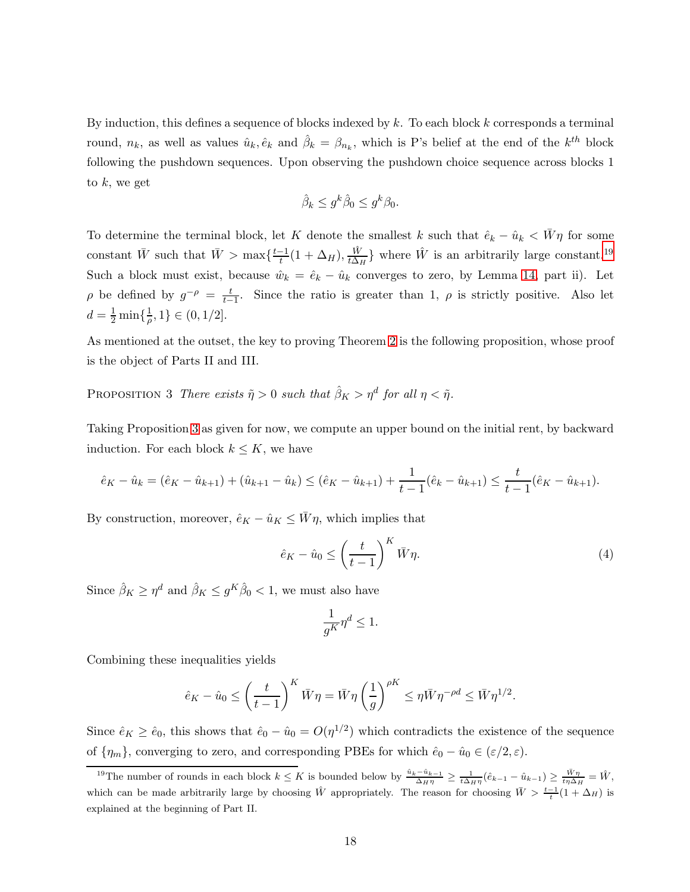By induction, this defines a sequence of blocks indexed by  $k$ . To each block  $k$  corresponds a terminal round,  $n_k$ , as well as values  $\hat{u}_k, \hat{e}_k$  and  $\hat{\beta}_k = \beta_{n_k}$ , which is P's belief at the end of the  $k^{th}$  block following the pushdown sequences. Upon observing the pushdown choice sequence across blocks 1 to  $k$ , we get

$$
\hat{\beta}_k \le g^k \hat{\beta}_0 \le g^k \beta_0.
$$

To determine the terminal block, let K denote the smallest k such that  $\hat{e}_k - \hat{u}_k < \bar{W}\eta$  for some constant  $\bar{W}$  such that  $\bar{W} > \max\{\frac{t-1}{t}(1 + \Delta_H), \frac{\hat{W}}{t\Delta_H}\}$  $\frac{\hat{W}}{t\Delta_H}$ } where  $\hat{W}$  is an arbitrarily large constant.<sup>[19](#page-17-0)</sup> Such a block must exist, because  $\hat{w}_k = \hat{e}_k - \hat{u}_k$  converges to zero, by Lemma [14,](#page-41-0) part ii). Let  $\rho$  be defined by  $g^{-\rho} = \frac{t}{t-1}$  $\frac{t}{t-1}$ . Since the ratio is greater than 1,  $\rho$  is strictly positive. Also let  $d=\frac{1}{2}\min\{\frac{1}{\rho}$  $\frac{1}{\rho}, 1$   $\in (0, 1/2]$ .

<span id="page-17-1"></span>As mentioned at the outset, the key to proving Theorem [2](#page-6-2) is the following proposition, whose proof is the object of Parts II and III.

PROPOSITION 3 There exists  $\tilde{\eta} > 0$  such that  $\hat{\beta}_K > \eta^d$  for all  $\eta < \tilde{\eta}$ .

Taking Proposition [3](#page-17-1) as given for now, we compute an upper bound on the initial rent, by backward induction. For each block  $k \leq K$ , we have

$$
\hat{e}_K - \hat{u}_k = (\hat{e}_K - \hat{u}_{k+1}) + (\hat{u}_{k+1} - \hat{u}_k) \leq (\hat{e}_K - \hat{u}_{k+1}) + \frac{1}{t-1}(\hat{e}_k - \hat{u}_{k+1}) \leq \frac{t}{t-1}(\hat{e}_K - \hat{u}_{k+1}).
$$

By construction, moreover,  $\hat{e}_K - \hat{u}_K \leq \bar{W}\eta$ , which implies that

$$
\hat{e}_K - \hat{u}_0 \le \left(\frac{t}{t-1}\right)^K \bar{W}\eta. \tag{4}
$$

Since  $\hat{\beta}_K \ge \eta^d$  and  $\hat{\beta}_K \le g^K \hat{\beta}_0 < 1$ , we must also have

$$
\frac{1}{g^K}\eta^d\leq 1.
$$

Combining these inequalities yields

$$
\hat{e}_K - \hat{u}_0 \le \left(\frac{t}{t-1}\right)^K \bar{W}\eta = \bar{W}\eta \left(\frac{1}{g}\right)^{\rho K} \le \eta \bar{W}\eta^{-\rho d} \le \bar{W}\eta^{1/2}.
$$

Since  $\hat{e}_K \ge \hat{e}_0$ , this shows that  $\hat{e}_0 - \hat{u}_0 = O(\eta^{1/2})$  which contradicts the existence of the sequence of  $\{\eta_m\}$ , converging to zero, and corresponding PBEs for which  $\hat{e}_0 - \hat{u}_0 \in (\varepsilon/2, \varepsilon)$ .

<span id="page-17-0"></span><sup>&</sup>lt;sup>19</sup>The number of rounds in each block  $k \leq K$  is bounded below by  $\frac{\hat{u}_k - \hat{u}_{k-1}}{\Delta_H \eta} \geq \frac{1}{t \Delta_H \eta} (\hat{e}_{k-1} - \hat{u}_{k-1}) \geq \frac{\bar{W}\eta}{t \eta \Delta_H} = \hat{W}$ , which can be made arbitrarily large by choosing  $\hat{W}$  appropriately. The reason for choosing  $\bar{W} > \frac{t-1}{t}(1 + \Delta_H)$  is explained at the beginning of Part II.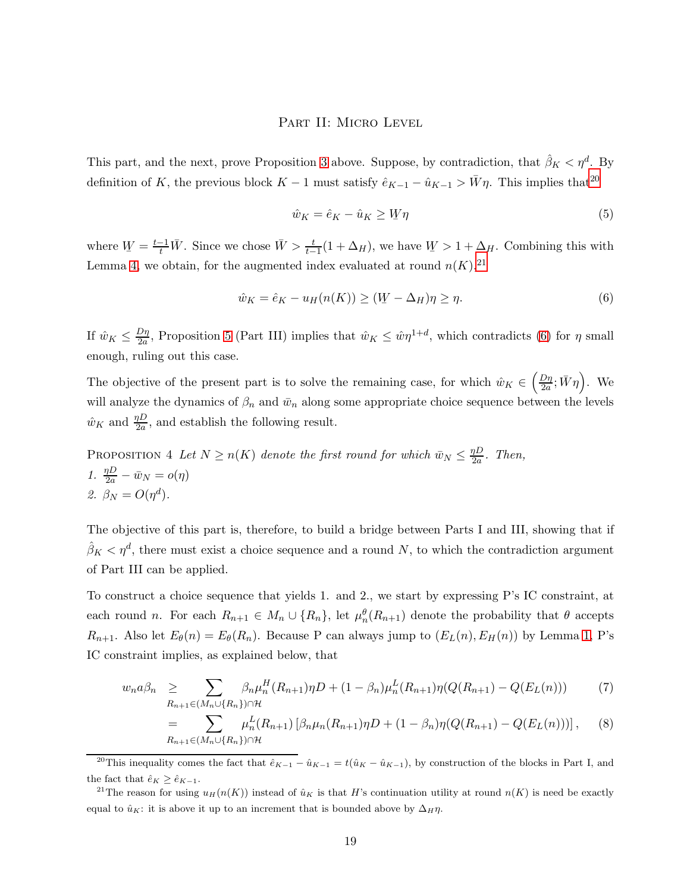### PART II: MICRO LEVEL

This part, and the next, prove Proposition [3](#page-17-1) above. Suppose, by contradiction, that  $\hat{\beta}_K < \eta^d$ . By definition of K, the previous block K – 1 must satisfy  $\hat{e}_{K-1} - \hat{u}_{K-1} > \bar{W}\eta$ . This implies that<sup>[20](#page-18-0)</sup>

<span id="page-18-2"></span>
$$
\hat{w}_K = \hat{e}_K - \hat{u}_K \ge W \eta \tag{5}
$$

where  $W = \frac{t-1}{t} \overline{W}$ . Since we chose  $\overline{W} > \frac{t}{t-1}(1 + \Delta_H)$ , we have  $W > 1 + \Delta_H$ . Combining this with Lemma [4,](#page-14-2) we obtain, for the augmented index evaluated at round  $n(K)$ ,<sup>[21](#page-18-1)</sup>

$$
\hat{w}_K = \hat{e}_K - u_H(n(K)) \ge (W - \Delta_H)\eta \ge \eta.
$$
\n<sup>(6)</sup>

If  $\hat{w}_K \leq \frac{D\eta}{2a}$  $\frac{D\eta}{2a}$ , Proposition [5](#page-22-0) (Part III) implies that  $\hat{w}_K \leq \hat{w}\eta^{1+d}$ , which contradicts [\(6\)](#page-18-2) for  $\eta$  small enough, ruling out this case.

The objective of the present part is to solve the remaining case, for which  $\hat{w}_K \in \left(\frac{D\eta}{2a}\right)$  $\frac{D\eta}{2a}; \bar{W}\eta$ ). We will analyze the dynamics of  $\beta_n$  and  $\bar{w}_n$  along some appropriate choice sequence between the levels  $\hat{w}_K$  and  $\frac{\eta D}{2a}$ , and establish the following result.

<span id="page-18-4"></span>PROPOSITION 4 Let  $N \ge n(K)$  denote the first round for which  $\bar{w}_N \le \frac{\eta D}{2a}$  $rac{\eta D}{2a}$ . Then, 1.  $\frac{\eta D}{2a} - \bar{w}_N = o(\eta)$ 2.  $\beta_N = O(\eta^d)$ .

The objective of this part is, therefore, to build a bridge between Parts I and III, showing that if  $\hat{\beta}_K < \eta^d$ , there must exist a choice sequence and a round N, to which the contradiction argument of Part III can be applied.

To construct a choice sequence that yields 1. and 2., we start by expressing P's IC constraint, at each round n. For each  $R_{n+1} \in M_n \cup \{R_n\}$ , let  $\mu_n^{\theta}(R_{n+1})$  denote the probability that  $\theta$  accepts  $R_{n+1}$ . Also let  $E_{\theta}(n) = E_{\theta}(R_n)$ . Because P can always jump to  $(E_L(n), E_H(n))$  by Lemma [1,](#page-10-2) P's IC constraint implies, as explained below, that

<span id="page-18-3"></span>
$$
w_n a \beta_n \geq \sum_{R_{n+1} \in (M_n \cup \{R_n\}) \cap \mathcal{H}} \beta_n \mu_n^H(R_{n+1}) \eta D + (1 - \beta_n) \mu_n^L(R_{n+1}) \eta (Q(R_{n+1}) - Q(E_L(n))) \tag{7}
$$

$$
= \sum_{R_{n+1} \in (M_n \cup \{R_n\}) \cap \mathcal{H}} \mu_n^L(R_{n+1}) \left[ \beta_n \mu_n(R_{n+1}) \eta D + (1 - \beta_n) \eta (Q(R_{n+1}) - Q(E_L(n))) \right], \quad (8)
$$

<span id="page-18-0"></span><sup>&</sup>lt;sup>20</sup>This inequality comes the fact that  $\hat{e}_{K-1} - \hat{u}_{K-1} = t(\hat{u}_K - \hat{u}_{K-1})$ , by construction of the blocks in Part I, and the fact that  $\hat{e}_K \geq \hat{e}_{K-1}$ .

<span id="page-18-1"></span><sup>&</sup>lt;sup>21</sup>The reason for using  $u_H(n(K))$  instead of  $\hat{u}_K$  is that H's continuation utility at round  $n(K)$  is need be exactly equal to  $\hat{u}_K$ : it is above it up to an increment that is bounded above by  $\Delta_H \eta$ .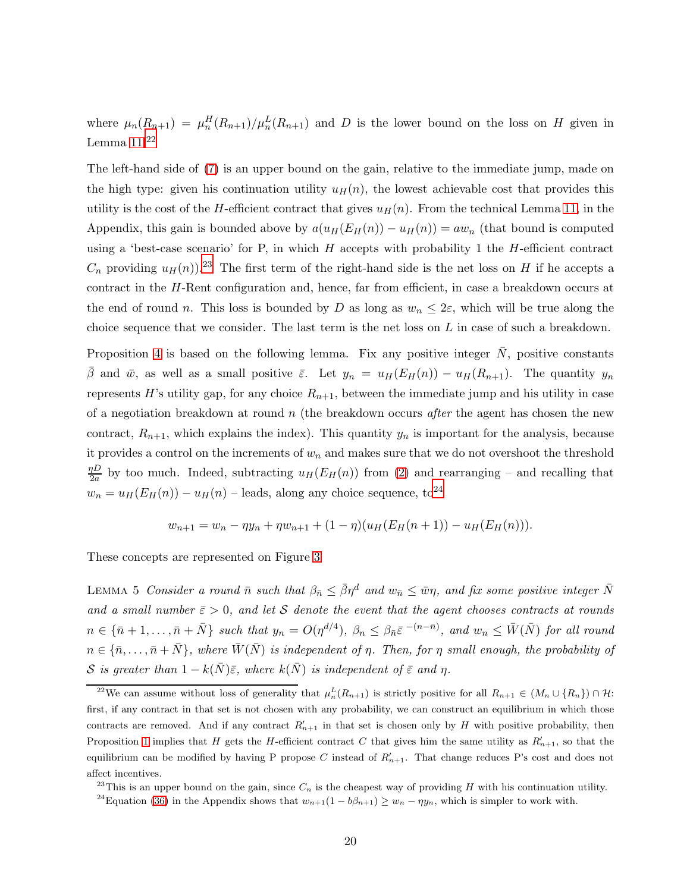where  $\mu_n(R_{n+1}) = \mu_n^H(R_{n+1})/\mu_n^L(R_{n+1})$  and D is the lower bound on the loss on H given in Lemma  $11.22$  $11.22$ 

The left-hand side of [\(7\)](#page-18-3) is an upper bound on the gain, relative to the immediate jump, made on the high type: given his continuation utility  $u_H(n)$ , the lowest achievable cost that provides this utility is the cost of the H-efficient contract that gives  $u_H(n)$ . From the technical Lemma [11,](#page-38-0) in the Appendix, this gain is bounded above by  $a(u_H(E_H(n)) - u_H(n)) = aw_n$  (that bound is computed using a 'best-case scenario' for P, in which  $H$  accepts with probability 1 the  $H$ -efficient contract  $C_n$  providing  $u_H(n)$ .<sup>[23](#page-19-1)</sup> The first term of the right-hand side is the net loss on H if he accepts a contract in the H-Rent configuration and, hence, far from efficient, in case a breakdown occurs at the end of round n. This loss is bounded by D as long as  $w_n \leq 2\varepsilon$ , which will be true along the choice sequence that we consider. The last term is the net loss on  $L$  in case of such a breakdown.

Proposition [4](#page-18-4) is based on the following lemma. Fix any positive integer  $N$ , positive constants β and  $\bar{w}$ , as well as a small positive  $\bar{\varepsilon}$ . Let  $y_n = u_H(E_H(n)) - u_H(R_{n+1})$ . The quantity  $y_n$ represents H's utility gap, for any choice  $R_{n+1}$ , between the immediate jump and his utility in case of a negotiation breakdown at round  $n$  (the breakdown occurs *after* the agent has chosen the new contract,  $R_{n+1}$ , which explains the index). This quantity  $y_n$  is important for the analysis, because it provides a control on the increments of  $w_n$  and makes sure that we do not overshoot the threshold  $\eta D$  $\frac{dD}{2a}$  by too much. Indeed, subtracting  $u_H(E_H(n))$  from [\(2\)](#page-14-3) and rearranging – and recalling that  $w_n = u_H(E_H(n)) - u_H(n)$  – leads, along any choice sequence, to<sup>[24](#page-19-2)</sup>

$$
w_{n+1} = w_n - \eta y_n + \eta w_{n+1} + (1 - \eta)(u_H(E_H(n+1)) - u_H(E_H(n))).
$$

<span id="page-19-3"></span>These concepts are represented on Figure [3](#page-20-0)

LEMMA 5 Consider a round  $\bar{n}$  such that  $\beta_{\bar{n}} \leq \bar{\beta}\eta^d$  and  $w_{\bar{n}} \leq \bar{w}\eta$ , and fix some positive integer  $\bar{N}$ and a small number  $\bar{\varepsilon} > 0$ , and let S denote the event that the agent chooses contracts at rounds  $n \in {\overline{n}}+1,\ldots,\bar{n}+\bar{N}$  such that  $y_n = O(\eta^{d/4})$ ,  $\beta_n \leq \beta_{\bar{n}} \bar{\varepsilon}^{-(n-\bar{n})}$ , and  $w_n \leq \bar{W}(\bar{N})$  for all round  $n \in \{\bar{n}, \ldots, \bar{n} + \bar{N}\}\$ , where  $\bar{W}(\bar{N})$  is independent of  $\eta$ . Then, for  $\eta$  small enough, the probability of S is greater than  $1 - k(\bar{N})\bar{\varepsilon}$ , where  $k(\bar{N})$  is independent of  $\bar{\varepsilon}$  and  $\eta$ .

<span id="page-19-0"></span><sup>&</sup>lt;sup>22</sup>We can assume without loss of generality that  $\mu_n^L(R_{n+1})$  is strictly positive for all  $R_{n+1} \in (M_n \cup \{R_n\}) \cap \mathcal{H}$ : first, if any contract in that set is not chosen with any probability, we can construct an equilibrium in which those contracts are removed. And if any contract  $R'_{n+1}$  in that set is chosen only by H with positive probability, then Proposition [1](#page-10-0) implies that H gets the H-efficient contract C that gives him the same utility as  $R'_{n+1}$ , so that the equilibrium can be modified by having P propose C instead of  $R'_{n+1}$ . That change reduces P's cost and does not affect incentives.

<sup>&</sup>lt;sup>23</sup>This is an upper bound on the gain, since  $C_n$  is the cheapest way of providing H with his continuation utility.

<span id="page-19-2"></span><span id="page-19-1"></span><sup>&</sup>lt;sup>24</sup>Equation [\(36\)](#page-38-0) in the Appendix shows that  $w_{n+1}(1 - b\beta_{n+1}) \geq w_n - \eta y_n$ , which is simpler to work with.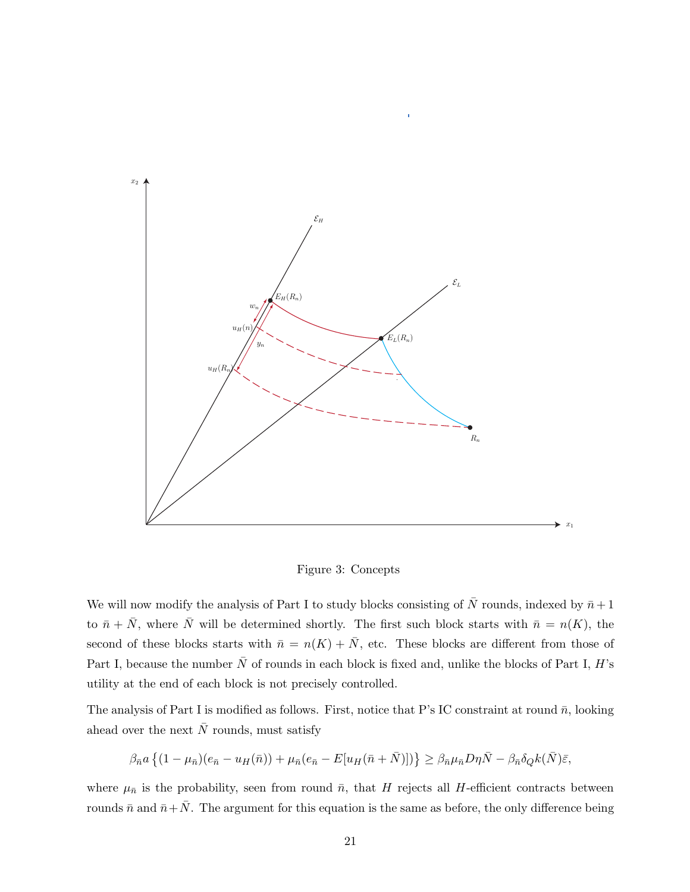

<span id="page-20-0"></span>Figure 3: Concepts

We will now modify the analysis of Part I to study blocks consisting of  $\bar{N}$  rounds, indexed by  $\bar{n} + 1$ to  $\bar{n} + \bar{N}$ , where  $\bar{N}$  will be determined shortly. The first such block starts with  $\bar{n} = n(K)$ , the second of these blocks starts with  $\bar{n} = n(K) + \bar{N}$ , etc. These blocks are different from those of Part I, because the number  $\bar{N}$  of rounds in each block is fixed and, unlike the blocks of Part I, H's utility at the end of each block is not precisely controlled.

The analysis of Part I is modified as follows. First, notice that P's IC constraint at round  $\bar{n}$ , looking ahead over the next  $\bar{N}$  rounds, must satisfy

$$
\beta_{\bar{n}}a\left\{(1-\mu_{\bar{n}})(e_{\bar{n}}-u_H(\bar{n}))+\mu_{\bar{n}}(e_{\bar{n}}-E[u_H(\bar{n}+\bar{N})])\right\}\geq \beta_{\bar{n}}\mu_{\bar{n}}D\eta\bar{N}-\beta_{\bar{n}}\delta_Qk(\bar{N})\bar{\varepsilon},
$$

where  $\mu_{\bar{n}}$  is the probability, seen from round  $\bar{n}$ , that H rejects all H-efficient contracts between rounds  $\bar{n}$  and  $\bar{n}+\bar{N}$ . The argument for this equation is the same as before, the only difference being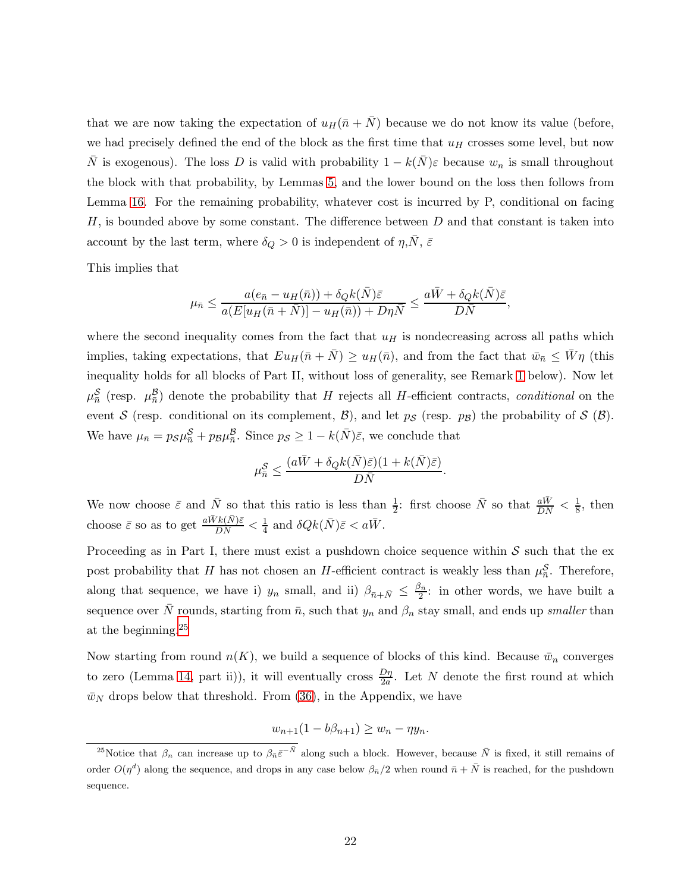that we are now taking the expectation of  $u_H(\bar{n} + \bar{N})$  because we do not know its value (before, we had precisely defined the end of the block as the first time that  $u_H$  crosses some level, but now  $\bar{N}$  is exogenous). The loss D is valid with probability  $1 - k(\bar{N})\varepsilon$  because  $w_n$  is small throughout the block with that probability, by Lemmas [5,](#page-19-3) and the lower bound on the loss then follows from Lemma [16.](#page-42-1) For the remaining probability, whatever cost is incurred by P, conditional on facing  $H$ , is bounded above by some constant. The difference between  $D$  and that constant is taken into account by the last term, where  $\delta_Q > 0$  is independent of  $\eta, \bar{N}, \bar{\varepsilon}$ 

This implies that

$$
\mu_{\bar{n}} \le \frac{a(e_{\bar{n}} - u_H(\bar{n})) + \delta_Q k(\bar{N})\bar{\varepsilon}}{a(E[u_H(\bar{n} + \bar{N})] - u_H(\bar{n})) + D\eta\bar{N}} \le \frac{a\bar{W} + \delta_Q k(\bar{N})\bar{\varepsilon}}{D\bar{N}},
$$

where the second inequality comes from the fact that  $u_H$  is nondecreasing across all paths which implies, taking expectations, that  $Eu_H(\bar{n} + \bar{N}) \geq u_H(\bar{n})$ , and from the fact that  $\bar{w}_{\bar{n}} \leq \bar{W}\eta$  (this inequality holds for all blocks of Part II, without loss of generality, see Remark [1](#page-22-1) below). Now let  $\mu_{\bar{n}}^{S}$  (resp.  $\mu_{\bar{n}}^{B}$ ) denote the probability that H rejects all H-efficient contracts, conditional on the event S (resp. conditional on its complement, B), and let  $p_S$  (resp.  $p_B$ ) the probability of S (B). We have  $\mu_{\bar{n}} = p_S \mu_{\bar{n}}^S + p_B \mu_{\bar{n}}^B$ . Since  $p_S \geq 1 - k(\bar{N})\bar{\varepsilon}$ , we conclude that

$$
\mu_{\bar{n}}^{\mathcal{S}} \leq \frac{(a\bar{W}+\delta_Qk(\bar{N})\bar{\varepsilon})(1+k(\bar{N})\bar{\varepsilon})}{D\bar{N}}.
$$

We now choose  $\bar{\varepsilon}$  and  $\bar{N}$  so that this ratio is less than  $\frac{1}{2}$ : first choose  $\bar{N}$  so that  $\frac{a\bar{W}}{DN} < \frac{1}{8}$  $\frac{1}{8}$ , then choose  $\bar{\varepsilon}$  so as to get  $\frac{a\bar{W}k(\bar{N})\bar{\varepsilon}}{D\bar{N}} < \frac{1}{4}$  $\frac{1}{4}$  and  $\delta Q k(\bar{N}) \bar{\varepsilon} < a \bar{W}$ .

Proceeding as in Part I, there must exist a pushdown choice sequence within  $S$  such that the expost probability that H has not chosen an H-efficient contract is weakly less than  $\mu_n^{\mathcal{S}}$ . Therefore, along that sequence, we have i)  $y_n$  small, and ii)  $\beta_{\bar{n}+\bar{N}} \leq \frac{\beta_{\bar{n}}}{2}$  $\frac{2\pi}{2}$ : in other words, we have built a sequence over N rounds, starting from  $\bar{n}$ , such that  $y_n$  and  $\beta_n$  stay small, and ends up smaller than at the beginning.[25](#page-21-0)

Now starting from round  $n(K)$ , we build a sequence of blocks of this kind. Because  $\bar{w}_n$  converges to zero (Lemma [14,](#page-41-0) part ii)), it will eventually cross  $\frac{D\eta}{2a}$ . Let N denote the first round at which  $\bar{w}_N$  drops below that threshold. From [\(36\)](#page-38-0), in the Appendix, we have

$$
w_{n+1}(1-b\beta_{n+1}) \ge w_n - \eta y_n.
$$

<span id="page-21-0"></span><sup>&</sup>lt;sup>25</sup>Notice that  $\beta_n$  can increase up to  $\beta_{\bar{n}}\bar{\varepsilon}^{-\bar{N}}$  along such a block. However, because  $\bar{N}$  is fixed, it still remains of order  $O(\eta^d)$  along the sequence, and drops in any case below  $\beta_{\bar{n}}/2$  when round  $\bar{n}+\bar{N}$  is reached, for the pushdown sequence.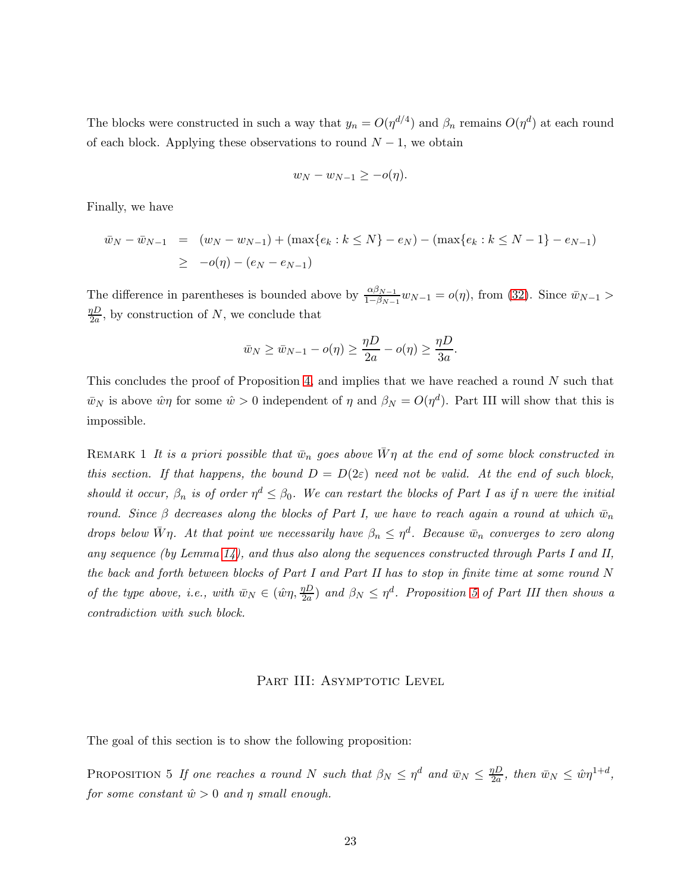The blocks were constructed in such a way that  $y_n = O(\eta^{d/4})$  and  $\beta_n$  remains  $O(\eta^d)$  at each round of each block. Applying these observations to round  $N-1$ , we obtain

$$
w_N - w_{N-1} \ge -o(\eta).
$$

Finally, we have

$$
\bar{w}_N - \bar{w}_{N-1} = (w_N - w_{N-1}) + (\max\{e_k : k \le N\} - e_N) - (\max\{e_k : k \le N-1\} - e_{N-1})
$$
  
\n
$$
\ge -o(\eta) - (e_N - e_{N-1})
$$

The difference in parentheses is bounded above by  $\frac{\alpha\beta_{N-1}}{1-\beta_{N-1}}w_{N-1} = o(\eta)$ , from [\(32\)](#page-38-0). Since  $\bar{w}_{N-1} >$  $\eta D$  $\frac{dD}{2a}$ , by construction of N, we conclude that

$$
\bar{w}_N \ge \bar{w}_{N-1} - o(\eta) \ge \frac{\eta D}{2a} - o(\eta) \ge \frac{\eta D}{3a}.
$$

<span id="page-22-1"></span>This concludes the proof of Proposition [4,](#page-18-4) and implies that we have reached a round N such that  $\bar{w}_N$  is above  $\hat{w}_N$  for some  $\hat{w} > 0$  independent of  $\eta$  and  $\beta_N = O(\eta^d)$ . Part III will show that this is impossible.

REMARK 1 It is a priori possible that  $\bar{w}_n$  goes above  $\bar{W}\eta$  at the end of some block constructed in this section. If that happens, the bound  $D = D(2\varepsilon)$  need not be valid. At the end of such block, should it occur,  $\beta_n$  is of order  $\eta^d \leq \beta_0$ . We can restart the blocks of Part I as if n were the initial round. Since  $\beta$  decreases along the blocks of Part I, we have to reach again a round at which  $\bar{w}_n$ drops below  $\bar{W}\eta$ . At that point we necessarily have  $\beta_n \leq \eta^d$ . Because  $\bar{w}_n$  converges to zero along any sequence (by Lemma [14\)](#page-41-0), and thus also along the sequences constructed through Parts I and II, the back and forth between blocks of Part I and Part II has to stop in finite time at some round N of the type above, i.e., with  $\bar{w}_N \in (\hat{w}\eta, \frac{\eta D}{2a})$  $\frac{pD}{2a}$ ) and  $\beta_N \leq \eta^d$ . Proposition [5](#page-22-0) of Part III then shows a contradiction with such block.

### <span id="page-22-0"></span>PART III: ASYMPTOTIC LEVEL

The goal of this section is to show the following proposition:

PROPOSITION 5 If one reaches a round N such that  $\beta_N \leq \eta^d$  and  $\bar{w}_N \leq \frac{\eta D}{2a}$  $\frac{\eta D}{2a}$ , then  $\bar{w}_N \leq \hat{w}\eta^{1+d}$ , for some constant  $\hat{w} > 0$  and  $\eta$  small enough.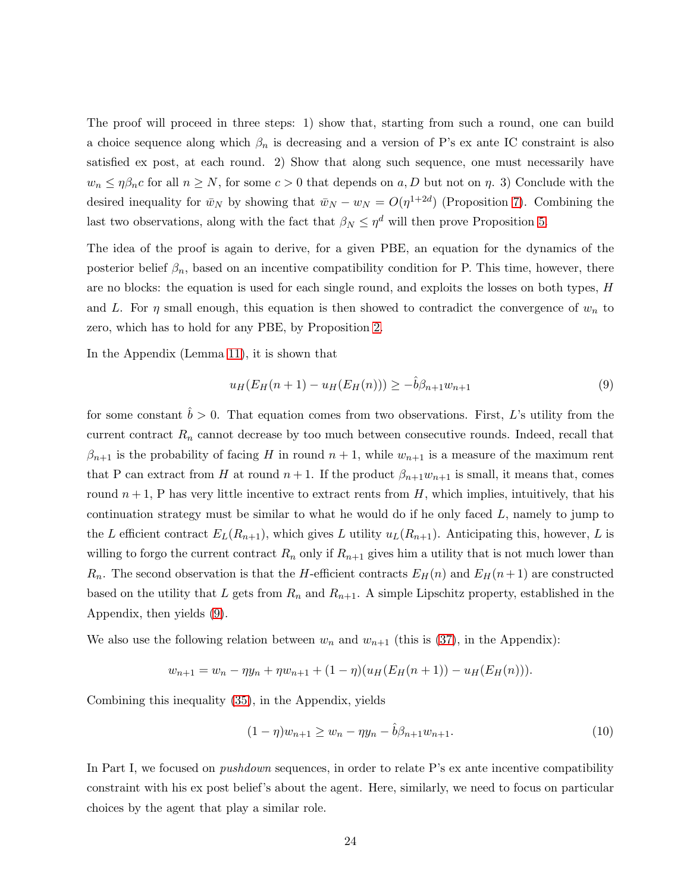The proof will proceed in three steps: 1) show that, starting from such a round, one can build a choice sequence along which  $\beta_n$  is decreasing and a version of P's ex ante IC constraint is also satisfied ex post, at each round. 2) Show that along such sequence, one must necessarily have  $w_n \leq \eta \beta_n c$  for all  $n \geq N$ , for some  $c > 0$  that depends on a, D but not on  $\eta$ . 3) Conclude with the desired inequality for  $\bar{w}_N$  by showing that  $\bar{w}_N - w_N = O(\eta^{1+2d})$  (Proposition [7\)](#page-27-0). Combining the last two observations, along with the fact that  $\beta_N \leq \eta^d$  will then prove Proposition [5.](#page-22-0)

The idea of the proof is again to derive, for a given PBE, an equation for the dynamics of the posterior belief  $\beta_n$ , based on an incentive compatibility condition for P. This time, however, there are no blocks: the equation is used for each single round, and exploits the losses on both types, H and L. For  $\eta$  small enough, this equation is then showed to contradict the convergence of  $w_n$  to zero, which has to hold for any PBE, by Proposition [2.](#page-11-1)

In the Appendix (Lemma [11\)](#page-38-0), it is shown that

<span id="page-23-0"></span>
$$
u_H(E_H(n+1) - u_H(E_H(n))) \ge -\hat{b}\beta_{n+1}w_{n+1} \tag{9}
$$

for some constant  $\hat{b} > 0$ . That equation comes from two observations. First, L's utility from the current contract  $R_n$  cannot decrease by too much between consecutive rounds. Indeed, recall that  $\beta_{n+1}$  is the probability of facing H in round  $n+1$ , while  $w_{n+1}$  is a measure of the maximum rent that P can extract from H at round  $n+1$ . If the product  $\beta_{n+1}w_{n+1}$  is small, it means that, comes round  $n+1$ , P has very little incentive to extract rents from H, which implies, intuitively, that his continuation strategy must be similar to what he would do if he only faced  $L$ , namely to jump to the L efficient contract  $E_L(R_{n+1})$ , which gives L utility  $u_L(R_{n+1})$ . Anticipating this, however, L is willing to forgo the current contract  $R_n$  only if  $R_{n+1}$  gives him a utility that is not much lower than  $R_n$ . The second observation is that the H-efficient contracts  $E_H(n)$  and  $E_H(n+1)$  are constructed based on the utility that L gets from  $R_n$  and  $R_{n+1}$ . A simple Lipschitz property, established in the Appendix, then yields [\(9\)](#page-23-0).

We also use the following relation between  $w_n$  and  $w_{n+1}$  (this is [\(37\)](#page-39-1), in the Appendix):

$$
w_{n+1} = w_n - \eta y_n + \eta w_{n+1} + (1 - \eta)(u_H(E_H(n+1)) - u_H(E_H(n))).
$$

Combining this inequality [\(35\)](#page-38-0), in the Appendix, yields

<span id="page-23-1"></span>
$$
(1 - \eta)w_{n+1} \ge w_n - \eta y_n - \hat{b}\beta_{n+1}w_{n+1}.
$$
\n(10)

In Part I, we focused on *pushdown* sequences, in order to relate P's ex ante incentive compatibility constraint with his ex post belief's about the agent. Here, similarly, we need to focus on particular choices by the agent that play a similar role.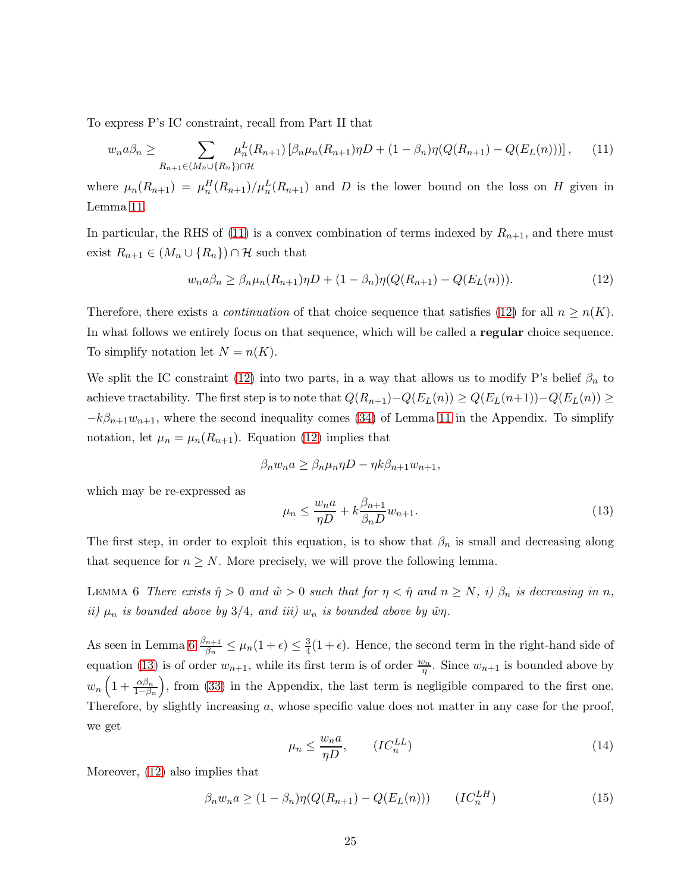To express P's IC constraint, recall from Part II that

$$
w_n a \beta_n \ge \sum_{R_{n+1} \in (M_n \cup \{R_n\}) \cap \mathcal{H}} \mu_n^L(R_{n+1}) \left[ \beta_n \mu_n(R_{n+1}) \eta D + (1 - \beta_n) \eta (Q(R_{n+1}) - Q(E_L(n))) \right], \tag{11}
$$

where  $\mu_n(R_{n+1}) = \mu_n^H(R_{n+1})/\mu_n^L(R_{n+1})$  and D is the lower bound on the loss on H given in Lemma [11.](#page-38-0)

In particular, the RHS of [\(11\)](#page-24-0) is a convex combination of terms indexed by  $R_{n+1}$ , and there must exist  $R_{n+1} \in (M_n \cup \{R_n\}) \cap \mathcal{H}$  such that

<span id="page-24-1"></span><span id="page-24-0"></span>
$$
w_n a \beta_n \ge \beta_n \mu_n(R_{n+1}) \eta D + (1 - \beta_n) \eta (Q(R_{n+1}) - Q(E_L(n))). \tag{12}
$$

Therefore, there exists a *continuation* of that choice sequence that satisfies [\(12\)](#page-24-1) for all  $n \ge n(K)$ . In what follows we entirely focus on that sequence, which will be called a **regular** choice sequence. To simplify notation let  $N = n(K)$ .

We split the IC constraint [\(12\)](#page-24-1) into two parts, in a way that allows us to modify P's belief  $\beta_n$  to achieve tractability. The first step is to note that  $Q(R_{n+1})-Q(E_L(n)) \geq Q(E_L(n+1))-Q(E_L(n)) \geq$  $-k\beta_{n+1}w_{n+1}$ , where the second inequality comes [\(34\)](#page-38-0) of Lemma [11](#page-38-0) in the Appendix. To simplify notation, let  $\mu_n = \mu_n(R_{n+1})$ . Equation [\(12\)](#page-24-1) implies that

<span id="page-24-3"></span>
$$
\beta_n w_n a \ge \beta_n \mu_n \eta D - \eta k \beta_{n+1} w_{n+1},
$$

which may be re-expressed as

$$
\mu_n \le \frac{w_n a}{\eta D} + k \frac{\beta_{n+1}}{\beta_n D} w_{n+1}.
$$
\n(13)

<span id="page-24-2"></span>The first step, in order to exploit this equation, is to show that  $\beta_n$  is small and decreasing along that sequence for  $n \geq N$ . More precisely, we will prove the following lemma.

LEMMA 6 There exists  $\hat{\eta} > 0$  and  $\hat{w} > 0$  such that for  $\eta < \hat{\eta}$  and  $n \ge N$ , i)  $\beta_n$  is decreasing in n, ii)  $\mu_n$  is bounded above by 3/4, and iii)  $w_n$  is bounded above by  $\hat{w}\eta$ .

As seen in Lemma  $6 \frac{\beta_{n+1}}{\beta_n} \leq \mu_n(1+\epsilon) \leq \frac{3}{4}$  $\frac{3}{4}(1+\epsilon)$ . Hence, the second term in the right-hand side of equation [\(13\)](#page-24-3) is of order  $w_{n+1}$ , while its first term is of order  $\frac{w_n}{\eta}$ . Since  $w_{n+1}$  is bounded above by  $w_n\left(1+\frac{\alpha\beta_n}{1-\beta_n}\right)$  , from [\(33\)](#page-38-0) in the Appendix, the last term is negligible compared to the first one. Therefore, by slightly increasing a, whose specific value does not matter in any case for the proof, we get

<span id="page-24-5"></span>
$$
\mu_n \le \frac{w_n a}{\eta D}, \qquad (IC_n^{LL})
$$
\n<sup>(14)</sup>

<span id="page-24-4"></span>Moreover, [\(12\)](#page-24-1) also implies that

$$
\beta_n w_n a \ge (1 - \beta_n) \eta (Q(R_{n+1}) - Q(E_L(n))) \qquad (IC_n^{LH})
$$
\n(15)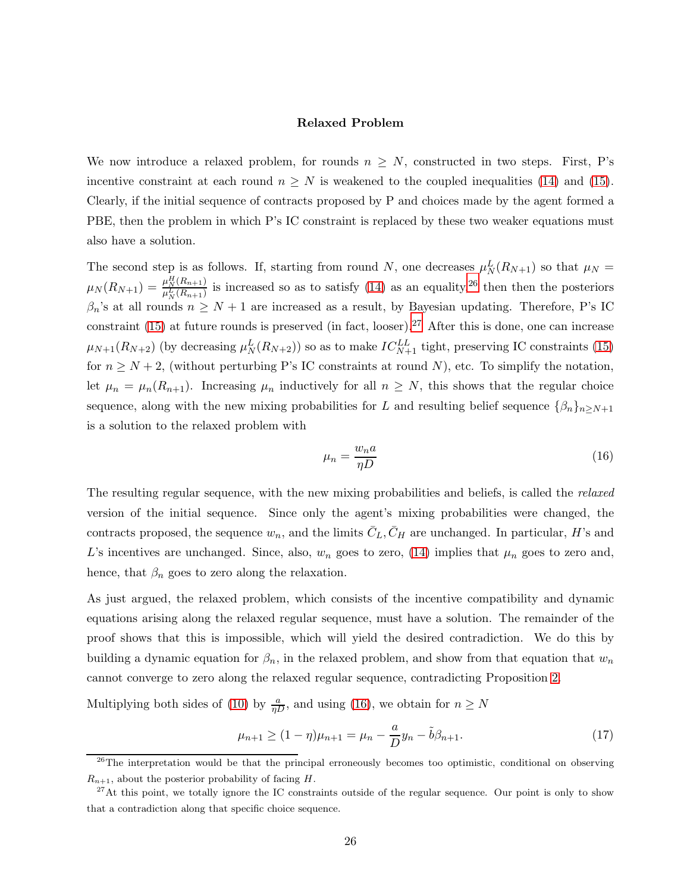### Relaxed Problem

We now introduce a relaxed problem, for rounds  $n \geq N$ , constructed in two steps. First, P's incentive constraint at each round  $n \geq N$  is weakened to the coupled inequalities [\(14\)](#page-24-4) and [\(15\)](#page-24-5). Clearly, if the initial sequence of contracts proposed by P and choices made by the agent formed a PBE, then the problem in which P's IC constraint is replaced by these two weaker equations must also have a solution.

The second step is as follows. If, starting from round N, one decreases  $\mu_N^L(R_{N+1})$  so that  $\mu_N =$  $\mu_N(R_{N+1}) = \frac{\mu_N^H(R_{n+1})}{\mu_N^L(R_{n+1})}$  $\frac{\mu_N^2(R_{n+1})}{\mu_N^L(R_{n+1})}$  is increased so as to satisfy [\(14\)](#page-24-4) as an equality,<sup>[26](#page-25-0)</sup> then then the posteriors  $\beta_n$ 's at all rounds  $n \geq N+1$  are increased as a result, by Bayesian updating. Therefore, P's IC constraint [\(15\)](#page-24-5) at future rounds is preserved (in fact, looser).<sup>[27](#page-25-1)</sup> After this is done, one can increase  $\mu_{N+1}(R_{N+2})$  (by decreasing  $\mu_N^L(R_{N+2})$ ) so as to make  $IC_{N+1}^{LL}$  tight, preserving IC constraints [\(15\)](#page-24-5) for  $n \geq N + 2$ , (without perturbing P's IC constraints at round N), etc. To simplify the notation, let  $\mu_n = \mu_n(R_{n+1})$ . Increasing  $\mu_n$  inductively for all  $n \geq N$ , this shows that the regular choice sequence, along with the new mixing probabilities for L and resulting belief sequence  $\{\beta_n\}_{n\geq N+1}$ is a solution to the relaxed problem with

<span id="page-25-2"></span>
$$
\mu_n = \frac{w_n a}{\eta D} \tag{16}
$$

The resulting regular sequence, with the new mixing probabilities and beliefs, is called the *relaxed* version of the initial sequence. Since only the agent's mixing probabilities were changed, the contracts proposed, the sequence  $w_n$ , and the limits  $\bar{C}_L, \bar{C}_H$  are unchanged. In particular, H's and L's incentives are unchanged. Since, also,  $w_n$  goes to zero, [\(14\)](#page-24-4) implies that  $\mu_n$  goes to zero and, hence, that  $\beta_n$  goes to zero along the relaxation.

As just argued, the relaxed problem, which consists of the incentive compatibility and dynamic equations arising along the relaxed regular sequence, must have a solution. The remainder of the proof shows that this is impossible, which will yield the desired contradiction. We do this by building a dynamic equation for  $\beta_n$ , in the relaxed problem, and show from that equation that  $w_n$ cannot converge to zero along the relaxed regular sequence, contradicting Proposition [2.](#page-11-1)

Multiplying both sides of [\(10\)](#page-23-1) by  $\frac{a}{\eta D}$ , and using [\(16\)](#page-25-2), we obtain for  $n \geq N$ 

<span id="page-25-3"></span>
$$
\mu_{n+1} \ge (1 - \eta)\mu_{n+1} = \mu_n - \frac{a}{D}y_n - \tilde{b}\beta_{n+1}.
$$
\n(17)

<span id="page-25-0"></span><sup>&</sup>lt;sup>26</sup>The interpretation would be that the principal erroneously becomes too optimistic, conditional on observing  $R_{n+1}$ , about the posterior probability of facing H.

<span id="page-25-1"></span><sup>&</sup>lt;sup>27</sup>At this point, we totally ignore the IC constraints outside of the regular sequence. Our point is only to show that a contradiction along that specific choice sequence.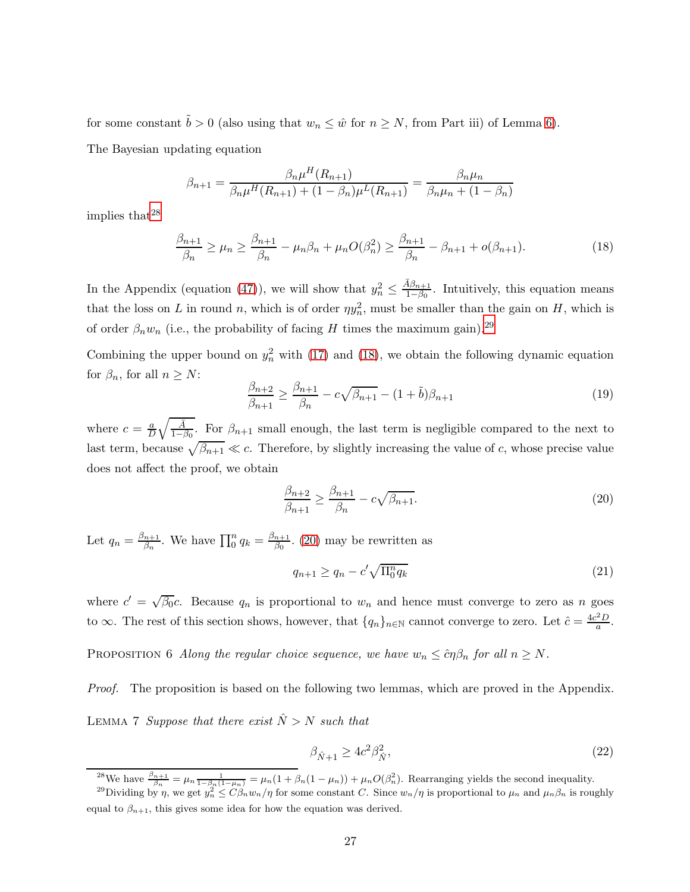for some constant  $\tilde{b} > 0$  (also using that  $w_n \leq \hat{w}$  for  $n \geq N$ , from Part iii) of Lemma [6\)](#page-24-2). The Bayesian updating equation

$$
\beta_{n+1} = \frac{\beta_n \mu^H(R_{n+1})}{\beta_n \mu^H(R_{n+1}) + (1 - \beta_n) \mu^L(R_{n+1})} = \frac{\beta_n \mu_n}{\beta_n \mu_n + (1 - \beta_n)}
$$

implies that  $28$ 

<span id="page-26-2"></span>
$$
\frac{\beta_{n+1}}{\beta_n} \ge \mu_n \ge \frac{\beta_{n+1}}{\beta_n} - \mu_n \beta_n + \mu_n O(\beta_n^2) \ge \frac{\beta_{n+1}}{\beta_n} - \beta_{n+1} + o(\beta_{n+1}).\tag{18}
$$

In the Appendix (equation [\(47\)](#page-45-0)), we will show that  $y_n^2 \n\t\leq$  $\bar{A}\beta_{n+1}$  $\frac{4\rho_{n+1}}{1-\beta_0}$ . Intuitively, this equation means that the loss on L in round n, which is of order  $\eta y_n^2$ , must be smaller than the gain on H, which is of order  $\beta_n w_n$  (i.e., the probability of facing H times the maximum gain).<sup>[29](#page-26-1)</sup>

Combining the upper bound on  $y_n^2$  with [\(17\)](#page-25-3) and [\(18\)](#page-26-2), we obtain the following dynamic equation for  $\beta_n$ , for all  $n \geq N$ :

$$
\frac{\beta_{n+2}}{\beta_{n+1}} \ge \frac{\beta_{n+1}}{\beta_n} - c\sqrt{\beta_{n+1}} - (1+\tilde{b})\beta_{n+1}
$$
\n(19)

where  $c = \frac{a}{L}$  $\frac{a}{D}\sqrt{\frac{\bar{A}}{1-\bar{A}}}$  $\frac{A}{1-\beta_0}$ . For  $\beta_{n+1}$  small enough, the last term is negligible compared to the next to last term, because  $\sqrt{\beta_{n+1}} \ll c$ . Therefore, by slightly increasing the value of c, whose precise value does not affect the proof, we obtain

<span id="page-26-3"></span>
$$
\frac{\beta_{n+2}}{\beta_{n+1}} \ge \frac{\beta_{n+1}}{\beta_n} - c\sqrt{\beta_{n+1}}.\tag{20}
$$

Let  $q_n = \frac{\beta_{n+1}}{\beta_n}$  $\int_{\beta_n}^{h+1}$ . We have  $\prod_0^n q_k = \frac{\beta_{n+1}}{\beta_0}$  $\frac{n+1}{\beta_0}$ . [\(20\)](#page-26-3) may be rewritten as

$$
q_{n+1} \ge q_n - c' \sqrt{\Pi_0^n q_k} \tag{21}
$$

<span id="page-26-4"></span>where  $c' = \sqrt{\beta_0}c$ . Because  $q_n$  is proportional to  $w_n$  and hence must converge to zero as n goes to  $\infty$ . The rest of this section shows, however, that  $\{q_n\}_{n\in\mathbb{N}}$  cannot converge to zero. Let  $\hat{c} = \frac{4c^2D}{a}$  $rac{p}{a}$ .

PROPOSITION 6 Along the regular choice sequence, we have  $w_n \leq c \eta \beta_n$  for all  $n \geq N$ .

<span id="page-26-6"></span>Proof. The proposition is based on the following two lemmas, which are proved in the Appendix. LEMMA 7 Suppose that there exist  $\hat{N} > N$  such that

<span id="page-26-5"></span>
$$
\beta_{\hat{N}+1} \ge 4c^2 \beta_{\hat{N}}^2,\tag{22}
$$

<span id="page-26-0"></span><sup>&</sup>lt;sup>28</sup>We have  $\frac{\beta_{n+1}}{\beta_n} = \mu_n \frac{1}{1-\beta_n(1-\mu_n)} = \mu_n(1+\beta_n(1-\mu_n)) + \mu_n O(\beta_n^2)$ . Rearranging yields the second inequality.

<span id="page-26-1"></span><sup>&</sup>lt;sup>29</sup>Dividing by  $\eta$ , we get  $y_n^2 \leq C \beta_n w_n/\eta$  for some constant C. Since  $w_n/\eta$  is proportional to  $\mu_n$  and  $\mu_n \beta_n$  is roughly equal to  $\beta_{n+1}$ , this gives some idea for how the equation was derived.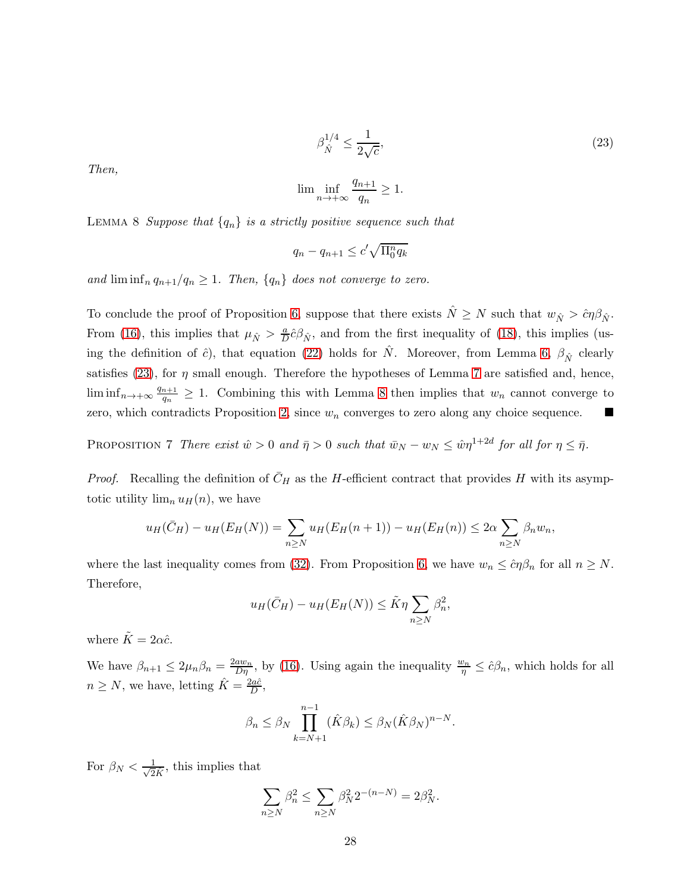$$
\beta_{\hat{N}}^{1/4} \le \frac{1}{2\sqrt{c}},\tag{23}
$$

<span id="page-27-1"></span>Then,

$$
\lim \inf_{n \to +\infty} \frac{q_{n+1}}{q_n} \ge 1.
$$

<span id="page-27-2"></span>LEMMA 8 Suppose that  $\{q_n\}$  is a strictly positive sequence such that

$$
q_n - q_{n+1} \le c' \sqrt{\Pi_0^n q_k}
$$

and  $\liminf_{n} q_{n+1}/q_n \geq 1$ . Then,  $\{q_n\}$  does not converge to zero.

To conclude the proof of Proposition [6,](#page-26-4) suppose that there exists  $\hat{N} \geq N$  such that  $w_{\hat{N}} > \hat{c}\eta\beta_{\hat{N}}$ . From [\(16\)](#page-25-2), this implies that  $\mu_{\hat{N}} > \frac{a}{D}$  $\frac{a}{D}\hat{c}\beta_{\hat{N}}$ , and from the first inequality of [\(18\)](#page-26-2), this implies (using the definition of  $\hat{c}$ ), that equation [\(22\)](#page-26-5) holds for  $\hat{N}$ . Moreover, from Lemma [6,](#page-24-2)  $\beta_{\hat{N}}$  clearly satisfies [\(23\)](#page-27-1), for  $\eta$  small enough. Therefore the hypotheses of Lemma [7](#page-26-6) are satisfied and, hence,  $\liminf_{n\to+\infty}\frac{q_{n+1}}{q_n}$  $\frac{q_{n+1}}{q_n} \geq 1$ . Combining this with Lemma [8](#page-27-2) then implies that  $w_n$  cannot converge to zero, which contradicts Proposition [2,](#page-11-1) since  $w_n$  converges to zero along any choice sequence.

<span id="page-27-0"></span>PROPOSITION 7 There exist  $\hat{w} > 0$  and  $\bar{\eta} > 0$  such that  $\bar{w}_N - w_N \leq \hat{w}\eta^{1+2d}$  for all for  $\eta \leq \bar{\eta}$ .

*Proof.* Recalling the definition of  $\bar{C}_H$  as the H-efficient contract that provides H with its asymptotic utility  $\lim_n u_H(n)$ , we have

$$
u_H(\bar{C}_H) - u_H(E_H(N)) = \sum_{n \ge N} u_H(E_H(n+1)) - u_H(E_H(n)) \le 2\alpha \sum_{n \ge N} \beta_n w_n,
$$

where the last inequality comes from [\(32\)](#page-38-0). From Proposition [6,](#page-26-4) we have  $w_n \leq c \eta \beta_n$  for all  $n \geq N$ . Therefore,

$$
u_H(\bar{C}_H) - u_H(E_H(N)) \leq \tilde{K}\eta \sum_{n \geq N} \beta_n^2,
$$

where  $\tilde{K} = 2\alpha \hat{c}$ .

We have  $\beta_{n+1} \leq 2\mu_n \beta_n = \frac{2aw_n}{D\eta}$ , by [\(16\)](#page-25-2). Using again the inequality  $\frac{w_n}{\eta} \leq \hat{c}\beta_n$ , which holds for all  $n \ge N$ , we have, letting  $\hat{K} = \frac{2a\hat{c}}{D}$ ,

$$
\beta_n \le \beta_N \prod_{k=N+1}^{n-1} (\hat{K}\beta_k) \le \beta_N (\hat{K}\beta_N)^{n-N}.
$$

For  $\beta_N < \frac{1}{\sqrt{2}\hat{K}}$ , this implies that

$$
\sum_{n\geq N} \beta_n^2 \leq \sum_{n\geq N} \beta_N^2 2^{-(n-N)} = 2\beta_N^2.
$$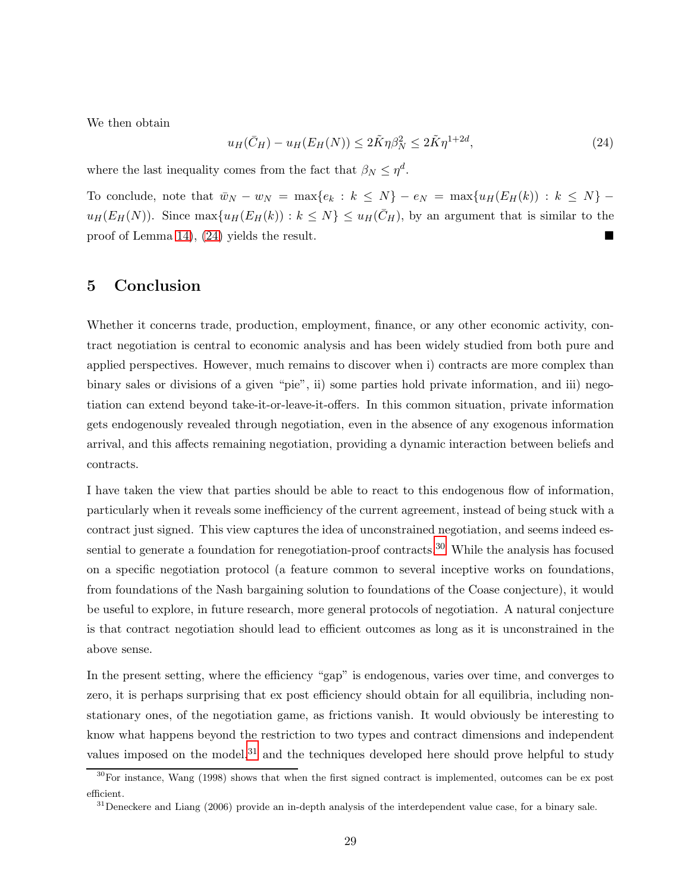We then obtain

<span id="page-28-0"></span>
$$
u_H(\bar{C}_H) - u_H(E_H(N)) \le 2\tilde{K}\eta \beta_N^2 \le 2\tilde{K}\eta^{1+2d},\tag{24}
$$

where the last inequality comes from the fact that  $\beta_N \leq \eta^d$ .

To conclude, note that  $\bar{w}_N - w_N = \max\{e_k : k \leq N\} - e_N = \max\{u_H(E_H(k)) : k \leq N\}$  $u_H(E_H(N))$ . Since  $\max\{u_H(E_H(k)) : k \leq N\} \leq u_H(\bar{C}_H)$ , by an argument that is similar to the proof of Lemma [14\)](#page-41-0), [\(24\)](#page-28-0) yields the result.

### 5 Conclusion

Whether it concerns trade, production, employment, finance, or any other economic activity, contract negotiation is central to economic analysis and has been widely studied from both pure and applied perspectives. However, much remains to discover when i) contracts are more complex than binary sales or divisions of a given "pie", ii) some parties hold private information, and iii) negotiation can extend beyond take-it-or-leave-it-offers. In this common situation, private information gets endogenously revealed through negotiation, even in the absence of any exogenous information arrival, and this affects remaining negotiation, providing a dynamic interaction between beliefs and contracts.

I have taken the view that parties should be able to react to this endogenous flow of information, particularly when it reveals some inefficiency of the current agreement, instead of being stuck with a contract just signed. This view captures the idea of unconstrained negotiation, and seems indeed es-sential to generate a foundation for renegotiation-proof contracts.<sup>[30](#page-28-1)</sup> While the analysis has focused on a specific negotiation protocol (a feature common to several inceptive works on foundations, from foundations of the Nash bargaining solution to foundations of the Coase conjecture), it would be useful to explore, in future research, more general protocols of negotiation. A natural conjecture is that contract negotiation should lead to efficient outcomes as long as it is unconstrained in the above sense.

In the present setting, where the efficiency "gap" is endogenous, varies over time, and converges to zero, it is perhaps surprising that ex post efficiency should obtain for all equilibria, including nonstationary ones, of the negotiation game, as frictions vanish. It would obviously be interesting to know what happens beyond the restriction to two types and contract dimensions and independent values imposed on the model, $31$  and the techniques developed here should prove helpful to study

 $30$ For instance, Wang (1998) shows that when the first signed contract is implemented, outcomes can be ex post efficient.

<span id="page-28-2"></span><span id="page-28-1"></span> $31$ Deneckere and Liang (2006) provide an in-depth analysis of the interdependent value case, for a binary sale.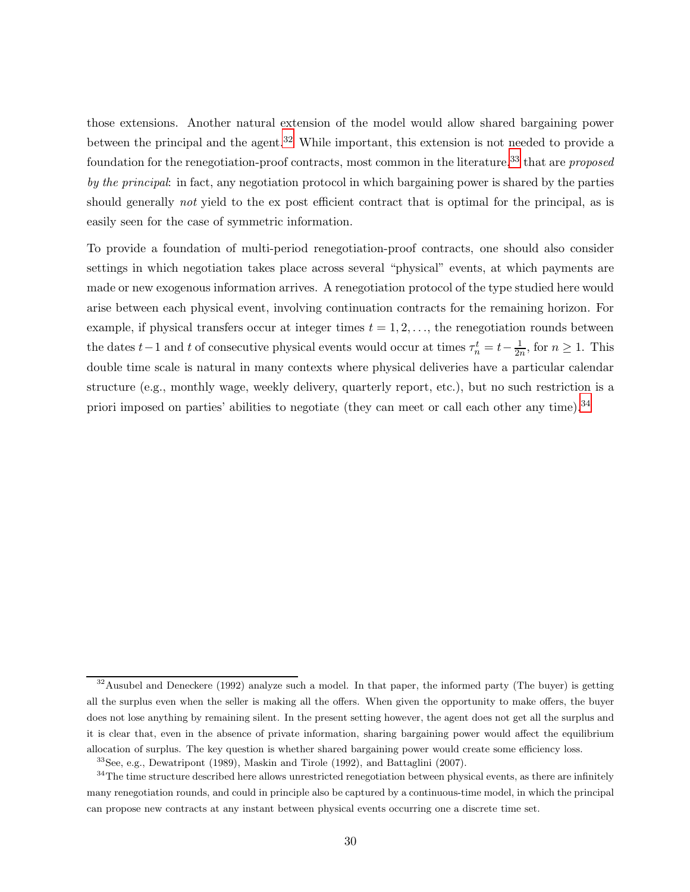those extensions. Another natural extension of the model would allow shared bargaining power between the principal and the agent.<sup>[32](#page-29-0)</sup> While important, this extension is not needed to provide a foundation for the renegotiation-proof contracts, most common in the literature,<sup>[33](#page-29-1)</sup> that are proposed by the principal: in fact, any negotiation protocol in which bargaining power is shared by the parties should generally *not* yield to the ex post efficient contract that is optimal for the principal, as is easily seen for the case of symmetric information.

To provide a foundation of multi-period renegotiation-proof contracts, one should also consider settings in which negotiation takes place across several "physical" events, at which payments are made or new exogenous information arrives. A renegotiation protocol of the type studied here would arise between each physical event, involving continuation contracts for the remaining horizon. For example, if physical transfers occur at integer times  $t = 1, 2, \ldots$ , the renegotiation rounds between the dates  $t-1$  and t of consecutive physical events would occur at times  $\tau_n^t = t - \frac{1}{2n}$ , for  $n \ge 1$ . This double time scale is natural in many contexts where physical deliveries have a particular calendar structure (e.g., monthly wage, weekly delivery, quarterly report, etc.), but no such restriction is a priori imposed on parties' abilities to negotiate (they can meet or call each other any time).<sup>[34](#page-29-2)</sup>

<span id="page-29-0"></span><sup>&</sup>lt;sup>32</sup>Ausubel and Deneckere (1992) analyze such a model. In that paper, the informed party (The buyer) is getting all the surplus even when the seller is making all the offers. When given the opportunity to make offers, the buyer does not lose anything by remaining silent. In the present setting however, the agent does not get all the surplus and it is clear that, even in the absence of private information, sharing bargaining power would affect the equilibrium allocation of surplus. The key question is whether shared bargaining power would create some efficiency loss.

<span id="page-29-1"></span><sup>33</sup>See, e.g., Dewatripont (1989), Maskin and Tirole (1992), and Battaglini (2007).

<span id="page-29-2"></span> $34$ The time structure described here allows unrestricted renegotiation between physical events, as there are infinitely many renegotiation rounds, and could in principle also be captured by a continuous-time model, in which the principal can propose new contracts at any instant between physical events occurring one a discrete time set.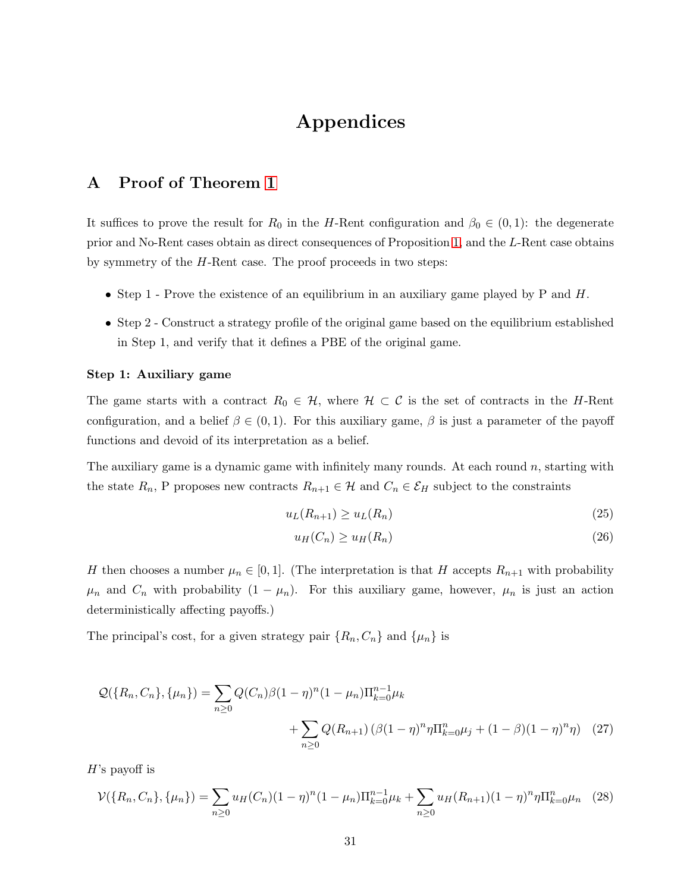# Appendices

# A Proof of Theorem [1](#page-5-2)

It suffices to prove the result for  $R_0$  in the H-Rent configuration and  $\beta_0 \in (0,1)$ : the degenerate prior and No-Rent cases obtain as direct consequences of Proposition [1,](#page-10-0) and the L-Rent case obtains by symmetry of the H-Rent case. The proof proceeds in two steps:

- Step 1 Prove the existence of an equilibrium in an auxiliary game played by  $P$  and  $H$ .
- Step 2 Construct a strategy profile of the original game based on the equilibrium established in Step 1, and verify that it defines a PBE of the original game.

### Step 1: Auxiliary game

The game starts with a contract  $R_0 \in \mathcal{H}$ , where  $\mathcal{H} \subset \mathcal{C}$  is the set of contracts in the H-Rent configuration, and a belief  $\beta \in (0, 1)$ . For this auxiliary game,  $\beta$  is just a parameter of the payoff functions and devoid of its interpretation as a belief.

The auxiliary game is a dynamic game with infinitely many rounds. At each round  $n$ , starting with the state  $R_n$ , P proposes new contracts  $R_{n+1} \in \mathcal{H}$  and  $C_n \in \mathcal{E}_H$  subject to the constraints

<span id="page-30-0"></span>
$$
u_L(R_{n+1}) \ge u_L(R_n) \tag{25}
$$

$$
u_H(C_n) \ge u_H(R_n) \tag{26}
$$

H then chooses a number  $\mu_n \in [0,1]$ . (The interpretation is that H accepts  $R_{n+1}$  with probability  $\mu_n$  and  $C_n$  with probability  $(1 - \mu_n)$ . For this auxiliary game, however,  $\mu_n$  is just an action deterministically affecting payoffs.)

The principal's cost, for a given strategy pair  $\{R_n, C_n\}$  and  $\{\mu_n\}$  is

$$
\mathcal{Q}(\{R_n, C_n\}, \{\mu_n\}) = \sum_{n \ge 0} Q(C_n) \beta (1 - \eta)^n (1 - \mu_n) \Pi_{k=0}^{n-1} \mu_k + \sum_{n \ge 0} Q(R_{n+1}) (\beta (1 - \eta)^n \eta \Pi_{k=0}^n \mu_j + (1 - \beta)(1 - \eta)^n \eta) \tag{27}
$$

 $H$ 's payoff is

<span id="page-30-1"></span>
$$
\mathcal{V}(\{R_n, C_n\}, \{\mu_n\}) = \sum_{n \ge 0} u_H(C_n)(1 - \eta)^n (1 - \mu_n) \Pi_{k=0}^{n-1} \mu_k + \sum_{n \ge 0} u_H(R_{n+1})(1 - \eta)^n \eta \Pi_{k=0}^n \mu_n \tag{28}
$$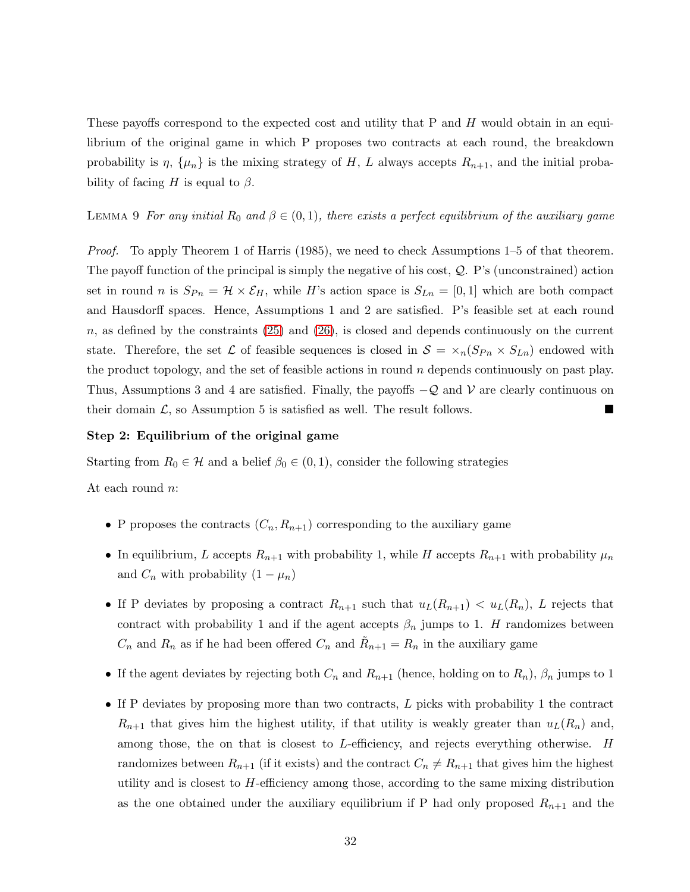These payoffs correspond to the expected cost and utility that P and H would obtain in an equilibrium of the original game in which P proposes two contracts at each round, the breakdown probability is  $\eta$ ,  $\{\mu_n\}$  is the mixing strategy of H, L always accepts  $R_{n+1}$ , and the initial probability of facing H is equal to  $\beta$ .

LEMMA 9 For any initial  $R_0$  and  $\beta \in (0,1)$ , there exists a perfect equilibrium of the auxiliary game

Proof. To apply Theorem 1 of Harris (1985), we need to check Assumptions 1–5 of that theorem. The payoff function of the principal is simply the negative of his cost,  $\mathcal{Q}$ . P's (unconstrained) action set in round n is  $S_{Pn} = \mathcal{H} \times \mathcal{E}_H$ , while H's action space is  $S_{Ln} = [0, 1]$  which are both compact and Hausdorff spaces. Hence, Assumptions 1 and 2 are satisfied. P's feasible set at each round  $n$ , as defined by the constraints [\(25\)](#page-30-0) and [\(26\)](#page-30-0), is closed and depends continuously on the current state. Therefore, the set  $\mathcal L$  of feasible sequences is closed in  $\mathcal S = \times_n(S_{P_n} \times S_{Ln})$  endowed with the product topology, and the set of feasible actions in round  $n$  depends continuously on past play. Thus, Assumptions 3 and 4 are satisfied. Finally, the payoffs  $-Q$  and V are clearly continuous on their domain  $\mathcal{L}$ , so Assumption 5 is satisfied as well. The result follows.

### Step 2: Equilibrium of the original game

Starting from  $R_0 \in \mathcal{H}$  and a belief  $\beta_0 \in (0,1)$ , consider the following strategies

At each round n:

- P proposes the contracts  $(C_n, R_{n+1})$  corresponding to the auxiliary game
- In equilibrium, L accepts  $R_{n+1}$  with probability 1, while H accepts  $R_{n+1}$  with probability  $\mu_n$ and  $C_n$  with probability  $(1 - \mu_n)$
- If P deviates by proposing a contract  $R_{n+1}$  such that  $u_L(R_{n+1}) < u_L(R_n)$ , L rejects that contract with probability 1 and if the agent accepts  $\beta_n$  jumps to 1. H randomizes between  $C_n$  and  $R_n$  as if he had been offered  $C_n$  and  $\tilde{R}_{n+1} = R_n$  in the auxiliary game
- If the agent deviates by rejecting both  $C_n$  and  $R_{n+1}$  (hence, holding on to  $R_n$ ),  $\beta_n$  jumps to 1
- If P deviates by proposing more than two contracts, L picks with probability 1 the contract  $R_{n+1}$  that gives him the highest utility, if that utility is weakly greater than  $u<sub>L</sub>(R<sub>n</sub>)$  and, among those, the on that is closest to L-efficiency, and rejects everything otherwise. H randomizes between  $R_{n+1}$  (if it exists) and the contract  $C_n \neq R_{n+1}$  that gives him the highest utility and is closest to  $H$ -efficiency among those, according to the same mixing distribution as the one obtained under the auxiliary equilibrium if P had only proposed  $R_{n+1}$  and the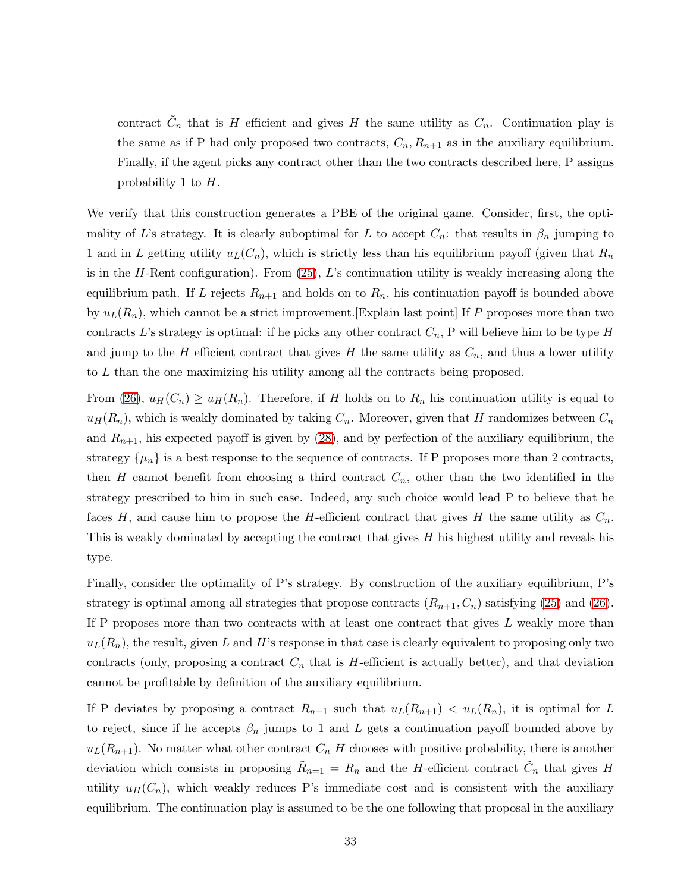contract  $\tilde{C}_n$  that is H efficient and gives H the same utility as  $C_n$ . Continuation play is the same as if P had only proposed two contracts,  $C_n, R_{n+1}$  as in the auxiliary equilibrium. Finally, if the agent picks any contract other than the two contracts described here, P assigns probability 1 to H.

We verify that this construction generates a PBE of the original game. Consider, first, the optimality of L's strategy. It is clearly suboptimal for L to accept  $C_n$ : that results in  $\beta_n$  jumping to 1 and in L getting utility  $u_L(C_n)$ , which is strictly less than his equilibrium payoff (given that  $R_n$ ) is in the H-Rent configuration). From  $(25)$ , L's continuation utility is weakly increasing along the equilibrium path. If L rejects  $R_{n+1}$  and holds on to  $R_n$ , his continuation payoff is bounded above by  $u_L(R_n)$ , which cannot be a strict improvement. Explain last point If P proposes more than two contracts L's strategy is optimal: if he picks any other contract  $C_n$ , P will believe him to be type H and jump to the H efficient contract that gives H the same utility as  $C_n$ , and thus a lower utility to L than the one maximizing his utility among all the contracts being proposed.

From  $(26)$ ,  $u_H(C_n) \geq u_H(R_n)$ . Therefore, if H holds on to  $R_n$  his continuation utility is equal to  $u_H(R_n)$ , which is weakly dominated by taking  $C_n$ . Moreover, given that H randomizes between  $C_n$ and  $R_{n+1}$ , his expected payoff is given by [\(28\)](#page-30-1), and by perfection of the auxiliary equilibrium, the strategy  $\{\mu_n\}$  is a best response to the sequence of contracts. If P proposes more than 2 contracts, then H cannot benefit from choosing a third contract  $C_n$ , other than the two identified in the strategy prescribed to him in such case. Indeed, any such choice would lead P to believe that he faces H, and cause him to propose the H-efficient contract that gives H the same utility as  $C_n$ . This is weakly dominated by accepting the contract that gives  $H$  his highest utility and reveals his type.

Finally, consider the optimality of P's strategy. By construction of the auxiliary equilibrium, P's strategy is optimal among all strategies that propose contracts  $(R_{n+1}, C_n)$  satisfying [\(25\)](#page-30-0) and [\(26\)](#page-30-0). If P proposes more than two contracts with at least one contract that gives L weakly more than  $u_L(R_n)$ , the result, given L and H's response in that case is clearly equivalent to proposing only two contracts (only, proposing a contract  $C_n$  that is H-efficient is actually better), and that deviation cannot be profitable by definition of the auxiliary equilibrium.

If P deviates by proposing a contract  $R_{n+1}$  such that  $u_L(R_{n+1}) < u_L(R_n)$ , it is optimal for L to reject, since if he accepts  $\beta_n$  jumps to 1 and L gets a continuation payoff bounded above by  $u_L(R_{n+1})$ . No matter what other contract  $C_n$  H chooses with positive probability, there is another deviation which consists in proposing  $\tilde{R}_{n=1} = R_n$  and the H-efficient contract  $\tilde{C}_n$  that gives H utility  $u_H(C_n)$ , which weakly reduces P's immediate cost and is consistent with the auxiliary equilibrium. The continuation play is assumed to be the one following that proposal in the auxiliary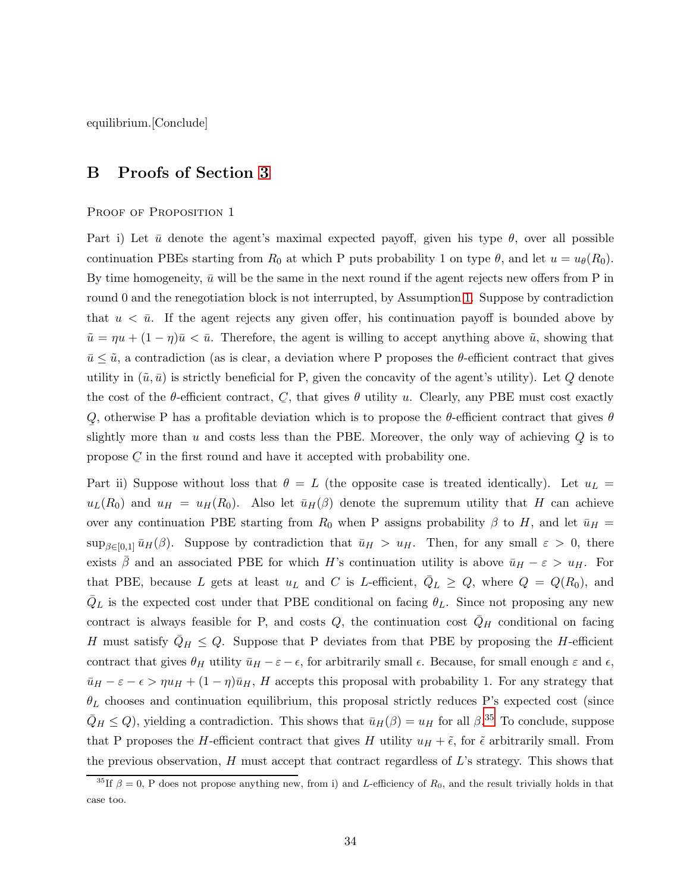equilibrium.[Conclude]

# B Proofs of Section [3](#page-10-3)

### PROOF OF PROPOSITION 1

Part i) Let  $\bar{u}$  denote the agent's maximal expected payoff, given his type  $\theta$ , over all possible continuation PBEs starting from  $R_0$  at which P puts probability 1 on type  $\theta$ , and let  $u = u_{\theta}(R_0)$ . By time homogeneity,  $\bar{u}$  will be the same in the next round if the agent rejects new offers from P in round 0 and the renegotiation block is not interrupted, by Assumption [1.](#page-5-1) Suppose by contradiction that  $u < \bar{u}$ . If the agent rejects any given offer, his continuation payoff is bounded above by  $\tilde{u} = \eta u + (1 - \eta)\bar{u} < \bar{u}$ . Therefore, the agent is willing to accept anything above  $\tilde{u}$ , showing that  $\bar{u} \leq \tilde{u}$ , a contradiction (as is clear, a deviation where P proposes the  $\theta$ -efficient contract that gives utility in  $(\tilde{u}, \bar{u})$  is strictly beneficial for P, given the concavity of the agent's utility). Let Q denote ¯ the cost of the  $\theta$ -efficient contract, C, that gives  $\theta$  utility u. Clearly, any PBE must cost exactly Q, otherwise P has a profitable deviation which is to propose the  $\theta$ -efficient contract that gives  $\theta$ ¯ slightly more than u and costs less than the PBE. Moreover, the only way of achieving  $Q$  is to ¯ propose  $C$  in the first round and have it accepted with probability one.

Part ii) Suppose without loss that  $\theta = L$  (the opposite case is treated identically). Let  $u_L =$  $u_L(R_0)$  and  $u_H = u_H(R_0)$ . Also let  $\bar{u}_H(\beta)$  denote the supremum utility that H can achieve over any continuation PBE starting from  $R_0$  when P assigns probability  $\beta$  to H, and let  $\bar{u}_H$  =  $\sup_{\beta\in[0,1]} \bar{u}_H(\beta)$ . Suppose by contradiction that  $\bar{u}_H > u_H$ . Then, for any small  $\varepsilon > 0$ , there exists  $\beta$  and an associated PBE for which H's continuation utility is above  $\bar{u}_H - \varepsilon > u_H$ . For that PBE, because L gets at least  $u<sub>L</sub>$  and C is L-efficient,  $\overline{Q}_L \ge Q$ , where  $Q = Q(R_0)$ , and  $\bar{Q}_L$  is the expected cost under that PBE conditional on facing  $\theta_L$ . Since not proposing any new contract is always feasible for P, and costs  $Q$ , the continuation cost  $\overline{Q}_H$  conditional on facing H must satisfy  $Q_H \leq Q$ . Suppose that P deviates from that PBE by proposing the H-efficient contract that gives  $\theta_H$  utility  $\bar{u}_H - \varepsilon - \epsilon$ , for arbitrarily small  $\epsilon$ . Because, for small enough  $\varepsilon$  and  $\epsilon$ ,  $\bar{u}_H - \varepsilon - \epsilon > \eta u_H + (1 - \eta)\bar{u}_H$ , H accepts this proposal with probability 1. For any strategy that  $\theta_L$  chooses and continuation equilibrium, this proposal strictly reduces P's expected cost (since  $\bar{Q}_H \leq Q$ ), yielding a contradiction. This shows that  $\bar{u}_H(\beta) = u_H$  for all  $\beta$ .<sup>[35](#page-33-0)</sup> To conclude, suppose that P proposes the H-efficient contract that gives H utility  $u_H + \tilde{\epsilon}$ , for  $\tilde{\epsilon}$  arbitrarily small. From the previous observation,  $H$  must accept that contract regardless of  $L$ 's strategy. This shows that

<span id="page-33-0"></span><sup>&</sup>lt;sup>35</sup>If  $\beta = 0$ , P does not propose anything new, from i) and L-efficiency of  $R_0$ , and the result trivially holds in that case too.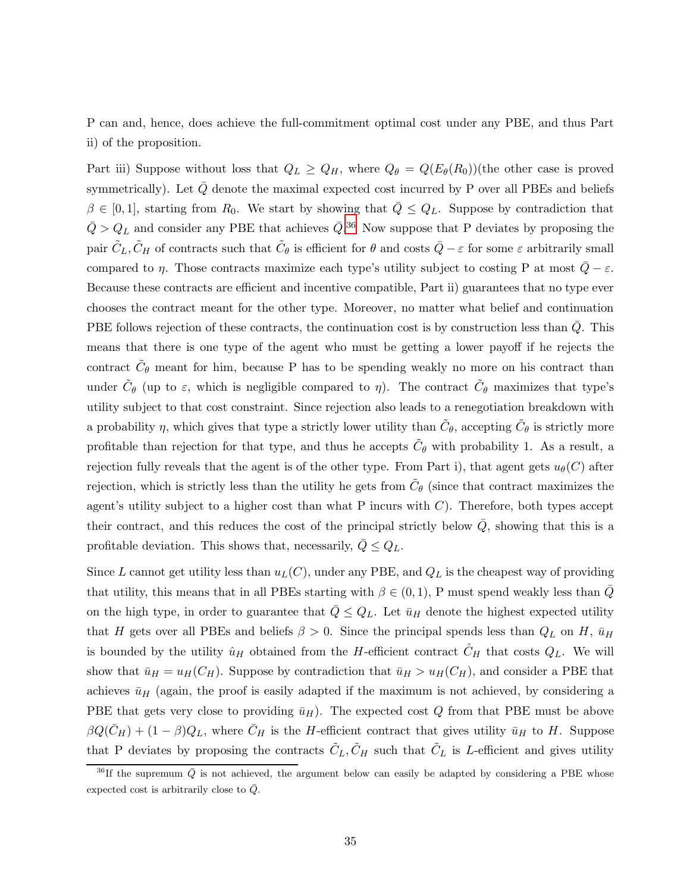P can and, hence, does achieve the full-commitment optimal cost under any PBE, and thus Part ii) of the proposition.

Part iii) Suppose without loss that  $Q_L \geq Q_H$ , where  $Q_\theta = Q(E_\theta(R_0))$  (the other case is proved symmetrically). Let  $\bar{Q}$  denote the maximal expected cost incurred by P over all PBEs and beliefs  $\beta \in [0,1]$ , starting from  $R_0$ . We start by showing that  $Q \leq Q_L$ . Suppose by contradiction that  $\bar{Q} > Q_L$  and consider any PBE that achieves  $\bar{Q}$ <sup>[36](#page-34-0)</sup> Now suppose that P deviates by proposing the pair  $\tilde{C}_L, \tilde{C}_H$  of contracts such that  $\tilde{C}_\theta$  is efficient for  $\theta$  and costs  $\bar{Q}-\varepsilon$  for some  $\varepsilon$  arbitrarily small compared to  $\eta$ . Those contracts maximize each type's utility subject to costing P at most  $\overline{Q}-\varepsilon$ . Because these contracts are efficient and incentive compatible, Part ii) guarantees that no type ever chooses the contract meant for the other type. Moreover, no matter what belief and continuation PBE follows rejection of these contracts, the continuation cost is by construction less than  $Q$ . This means that there is one type of the agent who must be getting a lower payoff if he rejects the contract  $\tilde{C}_{\theta}$  meant for him, because P has to be spending weakly no more on his contract than under  $\tilde{C}_{\theta}$  (up to  $\varepsilon$ , which is negligible compared to  $\eta$ ). The contract  $\tilde{C}_{\theta}$  maximizes that type's utility subject to that cost constraint. Since rejection also leads to a renegotiation breakdown with a probability  $\eta$ , which gives that type a strictly lower utility than  $\tilde{C}_{\theta}$ , accepting  $\tilde{C}_{\theta}$  is strictly more profitable than rejection for that type, and thus he accepts  $\tilde{C}_{\theta}$  with probability 1. As a result, a rejection fully reveals that the agent is of the other type. From Part i), that agent gets  $u_{\theta}(C)$  after rejection, which is strictly less than the utility he gets from  $\tilde{C}_{\theta}$  (since that contract maximizes the agent's utility subject to a higher cost than what  $P$  incurs with  $C$ ). Therefore, both types accept their contract, and this reduces the cost of the principal strictly below  $\overline{Q}$ , showing that this is a profitable deviation. This shows that, necessarily,  $Q \leq Q_L$ .

Since L cannot get utility less than  $u<sub>L</sub>(C)$ , under any PBE, and  $Q<sub>L</sub>$  is the cheapest way of providing that utility, this means that in all PBEs starting with  $\beta \in (0,1)$ , P must spend weakly less than  $\overline{Q}$ on the high type, in order to guarantee that  $\overline{Q} \leq Q_L$ . Let  $\overline{u}_H$  denote the highest expected utility that H gets over all PBEs and beliefs  $\beta > 0$ . Since the principal spends less than  $Q_L$  on H,  $\bar{u}_H$ is bounded by the utility  $\hat{u}_H$  obtained from the H-efficient contract  $C_H$  that costs  $Q_L$ . We will show that  $\bar{u}_H = u_H(C_H)$ . Suppose by contradiction that  $\bar{u}_H > u_H(C_H)$ , and consider a PBE that achieves  $\bar{u}_H$  (again, the proof is easily adapted if the maximum is not achieved, by considering a PBE that gets very close to providing  $\bar{u}_H$ ). The expected cost Q from that PBE must be above  $\beta Q(\bar{C}_H) + (1 - \beta)Q_L$ , where  $\bar{C}_H$  is the H-efficient contract that gives utility  $\bar{u}_H$  to H. Suppose that P deviates by proposing the contracts  $\tilde{C}_L, \tilde{C}_H$  such that  $\tilde{C}_L$  is L-efficient and gives utility

<span id="page-34-0"></span> $^{36}$ If the supremum  $\bar{Q}$  is not achieved, the argument below can easily be adapted by considering a PBE whose expected cost is arbitrarily close to  $Q$ .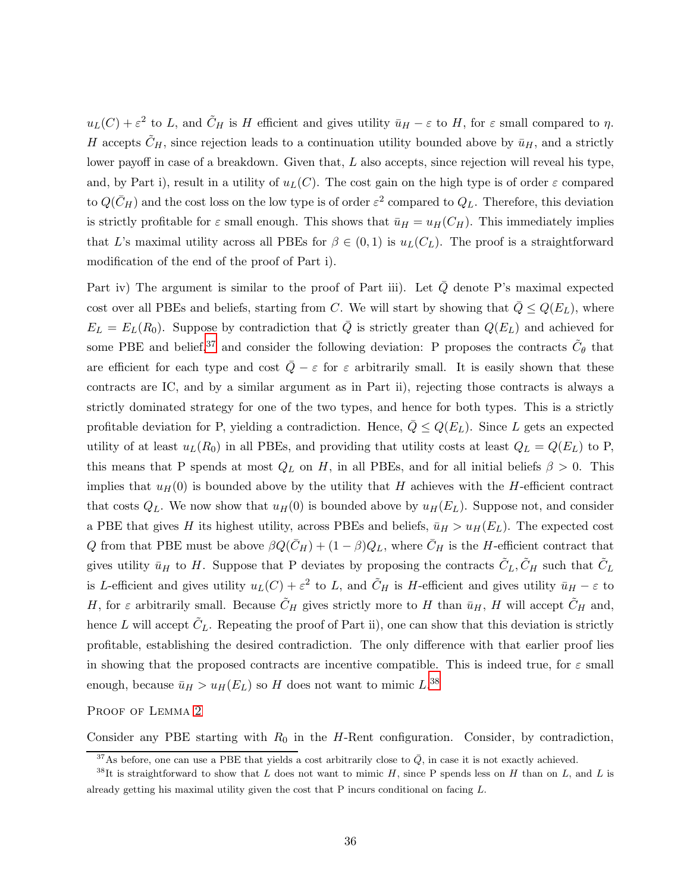$u_L(C) + \varepsilon^2$  to L, and  $\tilde{C}_H$  is H efficient and gives utility  $\bar{u}_H - \varepsilon$  to H, for  $\varepsilon$  small compared to  $\eta$ . H accepts  $\tilde{C}_H$ , since rejection leads to a continuation utility bounded above by  $\bar{u}_H$ , and a strictly lower payoff in case of a breakdown. Given that, L also accepts, since rejection will reveal his type, and, by Part i), result in a utility of  $u<sub>L</sub>(C)$ . The cost gain on the high type is of order  $\varepsilon$  compared to  $Q(\bar{C}_H)$  and the cost loss on the low type is of order  $\varepsilon^2$  compared to  $Q_L$ . Therefore, this deviation is strictly profitable for  $\varepsilon$  small enough. This shows that  $\bar{u}_H = u_H(C_H)$ . This immediately implies that L's maximal utility across all PBEs for  $\beta \in (0,1)$  is  $u_L(C_L)$ . The proof is a straightforward modification of the end of the proof of Part i).

Part iv) The argument is similar to the proof of Part iii). Let  $\overline{Q}$  denote P's maximal expected cost over all PBEs and beliefs, starting from C. We will start by showing that  $\overline{Q} \leq Q(E_L)$ , where  $E_L = E_L(R_0)$ . Suppose by contradiction that  $\overline{Q}$  is strictly greater than  $Q(E_L)$  and achieved for some PBE and belief,<sup>[37](#page-35-0)</sup> and consider the following deviation: P proposes the contracts  $\tilde{C}_{\theta}$  that are efficient for each type and cost  $\overline{Q} - \varepsilon$  for  $\varepsilon$  arbitrarily small. It is easily shown that these contracts are IC, and by a similar argument as in Part ii), rejecting those contracts is always a strictly dominated strategy for one of the two types, and hence for both types. This is a strictly profitable deviation for P, yielding a contradiction. Hence,  $\overline{Q} \leq Q(E_L)$ . Since L gets an expected utility of at least  $u_L(R_0)$  in all PBEs, and providing that utility costs at least  $Q_L = Q(E_L)$  to P, this means that P spends at most  $Q_L$  on H, in all PBEs, and for all initial beliefs  $\beta > 0$ . This implies that  $u_H(0)$  is bounded above by the utility that H achieves with the H-efficient contract that costs  $Q_L$ . We now show that  $u_H(0)$  is bounded above by  $u_H(E_L)$ . Suppose not, and consider a PBE that gives H its highest utility, across PBEs and beliefs,  $\bar{u}_H > u_H (E_L)$ . The expected cost Q from that PBE must be above  $\beta Q(\bar{C}_H) + (1 - \beta)Q_L$ , where  $\bar{C}_H$  is the H-efficient contract that gives utility  $\bar{u}_H$  to H. Suppose that P deviates by proposing the contracts  $\tilde{C}_L, \tilde{C}_H$  such that  $\tilde{C}_L$ is L-efficient and gives utility  $u_L(C) + \varepsilon^2$  to L, and  $\tilde{C}_H$  is H-efficient and gives utility  $\bar{u}_H - \varepsilon$  to H, for  $\varepsilon$  arbitrarily small. Because  $\tilde{C}_H$  gives strictly more to H than  $\bar{u}_H$ , H will accept  $\tilde{C}_H$  and, hence L will accept  $\tilde{C}_L$ . Repeating the proof of Part ii), one can show that this deviation is strictly profitable, establishing the desired contradiction. The only difference with that earlier proof lies in showing that the proposed contracts are incentive compatible. This is indeed true, for  $\varepsilon$  small enough, because  $\bar{u}_H > u_H(E_L)$  so H does not want to mimic  $L^{38}$  $L^{38}$  $L^{38}$ 

PROOF OF LEMMA [2](#page-10-1)

Consider any PBE starting with  $R_0$  in the H-Rent configuration. Consider, by contradiction,

<span id="page-35-0"></span><sup>&</sup>lt;sup>37</sup>As before, one can use a PBE that yields a cost arbitrarily close to  $\overline{Q}$ , in case it is not exactly achieved.

<span id="page-35-1"></span> $38$ It is straightforward to show that L does not want to mimic H, since P spends less on H than on L, and L is already getting his maximal utility given the cost that P incurs conditional on facing L.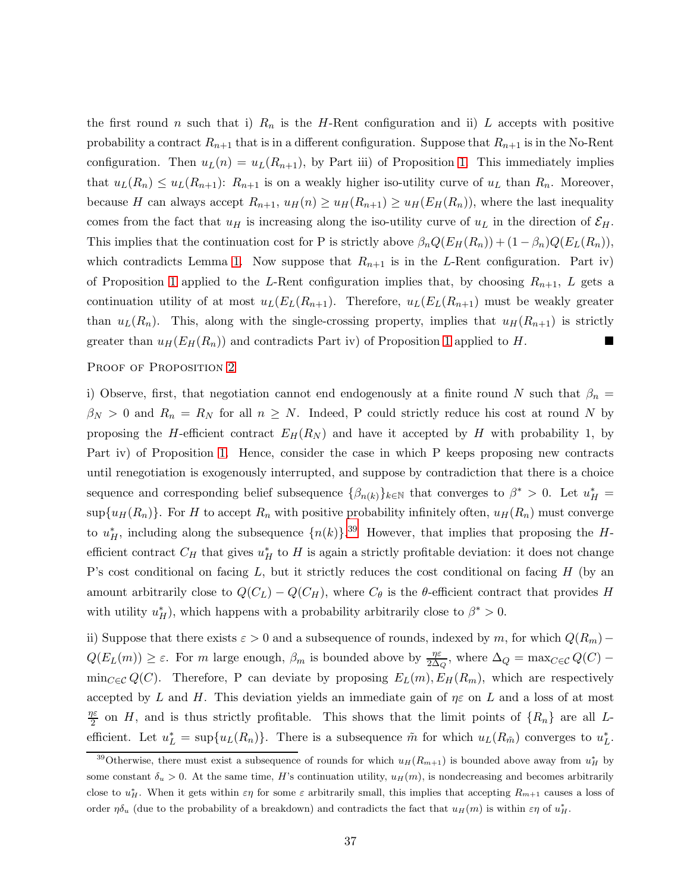the first round n such that i)  $R_n$  is the H-Rent configuration and ii) L accepts with positive probability a contract  $R_{n+1}$  that is in a different configuration. Suppose that  $R_{n+1}$  is in the No-Rent configuration. Then  $u_L(n) = u_L(R_{n+1})$ , by Part iii) of Proposition [1.](#page-10-0) This immediately implies that  $u_L(R_n) \leq u_L(R_{n+1})$ :  $R_{n+1}$  is on a weakly higher iso-utility curve of  $u_L$  than  $R_n$ . Moreover, because H can always accept  $R_{n+1}$ ,  $u_H(n) \geq u_H(R_{n+1}) \geq u_H(E_H(R_n))$ , where the last inequality comes from the fact that  $u_H$  is increasing along the iso-utility curve of  $u_L$  in the direction of  $\mathcal{E}_H$ . This implies that the continuation cost for P is strictly above  $\beta_n Q(E_H(R_n)) + (1 - \beta_n)Q(E_L(R_n))$ , which contradicts Lemma [1.](#page-10-2) Now suppose that  $R_{n+1}$  is in the L-Rent configuration. Part iv) of Proposition [1](#page-10-0) applied to the L-Rent configuration implies that, by choosing  $R_{n+1}$ , L gets a continuation utility of at most  $u_L(E_L(R_{n+1})$ . Therefore,  $u_L(E_L(R_{n+1})$  must be weakly greater than  $u_L(R_n)$ . This, along with the single-crossing property, implies that  $u_H(R_{n+1})$  is strictly greater than  $u_H(E_H(R_n))$  and contradicts Part iv) of Proposition [1](#page-10-0) applied to H.

### PROOF OF PROPOSITION [2](#page-11-1)

i) Observe, first, that negotiation cannot end endogenously at a finite round N such that  $\beta_n =$  $\beta_N > 0$  and  $R_n = R_N$  for all  $n \geq N$ . Indeed, P could strictly reduce his cost at round N by proposing the H-efficient contract  $E_H(R_N)$  and have it accepted by H with probability 1, by Part iv) of Proposition [1.](#page-10-0) Hence, consider the case in which P keeps proposing new contracts until renegotiation is exogenously interrupted, and suppose by contradiction that there is a choice sequence and corresponding belief subsequence  $\{\beta_{n(k)}\}_{k\in\mathbb{N}}$  that converges to  $\beta^* > 0$ . Let  $u_H^* =$  $\sup\{u_H(R_n)\}\.$  For H to accept  $R_n$  with positive probability infinitely often,  $u_H(R_n)$  must converge to  $u^*$ , including along the subsequence  $\{n(k)\}\cdot^{39}$  $\{n(k)\}\cdot^{39}$  $\{n(k)\}\cdot^{39}$  However, that implies that proposing the Hefficient contract  $C_H$  that gives  $u_H^*$  to H is again a strictly profitable deviation: it does not change P's cost conditional on facing  $L$ , but it strictly reduces the cost conditional on facing  $H$  (by an amount arbitrarily close to  $Q(C_L) - Q(C_H)$ , where  $C_{\theta}$  is the  $\theta$ -efficient contract that provides H with utility  $u_H^*$ ), which happens with a probability arbitrarily close to  $\beta^* > 0$ .

ii) Suppose that there exists  $\varepsilon > 0$  and a subsequence of rounds, indexed by m, for which  $Q(R_m)$  –  $Q(E_L(m)) \geq \varepsilon$ . For m large enough,  $\beta_m$  is bounded above by  $\frac{\eta \varepsilon}{2\Delta_Q}$ , where  $\Delta_Q = \max_{C \in \mathcal{C}} Q(C)$  –  $\min_{C \in \mathcal{C}} Q(C)$ . Therefore, P can deviate by proposing  $E_L(m), E_H(R_m)$ , which are respectively accepted by L and H. This deviation yields an immediate gain of  $\eta \varepsilon$  on L and a loss of at most ηε  $\frac{2\varepsilon}{2}$  on H, and is thus strictly profitable. This shows that the limit points of  $\{R_n\}$  are all Lefficient. Let  $u_L^* = \sup\{u_L(R_n)\}\.$  There is a subsequence  $\tilde{m}$  for which  $u_L(R_{\tilde{m}})$  converges to  $u_L^*$ .

<span id="page-36-0"></span><sup>&</sup>lt;sup>39</sup>Otherwise, there must exist a subsequence of rounds for which  $u_H(R_{m+1})$  is bounded above away from  $u_H^*$  by some constant  $\delta_u > 0$ . At the same time, H's continuation utility,  $u_H(m)$ , is nondecreasing and becomes arbitrarily close to  $u_H^*$ . When it gets within  $\varepsilon\eta$  for some  $\varepsilon$  arbitrarily small, this implies that accepting  $R_{m+1}$  causes a loss of order  $\eta \delta_u$  (due to the probability of a breakdown) and contradicts the fact that  $u_H(m)$  is within  $\varepsilon \eta$  of  $u_H^*$ .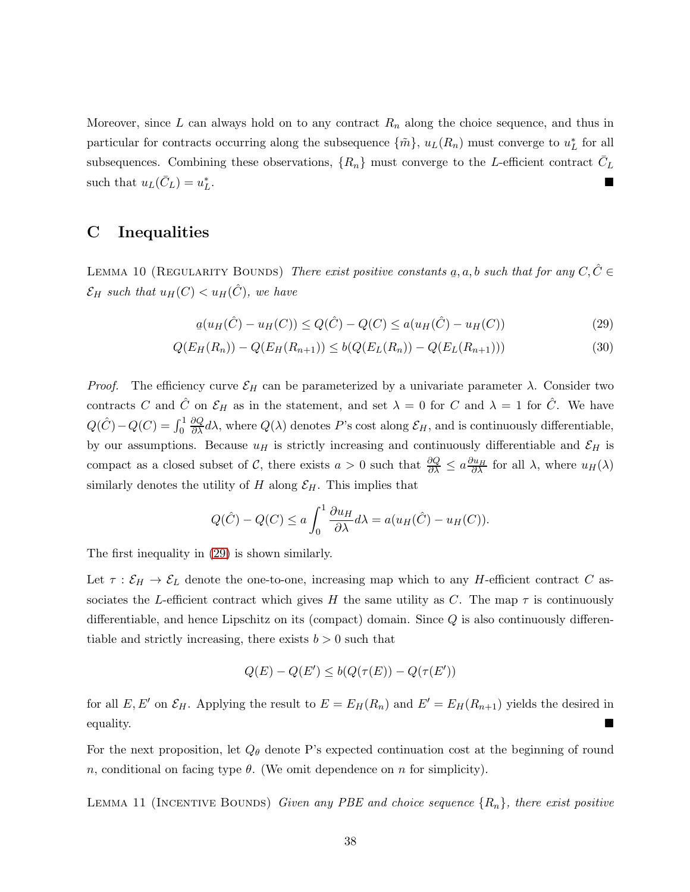Moreover, since L can always hold on to any contract  $R_n$  along the choice sequence, and thus in particular for contracts occurring along the subsequence  $\{\tilde{m}\}, u_L(R_n)$  must converge to  $u_L^*$  for all subsequences. Combining these observations,  $\{R_n\}$  must converge to the L-efficient contract  $\bar{C}_L$ such that  $u_L(\bar{C}_L) = u_L^*$ . In the second control of the second control of the second control of the second control of the second control

## <span id="page-37-0"></span>C Inequalities

LEMMA 10 (REGULARITY BOUNDS) There exist positive constants  $\underline{a}$ ,  $a$ ,  $b$  such that for any  $C, \hat{C} \in$  $\mathcal{E}_H$  such that  $u_H(C) < u_H(\hat{C})$ , we have

<span id="page-37-1"></span>
$$
a(u_H(\hat{C}) - u_H(C)) \le Q(\hat{C}) - Q(C) \le a(u_H(\hat{C}) - u_H(C))
$$
\n(29)

$$
Q(E_H(R_n)) - Q(E_H(R_{n+1})) \le b(Q(E_L(R_n)) - Q(E_L(R_{n+1})))
$$
\n(30)

*Proof.* The efficiency curve  $\mathcal{E}_H$  can be parameterized by a univariate parameter  $\lambda$ . Consider two contracts C and  $\hat{C}$  on  $\mathcal{E}_H$  as in the statement, and set  $\lambda = 0$  for C and  $\lambda = 1$  for  $\hat{C}$ . We have  $Q(\hat{C}) - Q(C) = \int_0^1$  $\frac{\partial Q}{\partial \lambda}d\lambda$ , where  $Q(\lambda)$  denotes P's cost along  $\mathcal{E}_H$ , and is continuously differentiable, by our assumptions. Because  $u_H$  is strictly increasing and continuously differentiable and  $\mathcal{E}_H$  is compact as a closed subset of C, there exists  $a > 0$  such that  $\frac{\partial Q}{\partial \lambda} \le a \frac{\partial u_H}{\partial \lambda}$  for all  $\lambda$ , where  $u_H(\lambda)$ similarly denotes the utility of H along  $\mathcal{E}_H$ . This implies that

$$
Q(\hat{C}) - Q(C) \le a \int_0^1 \frac{\partial u_H}{\partial \lambda} d\lambda = a(u_H(\hat{C}) - u_H(C)).
$$

The first inequality in [\(29\)](#page-37-1) is shown similarly.

Let  $\tau : \mathcal{E}_H \to \mathcal{E}_L$  denote the one-to-one, increasing map which to any H-efficient contract C associates the L-efficient contract which gives H the same utility as C. The map  $\tau$  is continuously differentiable, and hence Lipschitz on its (compact) domain. Since  $Q$  is also continuously differentiable and strictly increasing, there exists  $b > 0$  such that

$$
Q(E) - Q(E') \leq b(Q(\tau(E)) - Q(\tau(E'))
$$

for all E, E' on  $\mathcal{E}_H$ . Applying the result to  $E = E_H(R_n)$  and  $E' = E_H(R_{n+1})$  yields the desired in equality.

For the next proposition, let  $Q_{\theta}$  denote P's expected continuation cost at the beginning of round n, conditional on facing type  $\theta$ . (We omit dependence on n for simplicity).

LEMMA 11 (INCENTIVE BOUNDS) Given any PBE and choice sequence  $\{R_n\}$ , there exist positive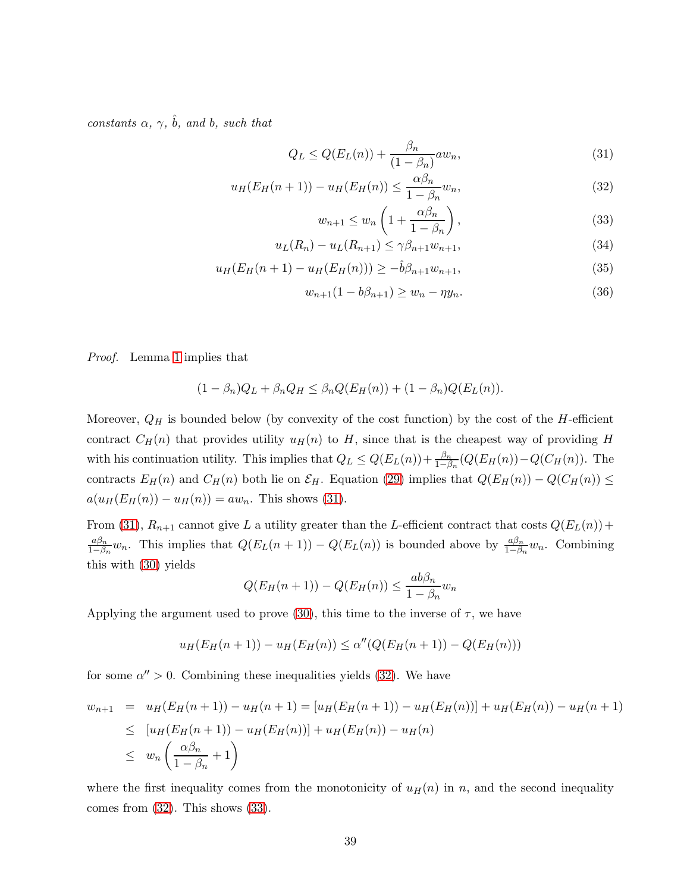constants  $\alpha$ ,  $\gamma$ ,  $\hat{b}$ , and b, such that

<span id="page-38-0"></span>
$$
Q_L \le Q(E_L(n)) + \frac{\beta_n}{(1 - \beta_n)} a w_n,
$$
\n(31)

$$
u_H(E_H(n+1)) - u_H(E_H(n)) \le \frac{\alpha \beta_n}{1 - \beta_n} w_n,
$$
\n(32)

$$
w_{n+1} \le w_n \left( 1 + \frac{\alpha \beta_n}{1 - \beta_n} \right),\tag{33}
$$

$$
u_L(R_n) - u_L(R_{n+1}) \le \gamma \beta_{n+1} w_{n+1},\tag{34}
$$

$$
u_H(E_H(n+1) - u_H(E_H(n))) \ge -\hat{b}\beta_{n+1}w_{n+1},\tag{35}
$$

$$
w_{n+1}(1 - b\beta_{n+1}) \ge w_n - \eta y_n.
$$
\n(36)

Proof. Lemma [1](#page-10-2) implies that

$$
(1 - \beta_n)Q_L + \beta_n Q_H \leq \beta_n Q(E_H(n)) + (1 - \beta_n)Q(E_L(n)).
$$

Moreover,  $Q_H$  is bounded below (by convexity of the cost function) by the cost of the H-efficient contract  $C_H(n)$  that provides utility  $u_H(n)$  to H, since that is the cheapest way of providing H with his continuation utility. This implies that  $Q_L \le Q(E_L(n)) + \frac{\beta_n}{1-\beta_n}(Q(E_H(n)) - Q(C_H(n))$ . The contracts  $E_H(n)$  and  $C_H(n)$  both lie on  $\mathcal{E}_H$ . Equation [\(29\)](#page-37-1) implies that  $Q(E_H(n)) - Q(C_H(n)) \le$  $a(u_H(E_H(n)) - u_H(n)) = aw_n$ . This shows [\(31\)](#page-38-0).

From [\(31\)](#page-38-0),  $R_{n+1}$  cannot give L a utility greater than the L-efficient contract that costs  $Q(E_L(n))$  +  $a\beta_n$  $\frac{a\beta_n}{1-\beta_n}w_n$ . This implies that  $Q(E_L(n+1)) - Q(E_L(n))$  is bounded above by  $\frac{a\beta_n}{1-\beta_n}w_n$ . Combining this with [\(30\)](#page-37-1) yields

$$
Q(E_H(n+1)) - Q(E_H(n)) \le \frac{ab\beta_n}{1 - \beta_n} w_n
$$

Applying the argument used to prove [\(30\)](#page-37-1), this time to the inverse of  $\tau$ , we have

$$
u_H(E_H(n+1)) - u_H(E_H(n)) \le \alpha''(Q(E_H(n+1)) - Q(E_H(n)))
$$

for some  $\alpha'' > 0$ . Combining these inequalities yields [\(32\)](#page-38-0). We have

$$
w_{n+1} = u_H(E_H(n+1)) - u_H(n+1) = [u_H(E_H(n+1)) - u_H(E_H(n))] + u_H(E_H(n)) - u_H(n+1)
$$
  
\n
$$
\leq [u_H(E_H(n+1)) - u_H(E_H(n))] + u_H(E_H(n)) - u_H(n)
$$
  
\n
$$
\leq w_n \left(\frac{\alpha \beta_n}{1 - \beta_n} + 1\right)
$$

where the first inequality comes from the monotonicity of  $u_H(n)$  in n, and the second inequality comes from [\(32\)](#page-38-0). This shows [\(33\)](#page-38-0).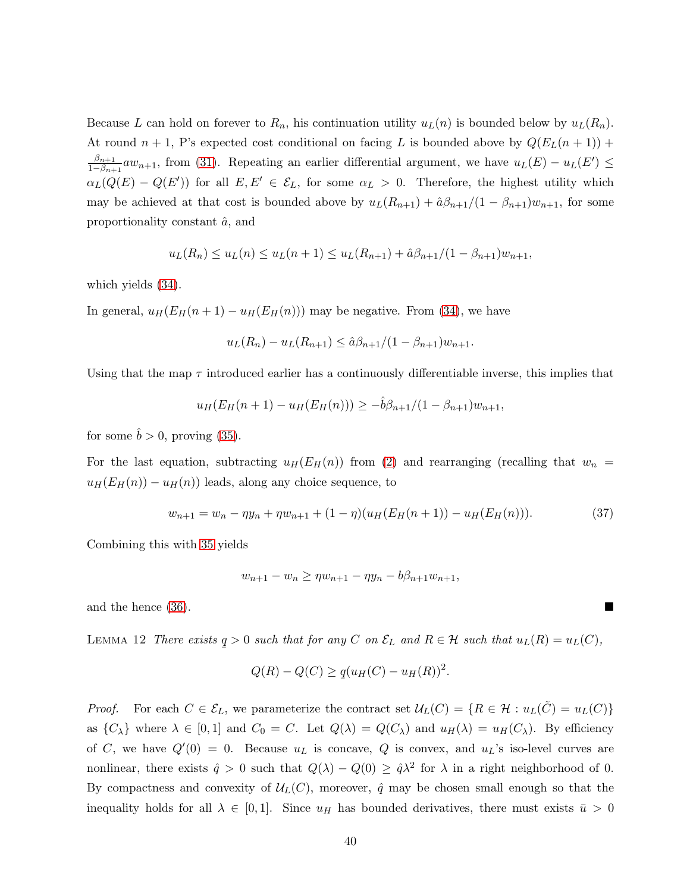Because L can hold on forever to  $R_n$ , his continuation utility  $u_L(n)$  is bounded below by  $u_L(R_n)$ . At round  $n + 1$ , P's expected cost conditional on facing L is bounded above by  $Q(E_L(n + 1))$  +  $\beta_{n+1}$  $\frac{p_{n+1}}{1-\beta_{n+1}}aw_{n+1}$ , from [\(31\)](#page-38-0). Repeating an earlier differential argument, we have  $u_L(E) - u_L(E') \leq$  $\alpha_L(Q(E) - Q(E'))$  for all  $E, E' \in \mathcal{E}_L$ , for some  $\alpha_L > 0$ . Therefore, the highest utility which may be achieved at that cost is bounded above by  $u_L(R_{n+1}) + \hat{\alpha}\beta_{n+1}/(1-\beta_{n+1})w_{n+1}$ , for some proportionality constant  $\hat{a}$ , and

$$
u_L(R_n) \le u_L(n) \le u_L(n+1) \le u_L(R_{n+1}) + \hat{a}\beta_{n+1}/(1-\beta_{n+1})w_{n+1},
$$

which yields [\(34\)](#page-38-0).

In general,  $u_H(E_H(n+1) - u_H(E_H(n)))$  may be negative. From [\(34\)](#page-38-0), we have

$$
u_L(R_n) - u_L(R_{n+1}) \leq \hat{a}\beta_{n+1}/(1 - \beta_{n+1})w_{n+1}.
$$

Using that the map  $\tau$  introduced earlier has a continuously differentiable inverse, this implies that

$$
u_H(E_H(n+1) - u_H(E_H(n))) \geq -\hat{b}\beta_{n+1}/(1 - \beta_{n+1})w_{n+1},
$$

for some  $\hat{b} > 0$ , proving [\(35\)](#page-38-0).

For the last equation, subtracting  $u_H(E_H(n))$  from [\(2\)](#page-14-3) and rearranging (recalling that  $w_n =$  $u_H(E_H(n)) - u_H(n)$  leads, along any choice sequence, to

$$
w_{n+1} = w_n - \eta y_n + \eta w_{n+1} + (1 - \eta)(u_H(E_H(n+1)) - u_H(E_H(n))).
$$
\n(37)

Combining this with [35](#page-38-0) yields

<span id="page-39-1"></span>
$$
w_{n+1} - w_n \ge \eta w_{n+1} - \eta y_n - b\beta_{n+1} w_{n+1},
$$

<span id="page-39-0"></span>and the hence [\(36\)](#page-38-0).

LEMMA 12 There exists  $q$  $q > 0$  such that for any C on  $\mathcal{E}_L$  and  $R \in \mathcal{H}$  such that  $u_L(R) = u_L(C)$ ,

$$
Q(R) - Q(C) \ge q(u_H(C) - u_H(R))^2.
$$

*Proof.* For each  $C \in \mathcal{E}_L$ , we parameterize the contract set  $\mathcal{U}_L(C) = \{R \in \mathcal{H} : u_L(\tilde{C}) = u_L(C)\}\$ as  $\{C_{\lambda}\}\$  where  $\lambda \in [0,1]$  and  $C_0 = C$ . Let  $Q(\lambda) = Q(C_{\lambda})$  and  $u_H(\lambda) = u_H(C_{\lambda})$ . By efficiency of C, we have  $Q'(0) = 0$ . Because  $u<sub>L</sub>$  is concave, Q is convex, and  $u<sub>L</sub>$ 's iso-level curves are nonlinear, there exists  $\hat{q} > 0$  such that  $Q(\lambda) - Q(0) \geq \hat{q} \lambda^2$  for  $\lambda$  in a right neighborhood of 0. By compactness and convexity of  $\mathcal{U}_L(C)$ , moreover,  $\hat{q}$  may be chosen small enough so that the inequality holds for all  $\lambda \in [0,1]$ . Since  $u_H$  has bounded derivatives, there must exists  $\bar{u} > 0$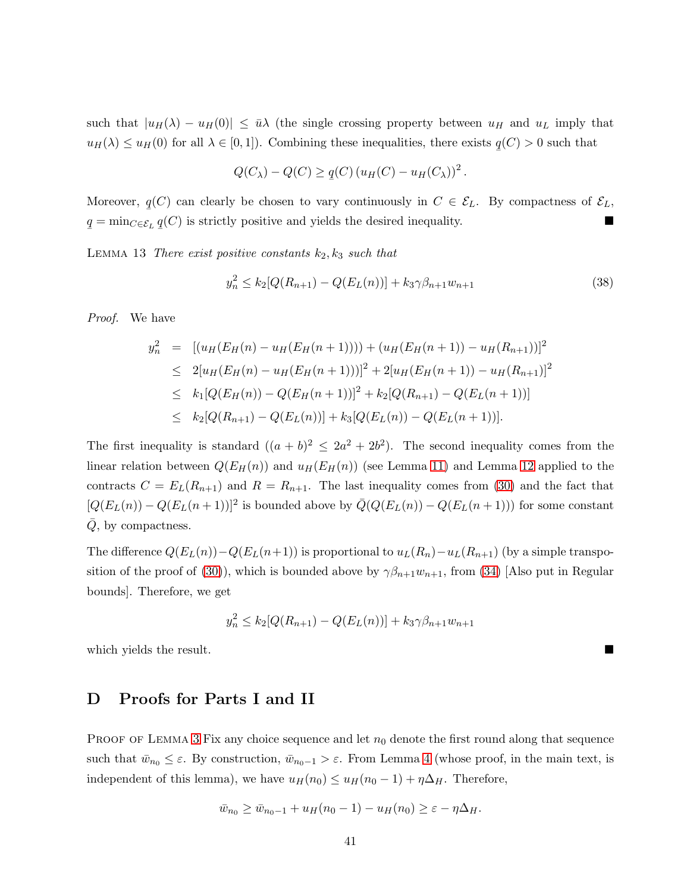such that  $|u_H(\lambda) - u_H(0)| \leq \bar{u}\lambda$  (the single crossing property between  $u_H$  and  $u_L$  imply that  $u_H(\lambda) \le u_H(0)$  for all  $\lambda \in [0, 1]$ ). Combining these inequalities, there exists  $q$  $(C) > 0$  such that

$$
Q(C_{\lambda}) - Q(C) \ge q(C) (u_H(C) - u_H(C_{\lambda}))^{2}.
$$

<span id="page-40-0"></span>Moreover,  $q(C)$  can clearly be chosen to vary continuously in  $C \in \mathcal{E}_L$ . By compactness of  $\mathcal{E}_L$ , ¯ q  $q = \min_{C \in \mathcal{E}_L} q$ ¯  $(C)$  is strictly positive and yields the desired inequality.

LEMMA 13 There exist positive constants  $k_2, k_3$  such that

$$
y_n^2 \le k_2 [Q(R_{n+1}) - Q(E_L(n))] + k_3 \gamma \beta_{n+1} w_{n+1}
$$
\n(38)

Proof. We have

$$
y_n^2 = [(u_H(E_H(n) - u_H(E_H(n+1)))) + (u_H(E_H(n+1)) - u_H(R_{n+1}))]^2
$$
  
\n
$$
\leq 2[u_H(E_H(n) - u_H(E_H(n+1)))]^2 + 2[u_H(E_H(n+1)) - u_H(R_{n+1})]^2
$$
  
\n
$$
\leq k_1[Q(E_H(n)) - Q(E_H(n+1))]^2 + k_2[Q(R_{n+1}) - Q(E_L(n+1))]
$$
  
\n
$$
\leq k_2[Q(R_{n+1}) - Q(E_L(n))] + k_3[Q(E_L(n)) - Q(E_L(n+1))].
$$

The first inequality is standard  $((a + b)^2 \leq 2a^2 + 2b^2)$ . The second inequality comes from the linear relation between  $Q(E_H(n))$  and  $u_H(E_H(n))$  (see Lemma [11\)](#page-38-0) and Lemma [12](#page-39-0) applied to the contracts  $C = E_L(R_{n+1})$  and  $R = R_{n+1}$ . The last inequality comes from [\(30\)](#page-37-1) and the fact that  $[Q(E_L(n)) - Q(E_L(n+1))]^2$  is bounded above by  $\overline{Q}(Q(E_L(n)) - Q(E_L(n+1)))$  for some constant  $Q$ , by compactness.

The difference  $Q(E_L(n)) - Q(E_L(n+1))$  is proportional to  $u_L(R_n) - u_L(R_{n+1})$  (by a simple transpo-sition of the proof of [\(30\)](#page-37-1)), which is bounded above by  $\gamma \beta_{n+1} w_{n+1}$ , from [\(34\)](#page-38-0) [Also put in Regular bounds]. Therefore, we get

$$
y_n^2 \le k_2 [Q(R_{n+1}) - Q(E_L(n))] + k_3 \gamma \beta_{n+1} w_{n+1}
$$

which yields the result.

## D Proofs for Parts I and II

PROOF OF LEMMA [3](#page-13-0) Fix any choice sequence and let  $n_0$  denote the first round along that sequence such that  $\bar{w}_{n_0} \leq \varepsilon$ . By construction,  $\bar{w}_{n_0-1} > \varepsilon$ . From Lemma [4](#page-14-2) (whose proof, in the main text, is independent of this lemma), we have  $u_H(n_0) \le u_H(n_0 - 1) + \eta \Delta_H$ . Therefore,

$$
\bar{w}_{n_0} \ge \bar{w}_{n_0-1} + u_H(n_0 - 1) - u_H(n_0) \ge \varepsilon - \eta \Delta_H.
$$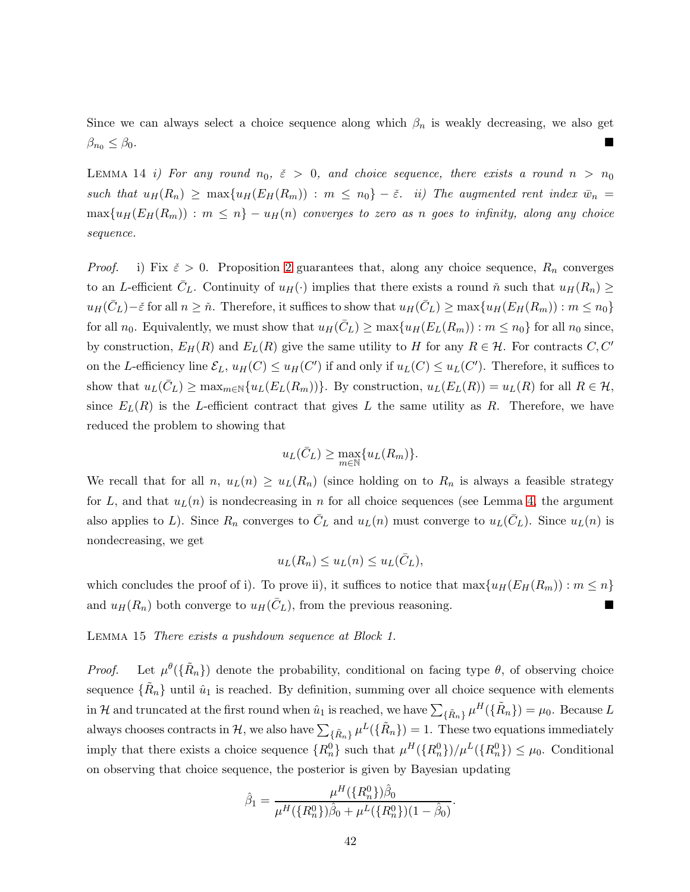<span id="page-41-0"></span>Since we can always select a choice sequence along which  $\beta_n$  is weakly decreasing, we also get  $\beta_{n_0} \leq \beta_0$ .

LEMMA 14 i) For any round  $n_0$ ,  $\tilde{\varepsilon} > 0$ , and choice sequence, there exists a round  $n > n_0$ such that  $u_H(R_n) \geq \max\{u_H(E_H(R_m)) : m \leq n_0\} - \breve{\varepsilon}$ . ii) The augmented rent index  $\bar{w}_n =$  $\max\{u_H(E_H(R_m)) : m \leq n\} - u_H(n)$  converges to zero as n goes to infinity, along any choice sequence.

*Proof.* i) Fix  $\epsilon > 0$ . Proposition [2](#page-11-1) guarantees that, along any choice sequence,  $R_n$  converges to an L-efficient  $\bar{C}_L$ . Continuity of  $u_H(\cdot)$  implies that there exists a round  $\check{n}$  such that  $u_H(R_n) \geq$  $u_H(\bar{C}_L)-\tilde{\varepsilon}$  for all  $n \geq \tilde{n}$ . Therefore, it suffices to show that  $u_H(\bar{C}_L) \geq \max\{u_H(E_H(R_m)) : m \leq n_0\}$ for all  $n_0$ . Equivalently, we must show that  $u_H(\bar{C}_L) \ge \max\{u_H(E_L(R_m)) : m \le n_0\}$  for all  $n_0$  since, by construction,  $E_H(R)$  and  $E_L(R)$  give the same utility to H for any  $R \in \mathcal{H}$ . For contracts C, C' on the L-efficiency line  $\mathcal{E}_L$ ,  $u_H(C) \leq u_H(C')$  if and only if  $u_L(C) \leq u_L(C')$ . Therefore, it suffices to show that  $u_L(\bar{C}_L) \ge \max_{m \in \mathbb{N}} \{u_L(E_L(R_m))\}$ . By construction,  $u_L(E_L(R)) = u_L(R)$  for all  $R \in \mathcal{H}$ , since  $E_L(R)$  is the L-efficient contract that gives L the same utility as R. Therefore, we have reduced the problem to showing that

$$
u_L(\bar{C}_L) \ge \max_{m \in \mathbb{N}} \{ u_L(R_m) \}.
$$

We recall that for all  $n, u_L(n) \geq u_L(R_n)$  (since holding on to  $R_n$  is always a feasible strategy for L, and that  $u_L(n)$  is nondecreasing in n for all choice sequences (see Lemma [4,](#page-14-2) the argument also applies to L). Since  $R_n$  converges to  $\bar{C}_L$  and  $u_L(n)$  must converge to  $u_L(\bar{C}_L)$ . Since  $u_L(n)$  is nondecreasing, we get

$$
u_L(R_n) \le u_L(n) \le u_L(\bar{C}_L),
$$

<span id="page-41-1"></span>which concludes the proof of i). To prove ii), it suffices to notice that  $\max\{u_H(E_H(R_m)) : m \leq n\}$ and  $u_H(R_n)$  both converge to  $u_H(\bar{C}_L)$ , from the previous reasoning.

Lemma 15 There exists a pushdown sequence at Block 1.

*Proof.* Let  $\mu^{\theta}(\{\tilde{R}_n\})$  denote the probability, conditional on facing type  $\theta$ , of observing choice sequence  $\{\tilde{R}_n\}$  until  $\hat{u}_1$  is reached. By definition, summing over all choice sequence with elements in H and truncated at the first round when  $\hat{u}_1$  is reached, we have  $\sum_{\{\tilde{R}_n\}} \mu^H(\{\tilde{R}_n\}) = \mu_0$ . Because L always chooses contracts in  $\mathcal{H}$ , we also have  $\sum_{\{\tilde{R}_n\}}\mu^L(\{\tilde{R}_n\})=1$ . These two equations immediately imply that there exists a choice sequence  ${R_n^0}$  such that  $\mu^H({R_n^0})/\mu^L({R_n^0}) \leq \mu_0$ . Conditional on observing that choice sequence, the posterior is given by Bayesian updating

$$
\hat{\beta}_1 = \frac{\mu^H(\{R_n^0\})\hat{\beta}_0}{\mu^H(\{R_n^0\})\hat{\beta}_0 + \mu^L(\{R_n^0\})(1 - \hat{\beta}_0)}
$$

.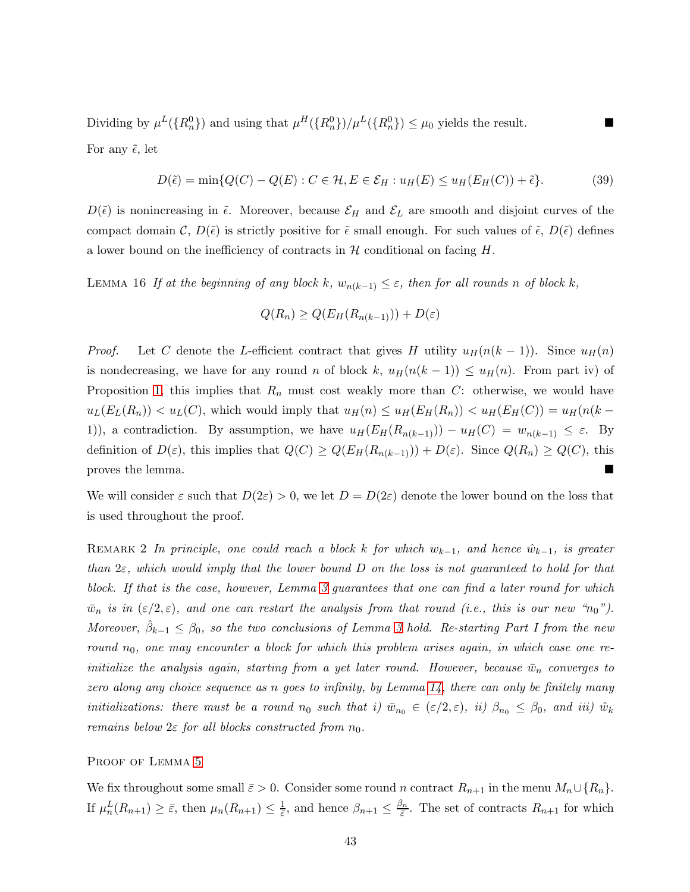Dividing by  $\mu^L(\lbrace R_n^0 \rbrace)$  and using that  $\mu^H(\lbrace R_n^0 \rbrace)/\mu^L(\lbrace R_n^0 \rbrace) \leq \mu_0$  yields the result. For any  $\tilde{\epsilon}$ , let

<span id="page-42-0"></span>
$$
D(\tilde{\epsilon}) = \min\{Q(C) - Q(E) : C \in \mathcal{H}, E \in \mathcal{E}_H : u_H(E) \le u_H(E_H(C)) + \tilde{\epsilon}\}.
$$
 (39)

<span id="page-42-1"></span> $D(\tilde{\epsilon})$  is nonincreasing in  $\tilde{\epsilon}$ . Moreover, because  $\mathcal{E}_H$  and  $\mathcal{E}_L$  are smooth and disjoint curves of the compact domain  $\mathcal{C}, D(\tilde{\epsilon})$  is strictly positive for  $\tilde{\epsilon}$  small enough. For such values of  $\tilde{\epsilon}, D(\tilde{\epsilon})$  defines a lower bound on the inefficiency of contracts in  $\mathcal H$  conditional on facing  $H$ .

LEMMA 16 If at the beginning of any block k,  $w_{n(k-1)} \leq \varepsilon$ , then for all rounds n of block k,

$$
Q(R_n) \ge Q(E_H(R_{n(k-1)})) + D(\varepsilon)
$$

*Proof.* Let C denote the L-efficient contract that gives H utility  $u_H(n(k-1))$ . Since  $u_H(n)$ is nondecreasing, we have for any round n of block k,  $u_H(n(k-1)) \le u_H(n)$ . From part iv) of Proposition [1,](#page-10-0) this implies that  $R_n$  must cost weakly more than C: otherwise, we would have  $u_L(E_L(R_n)) < u_L(C)$ , which would imply that  $u_H(n) \leq u_H(E_H(R_n)) < u_H(E_H(C)) = u_H(n(k-1))$ 1)), a contradiction. By assumption, we have  $u_H(E_H(R_{n(k-1)})) - u_H(C) = w_{n(k-1)} \leq \varepsilon$ . By definition of  $D(\varepsilon)$ , this implies that  $Q(C) \ge Q(E_H(R_{n(k-1)})) + D(\varepsilon)$ . Since  $Q(R_n) \ge Q(C)$ , this proves the lemma.

<span id="page-42-2"></span>We will consider  $\varepsilon$  such that  $D(2\varepsilon) > 0$ , we let  $D = D(2\varepsilon)$  denote the lower bound on the loss that is used throughout the proof.

REMARK 2 In principle, one could reach a block k for which  $w_{k-1}$ , and hence  $\hat{w}_{k-1}$ , is greater than  $2\varepsilon$ , which would imply that the lower bound D on the loss is not quaranteed to hold for that block. If that is the case, however, Lemma [3](#page-13-0) guarantees that one can find a later round for which  $\bar{w}_n$  is in  $(\varepsilon/2, \varepsilon)$ , and one can restart the analysis from that round (i.e., this is our new "n<sub>0</sub>"). Moreover,  $\hat{\beta}_{k-1} \leq \beta_0$ , so the two conclusions of Lemma [3](#page-13-0) hold. Re-starting Part I from the new round  $n_0$ , one may encounter a block for which this problem arises again, in which case one reinitialize the analysis again, starting from a yet later round. However, because  $\bar{w}_n$  converges to zero along any choice sequence as n goes to infinity, by Lemma [14,](#page-41-0) there can only be finitely many initializations: there must be a round  $n_0$  such that i)  $\bar{w}_{n_0} \in (\varepsilon/2, \varepsilon)$ , ii)  $\beta_{n_0} \leq \beta_0$ , and iii)  $\hat{w}_k$ remains below  $2\varepsilon$  for all blocks constructed from  $n_0$ .

### PROOF OF LEMMA [5](#page-19-3)

We fix throughout some small  $\bar{\varepsilon} > 0$ . Consider some round n contract  $R_{n+1}$  in the menu  $M_n \cup \{R_n\}$ . If  $\mu_n^L(R_{n+1}) \geq \bar{\varepsilon}$ , then  $\mu_n(R_{n+1}) \leq \frac{1}{\bar{\varepsilon}}$  $\frac{1}{\bar{\varepsilon}}$ , and hence  $\beta_{n+1} \leq \frac{\beta_n}{\bar{\varepsilon}}$  $\frac{S_n}{\bar{\varepsilon}}$ . The set of contracts  $R_{n+1}$  for which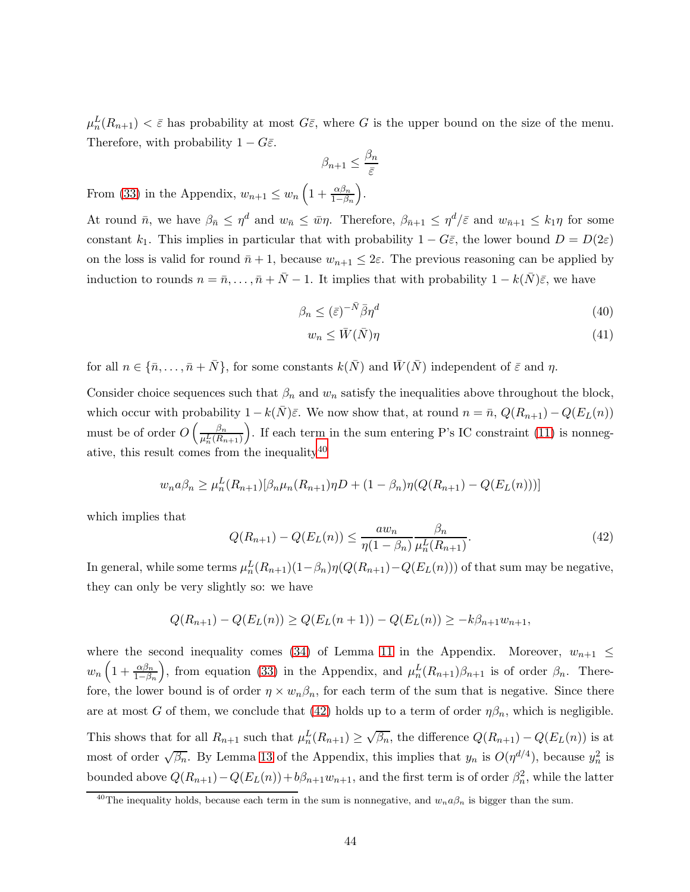$\mu_n^L(R_{n+1}) < \bar{\varepsilon}$  has probability at most  $G\bar{\varepsilon}$ , where G is the upper bound on the size of the menu. Therefore, with probability  $1 - G\bar{\varepsilon}$ .

$$
\beta_{n+1} \leq \frac{\beta_n}{\bar{\varepsilon}}
$$

From [\(33\)](#page-38-0) in the Appendix,  $w_{n+1} \leq w_n \left(1 + \frac{\alpha \beta_n}{1 - \beta_n}\right)$ .

At round  $\bar{n}$ , we have  $\beta_{\bar{n}} \leq \eta^d$  and  $w_{\bar{n}} \leq \bar{w}\eta$ . Therefore,  $\beta_{\bar{n}+1} \leq \eta^d/\bar{\varepsilon}$  and  $w_{\bar{n}+1} \leq k_1\eta$  for some constant k<sub>1</sub>. This implies in particular that with probability  $1 - G\bar{\varepsilon}$ , the lower bound  $D = D(2\varepsilon)$ on the loss is valid for round  $\bar{n} + 1$ , because  $w_{n+1} \leq 2\varepsilon$ . The previous reasoning can be applied by induction to rounds  $n = \bar{n}, \ldots, \bar{n} + \bar{N} - 1$ . It implies that with probability  $1 - k(\bar{N})\bar{\varepsilon}$ , we have

$$
\beta_n \le (\bar{\varepsilon})^{-\bar{N}} \bar{\beta} \eta^d \tag{40}
$$

$$
w_n \le \bar{W}(\bar{N})\eta \tag{41}
$$

for all  $n \in {\overline{n}, \ldots, \overline{n} + \overline{N}}$ , for some constants  $k(\overline{N})$  and  $\overline{W}(\overline{N})$  independent of  $\overline{\varepsilon}$  and  $\eta$ .

Consider choice sequences such that  $\beta_n$  and  $w_n$  satisfy the inequalities above throughout the block, which occur with probability  $1 - k(\bar{N})\bar{\varepsilon}$ . We now show that, at round  $n = \bar{n}$ ,  $Q(R_{n+1}) - Q(E_L(n))$ must be of order  $O\left(\frac{\beta_n}{n^L(R)}\right)$  $\mu_n^L(R_{n+1})$  . If each term in the sum entering P's IC constraint [\(11\)](#page-24-0) is nonnegative, this result comes from the inequality[40](#page-43-0)

<span id="page-43-1"></span>
$$
w_n a \beta_n \ge \mu_n^L(R_{n+1})[\beta_n \mu_n(R_{n+1}) \eta D + (1 - \beta_n) \eta(Q(R_{n+1}) - Q(E_L(n)))]
$$

which implies that

$$
Q(R_{n+1}) - Q(E_L(n)) \le \frac{aw_n}{\eta(1 - \beta_n)} \frac{\beta_n}{\mu_n^L(R_{n+1})}.
$$
\n(42)

In general, while some terms  $\mu_n^L(R_{n+1})(1-\beta_n)\eta(Q(R_{n+1})-Q(E_L(n)))$  of that sum may be negative, they can only be very slightly so: we have

$$
Q(R_{n+1}) - Q(E_L(n)) \ge Q(E_L(n+1)) - Q(E_L(n)) \ge -k\beta_{n+1}w_{n+1},
$$

where the second inequality comes [\(34\)](#page-38-0) of Lemma [11](#page-38-0) in the Appendix. Moreover,  $w_{n+1} \leq$  $w_n\left(1+\frac{\alpha\beta_n}{1-\beta_n}\right)$ ), from equation [\(33\)](#page-38-0) in the Appendix, and  $\mu_n^L(R_{n+1})\beta_{n+1}$  is of order  $\beta_n$ . Therefore, the lower bound is of order  $\eta \times w_n \beta_n$ , for each term of the sum that is negative. Since there are at most G of them, we conclude that [\(42\)](#page-43-1) holds up to a term of order  $\eta\beta_n$ , which is negligible. This shows that for all  $R_{n+1}$  such that  $\mu_n^L(R_{n+1}) \geq \sqrt{\beta_n}$ , the difference  $Q(R_{n+1}) - Q(E_L(n))$  is at most of order  $\sqrt{\beta_n}$ . By Lemma [13](#page-40-0) of the Appendix, this implies that  $y_n$  is  $O(\eta^{d/4})$ , because  $y_n^2$  is bounded above  $Q(R_{n+1}) - Q(E_L(n)) + b\beta_{n+1}w_{n+1}$ , and the first term is of order  $\beta_n^2$ , while the latter

<span id="page-43-0"></span><sup>&</sup>lt;sup>40</sup>The inequality holds, because each term in the sum is nonnegative, and  $w_n a \beta_n$  is bigger than the sum.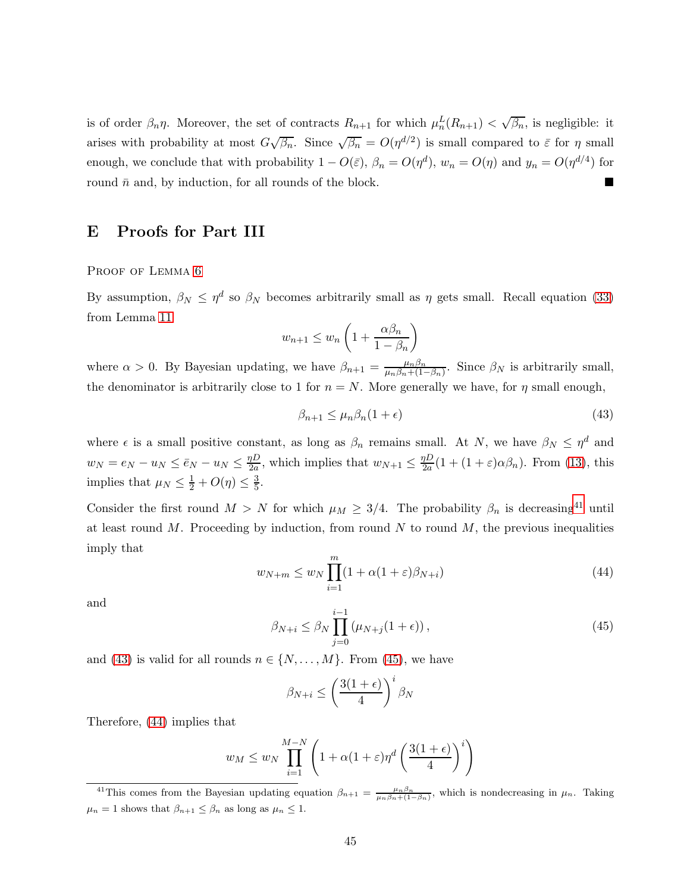is of order  $\beta_n \eta$ . Moreover, the set of contracts  $R_{n+1}$  for which  $\mu_n^L(R_{n+1}) < \sqrt{\beta_n}$ , is negligible: it arises with probability at most  $G\sqrt{\beta_n}$ . Since  $\sqrt{\beta_n} = O(\eta^{d/2})$  is small compared to  $\bar{\varepsilon}$  for  $\eta$  small enough, we conclude that with probability  $1 - O(\bar{\varepsilon})$ ,  $\beta_n = O(\eta^d)$ ,  $w_n = O(\eta)$  and  $y_n = O(\eta^{d/4})$  for round  $\bar{n}$  and, by induction, for all rounds of the block.

# E Proofs for Part III

PROOF OF LEMMA [6](#page-24-2)

By assumption,  $\beta_N \leq \eta^d$  so  $\beta_N$  becomes arbitrarily small as  $\eta$  gets small. Recall equation [\(33\)](#page-38-0) from Lemma [11](#page-38-0)

$$
w_{n+1} \le w_n \left( 1 + \frac{\alpha \beta_n}{1 - \beta_n} \right)
$$

where  $\alpha > 0$ . By Bayesian updating, we have  $\beta_{n+1} = \frac{\mu_n \beta_n}{\mu_n \beta_n + (1 - \mu_n)}$  $\frac{\mu_n p_n}{\mu_n \beta_n + (1-\beta_n)}$ . Since  $\beta_N$  is arbitrarily small, the denominator is arbitrarily close to 1 for  $n = N$ . More generally we have, for  $\eta$  small enough,

<span id="page-44-1"></span>
$$
\beta_{n+1} \le \mu_n \beta_n (1 + \epsilon) \tag{43}
$$

where  $\epsilon$  is a small positive constant, as long as  $\beta_n$  remains small. At N, we have  $\beta_N \leq \eta^d$  and  $w_N = e_N - u_N \leq \bar{e}_N - u_N \leq \frac{\eta D}{2a}$  $\frac{pD}{2a}$ , which implies that  $w_{N+1} \leq \frac{pD}{2a}$  $\frac{\partial D}{\partial a}(1+(1+\varepsilon)\alpha\beta_n)$ . From [\(13\)](#page-24-3), this implies that  $\mu_N \leq \frac{1}{2} + O(\eta) \leq \frac{3}{5}$  $\frac{3}{5}$ .

<span id="page-44-3"></span>Consider the first round  $M > N$  for which  $\mu_M \geq 3/4$ . The probability  $\beta_n$  is decreasing<sup>[41](#page-44-0)</sup> until at least round  $M$ . Proceeding by induction, from round  $N$  to round  $M$ , the previous inequalities imply that

$$
w_{N+m} \le w_N \prod_{i=1}^m (1 + \alpha (1 + \varepsilon) \beta_{N+i}) \tag{44}
$$

<span id="page-44-2"></span>and

$$
\beta_{N+i} \le \beta_N \prod_{j=0}^{i-1} \left(\mu_{N+j}(1+\epsilon)\right),\tag{45}
$$

and [\(43\)](#page-44-1) is valid for all rounds  $n \in \{N, \ldots, M\}$ . From [\(45\)](#page-44-2), we have

$$
\beta_{N+i} \le \left(\frac{3(1+\epsilon)}{4}\right)^i \beta_N
$$

Therefore, [\(44\)](#page-44-3) implies that

$$
w_M \le w_N \prod_{i=1}^{M-N} \left( 1 + \alpha (1+\varepsilon) \eta^d \left( \frac{3(1+\epsilon)}{4} \right)^i \right)
$$

<span id="page-44-0"></span><sup>&</sup>lt;sup>41</sup>This comes from the Bayesian updating equation  $\beta_{n+1} = \frac{\mu_n \beta_n}{\mu_n \beta_n + (1-\beta_n)}$ , which is nondecreasing in  $\mu_n$ . Taking  $\mu_n = 1$  shows that  $\beta_{n+1} \leq \beta_n$  as long as  $\mu_n \leq 1$ .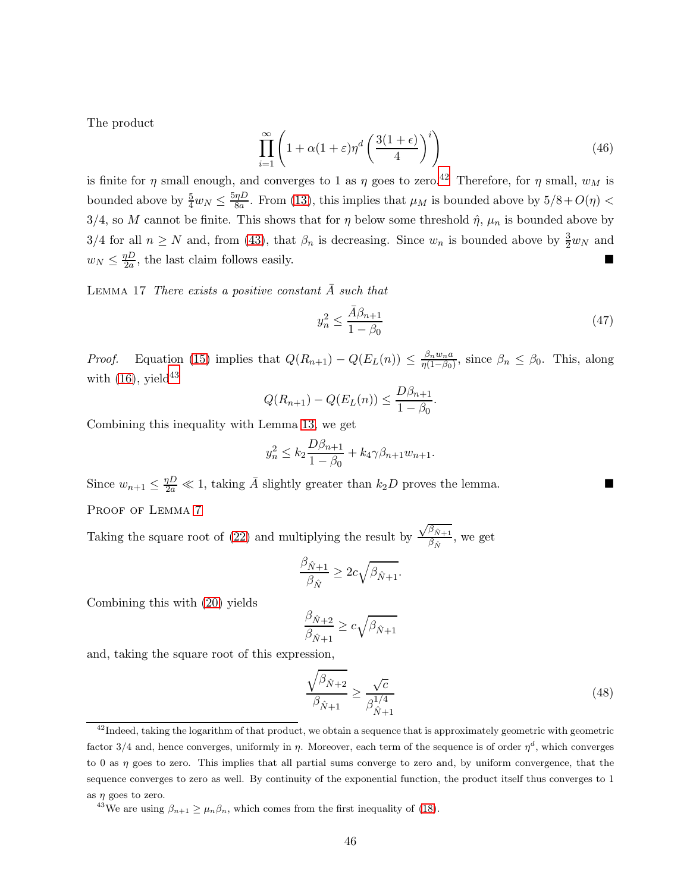The product

$$
\prod_{i=1}^{\infty} \left( 1 + \alpha (1 + \varepsilon) \eta^d \left( \frac{3(1 + \epsilon)}{4} \right)^i \right) \tag{46}
$$

is finite for  $\eta$  small enough, and converges to 1 as  $\eta$  goes to zero.<sup>[42](#page-45-1)</sup> Therefore, for  $\eta$  small,  $w_M$  is bounded above by  $\frac{5}{4}w_N \leq \frac{5\eta D}{8a}$  $\frac{\eta D}{8a}$ . From [\(13\)](#page-24-3), this implies that  $\mu_M$  is bounded above by  $5/8 + O(\eta)$  < 3/4, so M cannot be finite. This shows that for  $\eta$  below some threshold  $\hat{\eta}$ ,  $\mu_n$  is bounded above by 3/4 for all  $n \geq N$  and, from [\(43\)](#page-44-1), that  $\beta_n$  is decreasing. Since  $w_n$  is bounded above by  $\frac{3}{2}w_N$  and  $w_N \leq \frac{\eta D}{2a}$  $\frac{pD}{2a}$ , the last claim follows easily.

LEMMA 17 There exists a positive constant  $\bar{A}$  such that

<span id="page-45-0"></span>
$$
y_n^2 \le \frac{\bar{A}\beta_{n+1}}{1-\beta_0} \tag{47}
$$

*Proof.* Equation [\(15\)](#page-24-5) implies that  $Q(R_{n+1}) - Q(E_L(n)) \leq \frac{\beta_n w_n a}{\eta(1-\beta_0)}$  $\frac{\beta_n w_n a}{\eta(1-\beta_0)}$ , since  $\beta_n \leq \beta_0$ . This, along with  $(16)$ , yield<sup>[43](#page-45-2)</sup>

$$
Q(R_{n+1}) - Q(E_L(n)) \le \frac{D\beta_{n+1}}{1 - \beta_0}.
$$

Combining this inequality with Lemma [13,](#page-40-0) we get

$$
y_n^2 \le k_2 \frac{D\beta_{n+1}}{1 - \beta_0} + k_4 \gamma \beta_{n+1} w_{n+1}.
$$

Since  $w_{n+1} \leq \frac{\eta D}{2a} \ll 1$ , taking  $\overline{A}$  slightly greater than  $k_2D$  proves the lemma. PROOF OF LEMMA<sub>7</sub>

Taking the square root of [\(22\)](#page-26-5) and multiplying the result by  $\frac{\sqrt{\beta_{\hat{N}+1}}}{\beta_{\hat{N}}}$  $\frac{\beta_{N+1}}{\beta_{\hat{N}}}$ , we get

$$
\frac{\beta_{\hat{N}+1}}{\beta_{\hat{N}}} \ge 2c\sqrt{\beta_{\hat{N}+1}}.
$$

Combining this with [\(20\)](#page-26-3) yields

$$
\frac{\beta_{\hat{N}+2}}{\beta_{\hat{N}+1}} \ge c\sqrt{\beta_{\hat{N}+1}}
$$

and, taking the square root of this expression,

<span id="page-45-3"></span>
$$
\frac{\sqrt{\beta_{\hat{N}+2}}}{\beta_{\hat{N}+1}} \ge \frac{\sqrt{c}}{\beta_{\hat{N}+1}^{1/4}}\tag{48}
$$

<span id="page-45-1"></span> $^{42}$ Indeed, taking the logarithm of that product, we obtain a sequence that is approximately geometric with geometric factor 3/4 and, hence converges, uniformly in  $\eta$ . Moreover, each term of the sequence is of order  $\eta^d$ , which converges to 0 as  $\eta$  goes to zero. This implies that all partial sums converge to zero and, by uniform convergence, that the sequence converges to zero as well. By continuity of the exponential function, the product itself thus converges to 1 as  $\eta$  goes to zero.

<span id="page-45-2"></span><sup>&</sup>lt;sup>43</sup>We are using  $\beta_{n+1} \geq \mu_n \beta_n$ , which comes from the first inequality of [\(18\)](#page-26-2).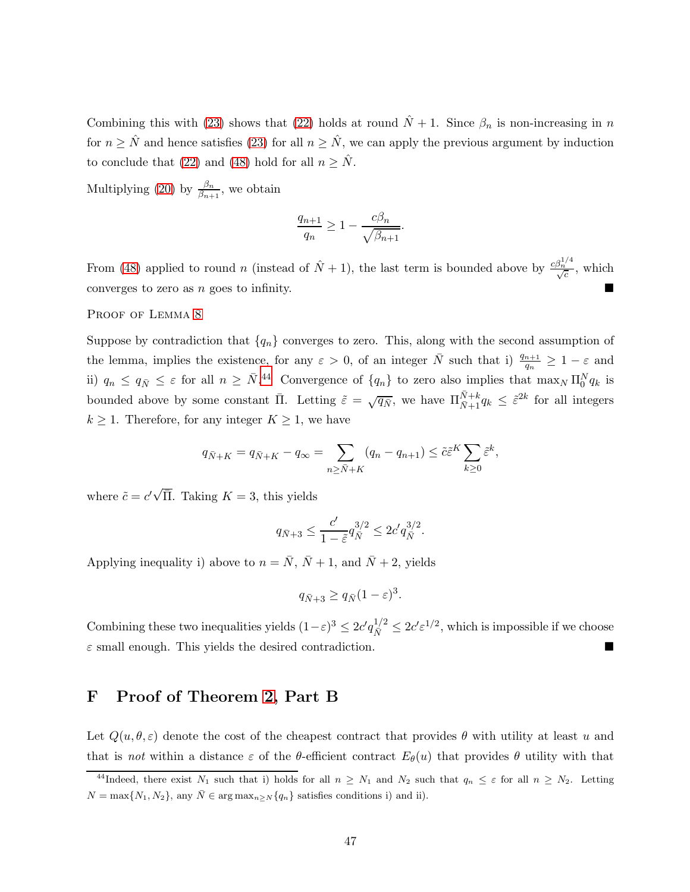Combining this with [\(23\)](#page-27-1) shows that [\(22\)](#page-26-5) holds at round  $\hat{N} + 1$ . Since  $\beta_n$  is non-increasing in n for  $n \geq \hat{N}$  and hence satisfies [\(23\)](#page-27-1) for all  $n \geq \hat{N}$ , we can apply the previous argument by induction to conclude that [\(22\)](#page-26-5) and [\(48\)](#page-45-3) hold for all  $n \geq \hat{N}$ .

Multiplying [\(20\)](#page-26-3) by  $\frac{\beta_n}{\beta_{n+1}}$ , we obtain

$$
\frac{q_{n+1}}{q_n} \ge 1 - \frac{c\beta_n}{\sqrt{\beta_{n+1}}}.
$$

From [\(48\)](#page-45-3) applied to round n (instead of  $\hat{N} + 1$ ), the last term is bounded above by  $\frac{c\beta_n^{1/4}}{\sqrt{c}}$ , which converges to zero as n goes to infinity.

### PROOF OF LEMMA [8](#page-27-2)

Suppose by contradiction that  ${q_n}$  converges to zero. This, along with the second assumption of the lemma, implies the existence, for any  $\varepsilon > 0$ , of an integer  $\bar{N}$  such that i)  $\frac{q_{n+1}}{q_n} \geq 1 - \varepsilon$  and ii)  $q_n \leq q_{\bar{N}} \leq \varepsilon$  for all  $n \geq \bar{N}$ .<sup>[44](#page-46-1)</sup> Convergence of  $\{q_n\}$  to zero also implies that  $\max_N \Pi_0^N q_k$  is bounded above by some constant  $\overline{\Pi}$ . Letting  $\tilde{\varepsilon} = \sqrt{q_{\overline{N}}}$ , we have  $\Pi_{\overline{N}+1}^{\overline{N}+k} q_k \leq \tilde{\varepsilon}^{2k}$  for all integers  $k \geq 1$ . Therefore, for any integer  $K \geq 1$ , we have

$$
q_{\bar{N}+K} = q_{\bar{N}+K} - q_{\infty} = \sum_{n \ge \bar{N}+K} (q_n - q_{n+1}) \le \tilde{c}\tilde{\varepsilon}^K \sum_{k \ge 0} \tilde{\varepsilon}^k,
$$

where  $\tilde{c} = c' \sqrt{\overline{\Pi}}$ . Taking  $K = 3$ , this yields

$$
q_{\bar{N}+3} \le \frac{c'}{1-\tilde{\varepsilon}} q_{\bar{N}}^{3/2} \le 2c' q_{\bar{N}}^{3/2}.
$$

Applying inequality i) above to  $n = \overline{N}$ ,  $\overline{N} + 1$ , and  $\overline{N} + 2$ , yields

$$
q_{\bar{N}+3} \ge q_{\bar{N}}(1-\varepsilon)^3.
$$

Combining these two inequalities yields  $(1-\varepsilon)^3 \leq 2c' q_{\bar{N}}^{1/2} \leq 2c' \varepsilon^{1/2}$ , which is impossible if we choose  $\varepsilon$  small enough. This yields the desired contradiction.

# <span id="page-46-0"></span>F Proof of Theorem [2,](#page-6-2) Part B

Let  $Q(u, \theta, \varepsilon)$  denote the cost of the cheapest contract that provides  $\theta$  with utility at least u and that is not within a distance  $\varepsilon$  of the  $\theta$ -efficient contract  $E_{\theta}(u)$  that provides  $\theta$  utility with that

<span id="page-46-1"></span><sup>&</sup>lt;sup>44</sup>Indeed, there exist N<sub>1</sub> such that i) holds for all  $n \geq N_1$  and N<sub>2</sub> such that  $q_n \leq \varepsilon$  for all  $n \geq N_2$ . Letting  $N = \max\{N_1, N_2\}$ , any  $\overline{N} \in \arg \max_{n \geq N} \{q_n\}$  satisfies conditions i) and ii).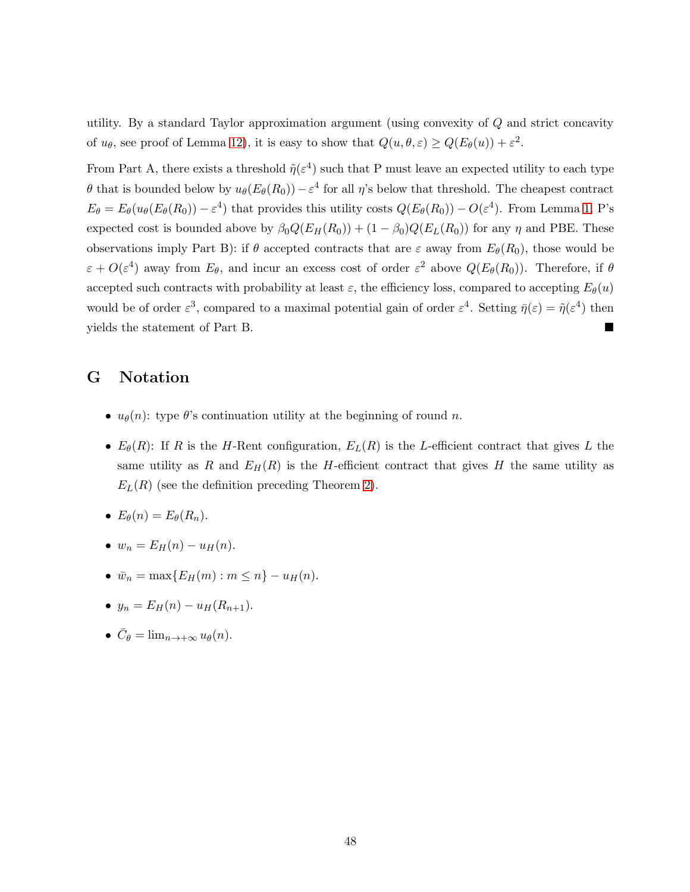utility. By a standard Taylor approximation argument (using convexity of Q and strict concavity of  $u_{\theta}$ , see proof of Lemma [12\)](#page-39-0), it is easy to show that  $Q(u, \theta, \varepsilon) \ge Q(E_{\theta}(u)) + \varepsilon^2$ .

From Part A, there exists a threshold  $\tilde{\eta}(\varepsilon^4)$  such that P must leave an expected utility to each type θ that is bounded below by  $u_{θ}(E_{θ}(R_0)) - ε^4$  for all η's below that threshold. The cheapest contract  $E_{\theta} = E_{\theta}(u_{\theta}(E_{\theta}(R_0)) - \varepsilon^4)$  that provides this utility costs  $Q(E_{\theta}(R_0)) - O(\varepsilon^4)$ . From Lemma [1,](#page-10-2) P's expected cost is bounded above by  $\beta_0 Q(E_H(R_0)) + (1 - \beta_0) Q(E_L(R_0))$  for any  $\eta$  and PBE. These observations imply Part B): if  $\theta$  accepted contracts that are  $\varepsilon$  away from  $E_{\theta}(R_0)$ , those would be  $\varepsilon + O(\varepsilon^4)$  away from  $E_\theta$ , and incur an excess cost of order  $\varepsilon^2$  above  $Q(E_\theta(R_0))$ . Therefore, if  $\theta$ accepted such contracts with probability at least  $\varepsilon$ , the efficiency loss, compared to accepting  $E_{\theta}(u)$ would be of order  $\varepsilon^3$ , compared to a maximal potential gain of order  $\varepsilon^4$ . Setting  $\bar{\eta}(\varepsilon) = \tilde{\eta}(\varepsilon^4)$  then yields the statement of Part B.

# G Notation

- $u_{\theta}(n)$ : type  $\theta$ 's continuation utility at the beginning of round n.
- $E_{\theta}(R)$ : If R is the H-Rent configuration,  $E_L(R)$  is the L-efficient contract that gives L the same utility as R and  $E_H(R)$  is the H-efficient contract that gives H the same utility as  $E_L(R)$  (see the definition preceding Theorem [2\)](#page-6-2).
- $E_{\theta}(n) = E_{\theta}(R_n)$ .
- $w_n = E_H(n) u_H(n)$ .
- $\bar{w}_n = \max\{E_H(m) : m \leq n\} u_H(n).$
- $y_n = E_H(n) u_H(R_{n+1}).$
- $\bar{C}_{\theta} = \lim_{n \to +\infty} u_{\theta}(n)$ .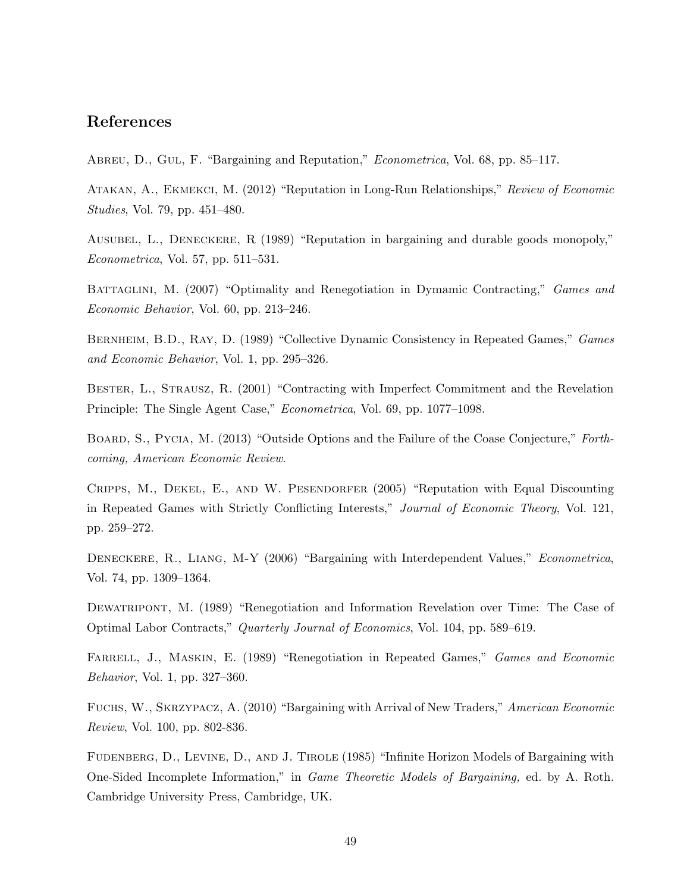# References

ABREU, D., GUL, F. "Bargaining and Reputation," *Econometrica*, Vol. 68, pp. 85–117.

ATAKAN, A., EKMEKCI, M. (2012) "Reputation in Long-Run Relationships," Review of Economic Studies, Vol. 79, pp. 451–480.

Ausubel, L., Deneckere, R (1989) "Reputation in bargaining and durable goods monopoly," Econometrica, Vol. 57, pp. 511–531.

BATTAGLINI, M. (2007) "Optimality and Renegotiation in Dymamic Contracting," Games and Economic Behavior, Vol. 60, pp. 213–246.

BERNHEIM, B.D., RAY, D. (1989) "Collective Dynamic Consistency in Repeated Games," Games and Economic Behavior, Vol. 1, pp. 295–326.

Bester, L., Strausz, R. (2001) "Contracting with Imperfect Commitment and the Revelation Principle: The Single Agent Case," Econometrica, Vol. 69, pp. 1077–1098.

BOARD, S., PYCIA, M. (2013) "Outside Options and the Failure of the Coase Conjecture," Forthcoming, American Economic Review.

Cripps, M., Dekel, E., and W. Pesendorfer (2005) "Reputation with Equal Discounting in Repeated Games with Strictly Conflicting Interests," Journal of Economic Theory, Vol. 121, pp. 259–272.

DENECKERE, R., LIANG, M-Y (2006) "Bargaining with Interdependent Values," Econometrica, Vol. 74, pp. 1309–1364.

Dewatripont, M. (1989) "Renegotiation and Information Revelation over Time: The Case of Optimal Labor Contracts," Quarterly Journal of Economics, Vol. 104, pp. 589–619.

FARRELL, J., MASKIN, E. (1989) "Renegotiation in Repeated Games," Games and Economic Behavior, Vol. 1, pp. 327–360.

Fuchs, W., Skrzypacz, A. (2010) "Bargaining with Arrival of New Traders," American Economic Review, Vol. 100, pp. 802-836.

FUDENBERG, D., LEVINE, D., AND J. TIROLE (1985) "Infinite Horizon Models of Bargaining with One-Sided Incomplete Information," in Game Theoretic Models of Bargaining, ed. by A. Roth. Cambridge University Press, Cambridge, UK.